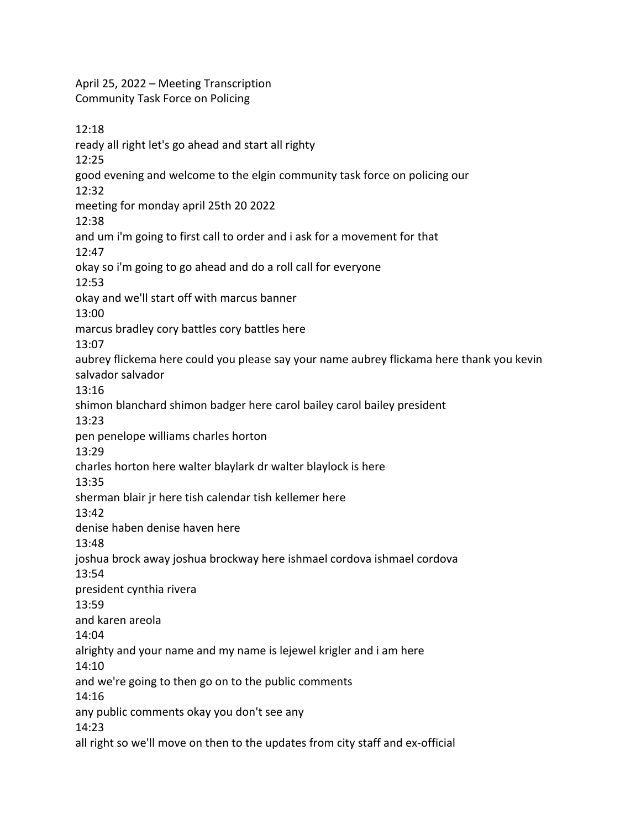April 25, 2022 – Meeting Transcription Community Task Force on Policing

12:18 ready all right let's go ahead and start all righty 12:25 good evening and welcome to the elgin community task force on policing our 12:32 meeting for monday april 25th 20 2022 12:38 and um i'm going to first call to order and i ask for a movement for that 12:47 okay so i'm going to go ahead and do a roll call for everyone 12:53 okay and we'll start off with marcus banner 13:00 marcus bradley cory battles cory battles here 13:07 aubrey flickema here could you please say your name aubrey flickama here thank you kevin salvador salvador 13:16 shimon blanchard shimon badger here carol bailey carol bailey president 13:23 pen penelope williams charles horton 13:29 charles horton here walter blaylark dr walter blaylock is here 13:35 sherman blair jr here tish calendar tish kellemer here 13:42 denise haben denise haven here 13:48 joshua brock away joshua brockway here ishmael cordova ishmael cordova 13:54 president cynthia rivera 13:59 and karen areola 14:04 alrighty and your name and my name is lejewel krigler and i am here 14:10 and we're going to then go on to the public comments 14:16 any public comments okay you don't see any 14:23 all right so we'll move on then to the updates from city staff and ex-official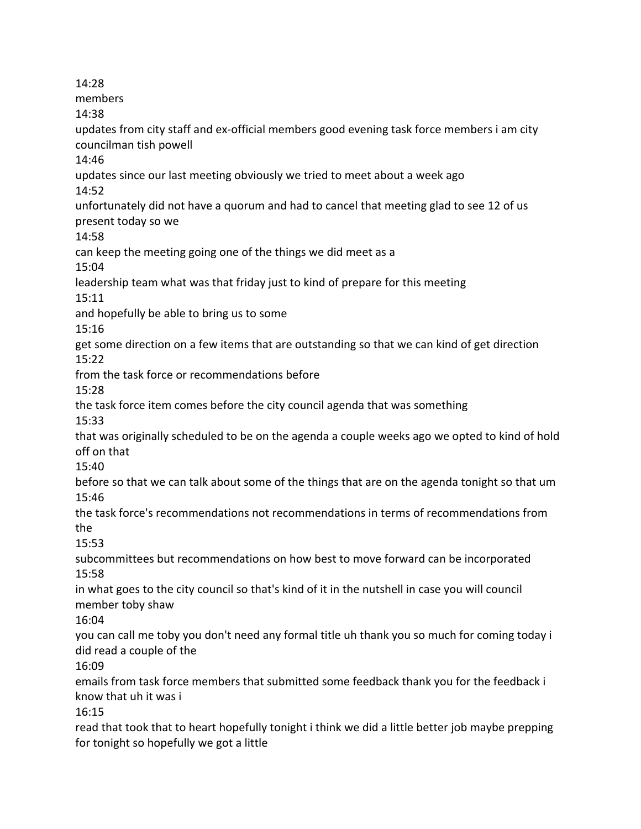14:28 members 14:38 updates from city staff and ex-official members good evening task force members i am city councilman tish powell 14:46 updates since our last meeting obviously we tried to meet about a week ago 14:52 unfortunately did not have a quorum and had to cancel that meeting glad to see 12 of us present today so we 14:58 can keep the meeting going one of the things we did meet as a 15:04 leadership team what was that friday just to kind of prepare for this meeting 15:11 and hopefully be able to bring us to some 15:16 get some direction on a few items that are outstanding so that we can kind of get direction 15:22 from the task force or recommendations before 15:28 the task force item comes before the city council agenda that was something 15:33 that was originally scheduled to be on the agenda a couple weeks ago we opted to kind of hold off on that 15:40 before so that we can talk about some of the things that are on the agenda tonight so that um 15:46 the task force's recommendations not recommendations in terms of recommendations from the 15:53 subcommittees but recommendations on how best to move forward can be incorporated 15:58 in what goes to the city council so that's kind of it in the nutshell in case you will council member toby shaw 16:04 you can call me toby you don't need any formal title uh thank you so much for coming today i did read a couple of the 16:09 emails from task force members that submitted some feedback thank you for the feedback i know that uh it was i 16:15 read that took that to heart hopefully tonight i think we did a little better job maybe prepping for tonight so hopefully we got a little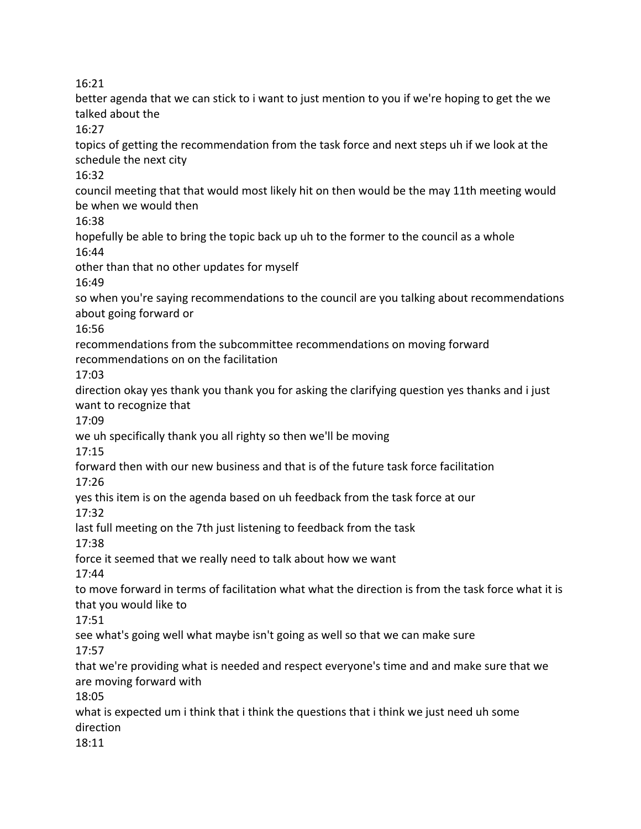better agenda that we can stick to i want to just mention to you if we're hoping to get the we talked about the

 $16:27$ 

topics of getting the recommendation from the task force and next steps uh if we look at the schedule the next city

16:32

council meeting that that would most likely hit on then would be the may 11th meeting would be when we would then

16:38

hopefully be able to bring the topic back up uh to the former to the council as a whole 16:44

other than that no other updates for myself

16:49

so when you're saying recommendations to the council are you talking about recommendations about going forward or

16:56

recommendations from the subcommittee recommendations on moving forward recommendations on on the facilitation

17:03

direction okay yes thank you thank you for asking the clarifying question yes thanks and i just want to recognize that

17:09

we uh specifically thank you all righty so then we'll be moving

17:15

forward then with our new business and that is of the future task force facilitation 17:26

yes this item is on the agenda based on uh feedback from the task force at our

17:32

last full meeting on the 7th just listening to feedback from the task

17:38

force it seemed that we really need to talk about how we want

17:44

to move forward in terms of facilitation what what the direction is from the task force what it is that you would like to

17:51

see what's going well what maybe isn't going as well so that we can make sure

17:57

that we're providing what is needed and respect everyone's time and and make sure that we are moving forward with

18:05

what is expected um i think that i think the questions that i think we just need uh some direction

18:11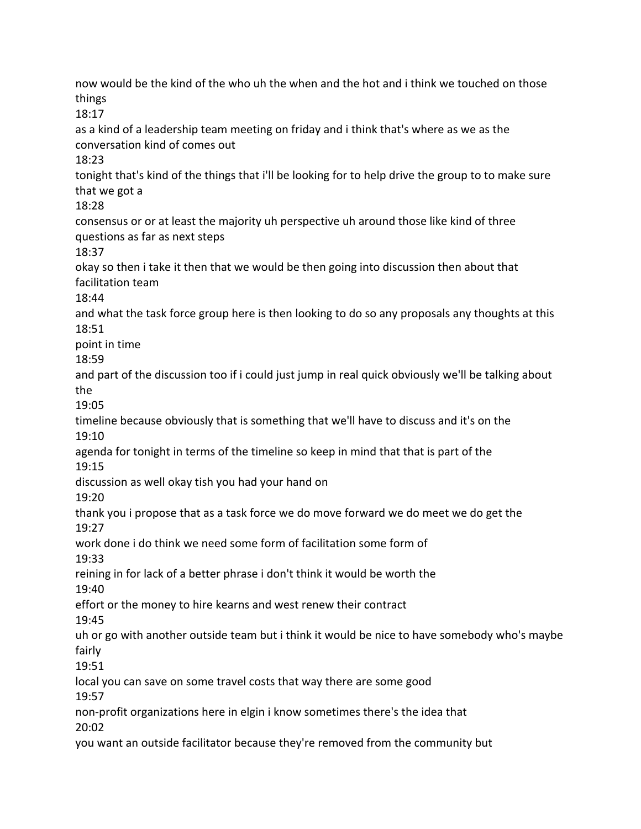now would be the kind of the who uh the when and the hot and i think we touched on those things 18:17 as a kind of a leadership team meeting on friday and i think that's where as we as the

conversation kind of comes out

18:23

tonight that's kind of the things that i'll be looking for to help drive the group to to make sure that we got a

18:28

consensus or or at least the majority uh perspective uh around those like kind of three questions as far as next steps

18:37

okay so then i take it then that we would be then going into discussion then about that facilitation team

18:44

and what the task force group here is then looking to do so any proposals any thoughts at this 18:51

point in time

18:59

and part of the discussion too if i could just jump in real quick obviously we'll be talking about the

19:05

timeline because obviously that is something that we'll have to discuss and it's on the 19:10

agenda for tonight in terms of the timeline so keep in mind that that is part of the 19:15

discussion as well okay tish you had your hand on

19:20

thank you i propose that as a task force we do move forward we do meet we do get the 19:27

work done i do think we need some form of facilitation some form of

19:33

reining in for lack of a better phrase i don't think it would be worth the

19:40

effort or the money to hire kearns and west renew their contract

19:45

uh or go with another outside team but i think it would be nice to have somebody who's maybe fairly

19:51

local you can save on some travel costs that way there are some good

19:57

non-profit organizations here in elgin i know sometimes there's the idea that 20:02

you want an outside facilitator because they're removed from the community but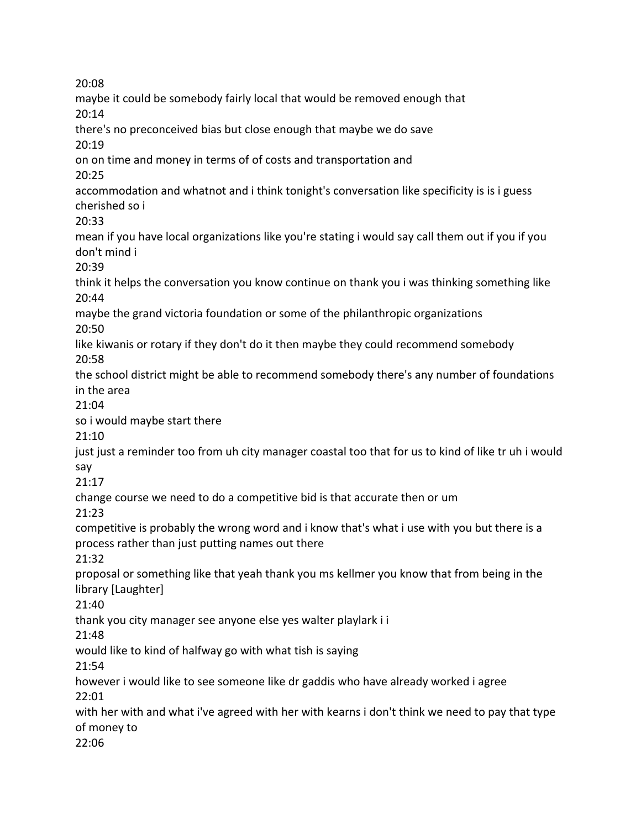maybe it could be somebody fairly local that would be removed enough that 20:14 there's no preconceived bias but close enough that maybe we do save 20:19 on on time and money in terms of of costs and transportation and 20:25 accommodation and whatnot and i think tonight's conversation like specificity is is i guess cherished so i 20:33 mean if you have local organizations like you're stating i would say call them out if you if you don't mind i 20:39 think it helps the conversation you know continue on thank you i was thinking something like 20:44 maybe the grand victoria foundation or some of the philanthropic organizations 20:50 like kiwanis or rotary if they don't do it then maybe they could recommend somebody 20:58 the school district might be able to recommend somebody there's any number of foundations in the area 21:04 so i would maybe start there 21:10 just just a reminder too from uh city manager coastal too that for us to kind of like tr uh i would say 21:17 change course we need to do a competitive bid is that accurate then or um 21:23 competitive is probably the wrong word and i know that's what i use with you but there is a process rather than just putting names out there 21:32 proposal or something like that yeah thank you ms kellmer you know that from being in the library [Laughter] 21:40 thank you city manager see anyone else yes walter playlark i i 21:48 would like to kind of halfway go with what tish is saying 21:54 however i would like to see someone like dr gaddis who have already worked i agree 22:01 with her with and what i've agreed with her with kearns i don't think we need to pay that type of money to 22:06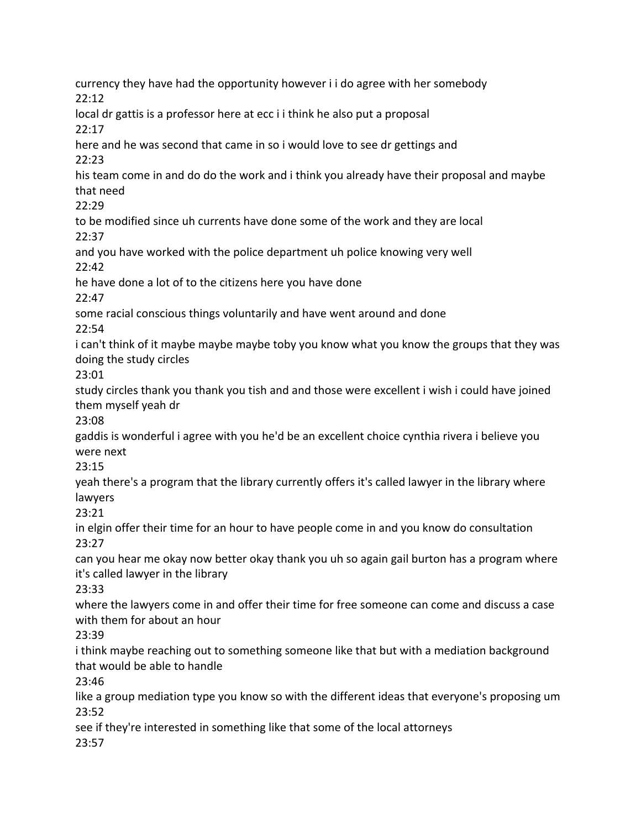currency they have had the opportunity however i i do agree with her somebody 22:12 local dr gattis is a professor here at ecc i i think he also put a proposal 22:17 here and he was second that came in so i would love to see dr gettings and 22:23 his team come in and do do the work and i think you already have their proposal and maybe that need 22:29 to be modified since uh currents have done some of the work and they are local 22:37 and you have worked with the police department uh police knowing very well 22:42 he have done a lot of to the citizens here you have done 22:47 some racial conscious things voluntarily and have went around and done 22:54 i can't think of it maybe maybe maybe toby you know what you know the groups that they was doing the study circles 23:01 study circles thank you thank you tish and and those were excellent i wish i could have joined them myself yeah dr 23:08 gaddis is wonderful i agree with you he'd be an excellent choice cynthia rivera i believe you were next 23:15 yeah there's a program that the library currently offers it's called lawyer in the library where lawyers 23:21 in elgin offer their time for an hour to have people come in and you know do consultation 23:27 can you hear me okay now better okay thank you uh so again gail burton has a program where it's called lawyer in the library 23:33 where the lawyers come in and offer their time for free someone can come and discuss a case with them for about an hour 23:39 i think maybe reaching out to something someone like that but with a mediation background that would be able to handle 23:46 like a group mediation type you know so with the different ideas that everyone's proposing um 23:52 see if they're interested in something like that some of the local attorneys 23:57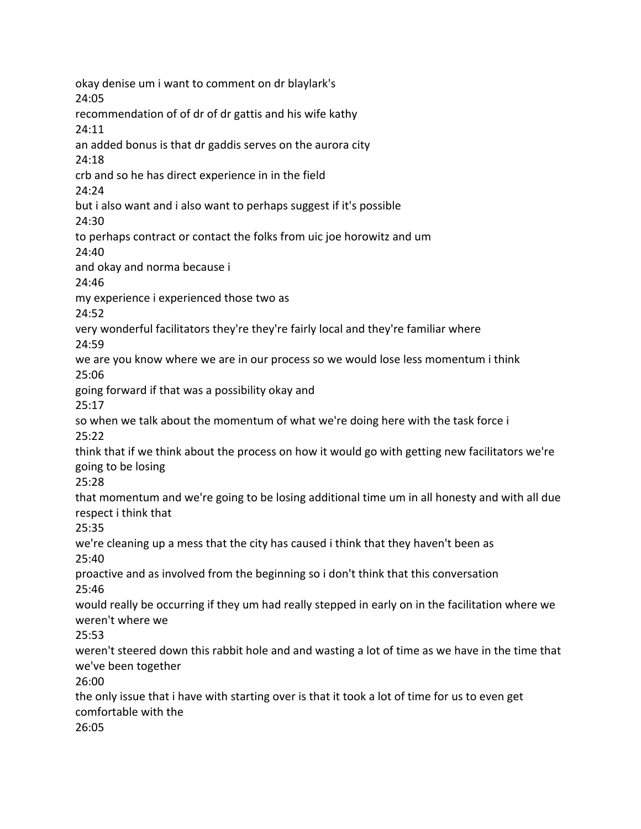okay denise um i want to comment on dr blaylark's 24:05 recommendation of of dr of dr gattis and his wife kathy 24:11 an added bonus is that dr gaddis serves on the aurora city 24:18 crb and so he has direct experience in in the field 24:24 but i also want and i also want to perhaps suggest if it's possible 24:30 to perhaps contract or contact the folks from uic joe horowitz and um 24:40 and okay and norma because i 24:46 my experience i experienced those two as 24:52 very wonderful facilitators they're they're fairly local and they're familiar where 24:59 we are you know where we are in our process so we would lose less momentum i think 25:06 going forward if that was a possibility okay and 25:17 so when we talk about the momentum of what we're doing here with the task force i 25:22 think that if we think about the process on how it would go with getting new facilitators we're going to be losing 25:28 that momentum and we're going to be losing additional time um in all honesty and with all due respect i think that 25:35 we're cleaning up a mess that the city has caused i think that they haven't been as 25:40 proactive and as involved from the beginning so i don't think that this conversation 25:46 would really be occurring if they um had really stepped in early on in the facilitation where we weren't where we 25:53 weren't steered down this rabbit hole and and wasting a lot of time as we have in the time that we've been together 26:00 the only issue that i have with starting over is that it took a lot of time for us to even get comfortable with the 26:05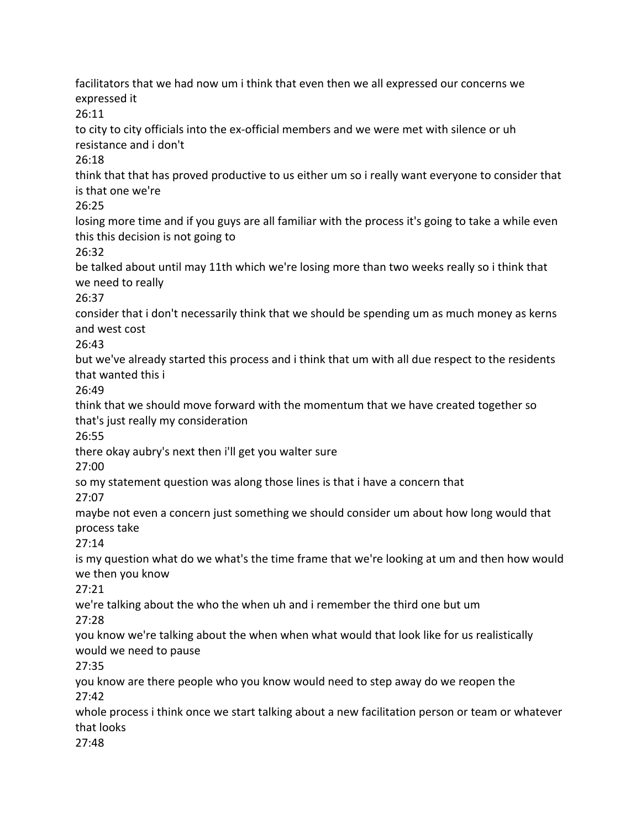facilitators that we had now um i think that even then we all expressed our concerns we expressed it 26:11 to city to city officials into the ex-official members and we were met with silence or uh resistance and i don't 26:18 think that that has proved productive to us either um so i really want everyone to consider that is that one we're 26:25 losing more time and if you guys are all familiar with the process it's going to take a while even this this decision is not going to 26:32 be talked about until may 11th which we're losing more than two weeks really so i think that we need to really 26:37 consider that i don't necessarily think that we should be spending um as much money as kerns and west cost 26:43 but we've already started this process and i think that um with all due respect to the residents that wanted this i 26:49 think that we should move forward with the momentum that we have created together so that's just really my consideration 26:55 there okay aubry's next then i'll get you walter sure 27:00 so my statement question was along those lines is that i have a concern that 27:07 maybe not even a concern just something we should consider um about how long would that process take 27:14 is my question what do we what's the time frame that we're looking at um and then how would we then you know 27:21 we're talking about the who the when uh and i remember the third one but um 27:28 you know we're talking about the when when what would that look like for us realistically would we need to pause 27:35 you know are there people who you know would need to step away do we reopen the 27:42 whole process i think once we start talking about a new facilitation person or team or whatever that looks 27:48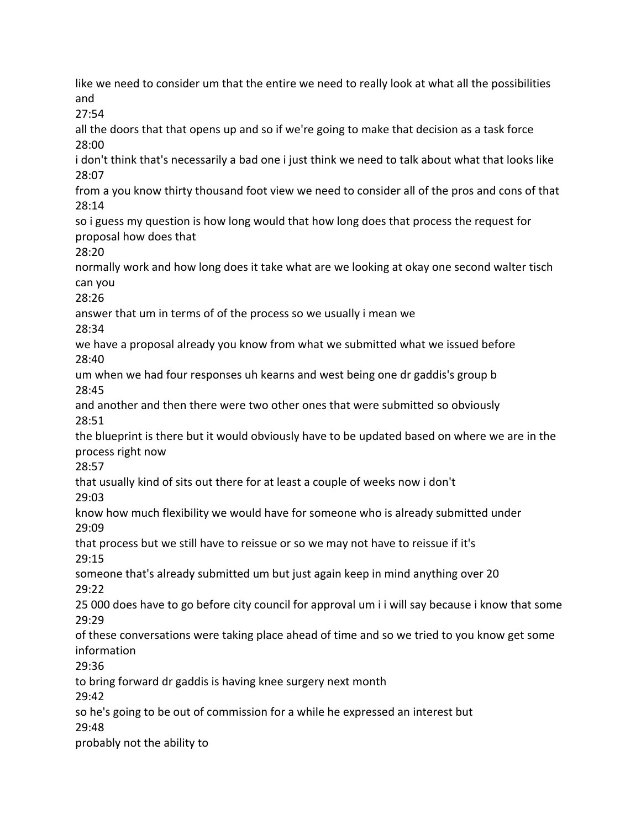like we need to consider um that the entire we need to really look at what all the possibilities and 27:54 all the doors that that opens up and so if we're going to make that decision as a task force 28:00 i don't think that's necessarily a bad one i just think we need to talk about what that looks like 28:07 from a you know thirty thousand foot view we need to consider all of the pros and cons of that 28:14 so i guess my question is how long would that how long does that process the request for proposal how does that 28:20 normally work and how long does it take what are we looking at okay one second walter tisch can you 28:26 answer that um in terms of of the process so we usually i mean we 28:34 we have a proposal already you know from what we submitted what we issued before 28:40 um when we had four responses uh kearns and west being one dr gaddis's group b 28:45 and another and then there were two other ones that were submitted so obviously 28:51 the blueprint is there but it would obviously have to be updated based on where we are in the process right now 28:57 that usually kind of sits out there for at least a couple of weeks now i don't 29:03 know how much flexibility we would have for someone who is already submitted under 29:09 that process but we still have to reissue or so we may not have to reissue if it's 29:15 someone that's already submitted um but just again keep in mind anything over 20 29:22 25 000 does have to go before city council for approval um i i will say because i know that some 29:29 of these conversations were taking place ahead of time and so we tried to you know get some information 29:36 to bring forward dr gaddis is having knee surgery next month 29:42 so he's going to be out of commission for a while he expressed an interest but 29:48 probably not the ability to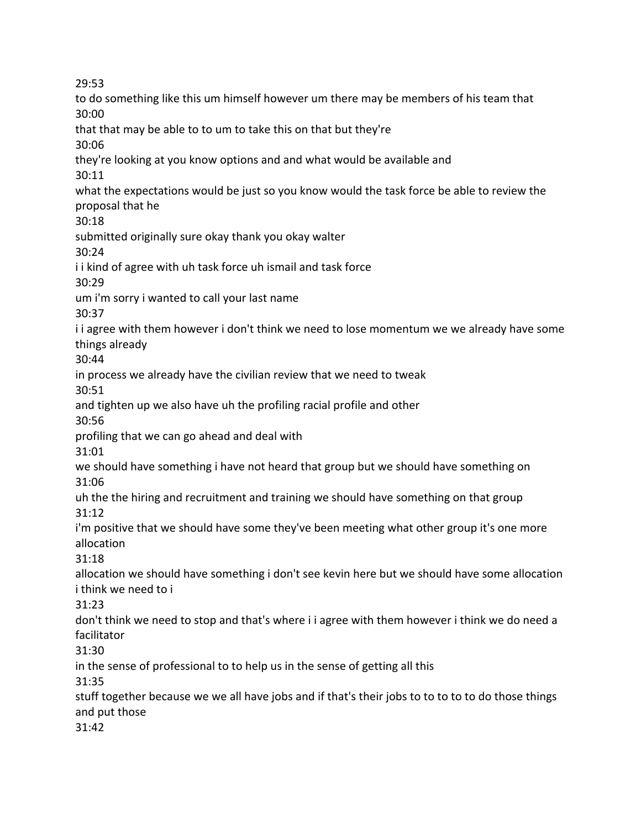to do something like this um himself however um there may be members of his team that 30:00 that that may be able to to um to take this on that but they're 30:06 they're looking at you know options and and what would be available and 30:11 what the expectations would be just so you know would the task force be able to review the proposal that he 30:18 submitted originally sure okay thank you okay walter 30:24 i i kind of agree with uh task force uh ismail and task force 30:29 um i'm sorry i wanted to call your last name 30:37 i i agree with them however i don't think we need to lose momentum we we already have some things already 30:44 in process we already have the civilian review that we need to tweak 30:51 and tighten up we also have uh the profiling racial profile and other 30:56 profiling that we can go ahead and deal with 31:01 we should have something i have not heard that group but we should have something on 31:06 uh the the hiring and recruitment and training we should have something on that group 31:12 i'm positive that we should have some they've been meeting what other group it's one more allocation 31:18 allocation we should have something i don't see kevin here but we should have some allocation i think we need to i 31:23 don't think we need to stop and that's where i i agree with them however i think we do need a facilitator 31:30 in the sense of professional to to help us in the sense of getting all this 31:35 stuff together because we we all have jobs and if that's their jobs to to to to to do those things and put those 31:42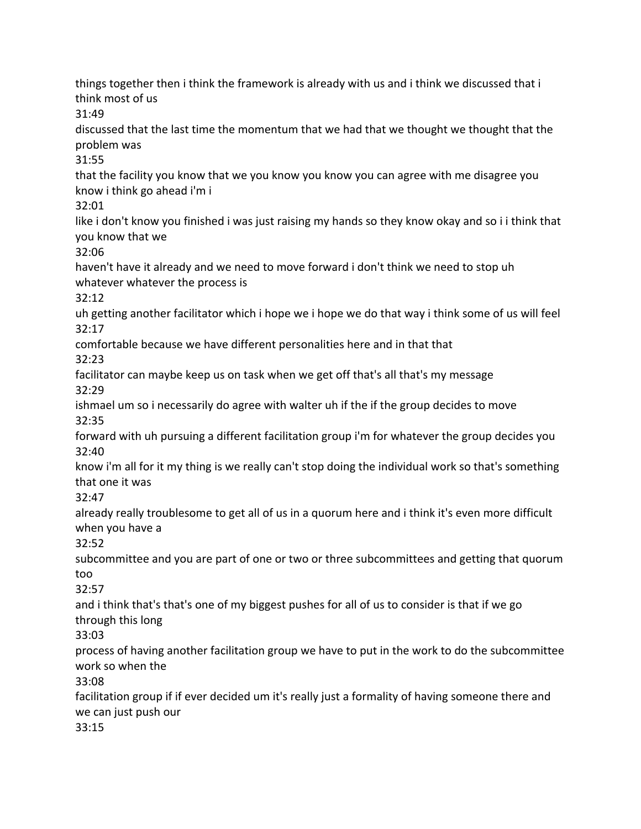things together then i think the framework is already with us and i think we discussed that i think most of us

31:49

discussed that the last time the momentum that we had that we thought we thought that the problem was

31:55

that the facility you know that we you know you know you can agree with me disagree you know i think go ahead i'm i

32:01

like i don't know you finished i was just raising my hands so they know okay and so i i think that you know that we

32:06

haven't have it already and we need to move forward i don't think we need to stop uh whatever whatever the process is

32:12

uh getting another facilitator which i hope we i hope we do that way i think some of us will feel 32:17

comfortable because we have different personalities here and in that that 32:23

facilitator can maybe keep us on task when we get off that's all that's my message 32:29

ishmael um so i necessarily do agree with walter uh if the if the group decides to move 32:35

forward with uh pursuing a different facilitation group i'm for whatever the group decides you 32:40

know i'm all for it my thing is we really can't stop doing the individual work so that's something that one it was

32:47

already really troublesome to get all of us in a quorum here and i think it's even more difficult when you have a

32:52

subcommittee and you are part of one or two or three subcommittees and getting that quorum too

32:57

and i think that's that's one of my biggest pushes for all of us to consider is that if we go through this long

33:03

process of having another facilitation group we have to put in the work to do the subcommittee work so when the

33:08

facilitation group if if ever decided um it's really just a formality of having someone there and we can just push our

33:15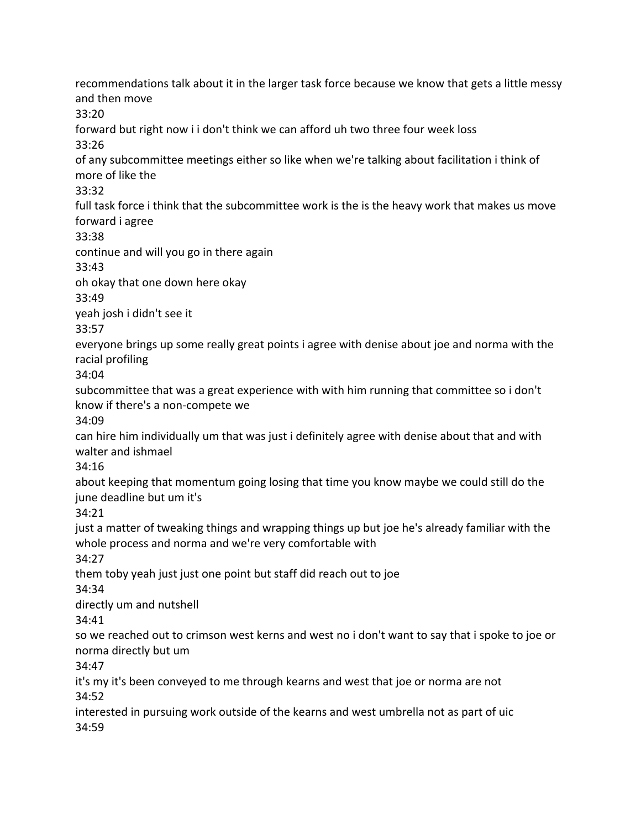recommendations talk about it in the larger task force because we know that gets a little messy and then move 33:20 forward but right now i i don't think we can afford uh two three four week loss 33:26 of any subcommittee meetings either so like when we're talking about facilitation i think of more of like the 33:32 full task force i think that the subcommittee work is the is the heavy work that makes us move forward i agree 33:38 continue and will you go in there again 33:43 oh okay that one down here okay 33:49 yeah josh i didn't see it 33:57 everyone brings up some really great points i agree with denise about joe and norma with the racial profiling 34:04 subcommittee that was a great experience with with him running that committee so i don't know if there's a non-compete we 34:09 can hire him individually um that was just i definitely agree with denise about that and with walter and ishmael 34:16 about keeping that momentum going losing that time you know maybe we could still do the june deadline but um it's 34:21 just a matter of tweaking things and wrapping things up but joe he's already familiar with the whole process and norma and we're very comfortable with 34:27 them toby yeah just just one point but staff did reach out to joe 34:34 directly um and nutshell 34:41 so we reached out to crimson west kerns and west no i don't want to say that i spoke to joe or norma directly but um 34:47 it's my it's been conveyed to me through kearns and west that joe or norma are not 34:52 interested in pursuing work outside of the kearns and west umbrella not as part of uic 34:59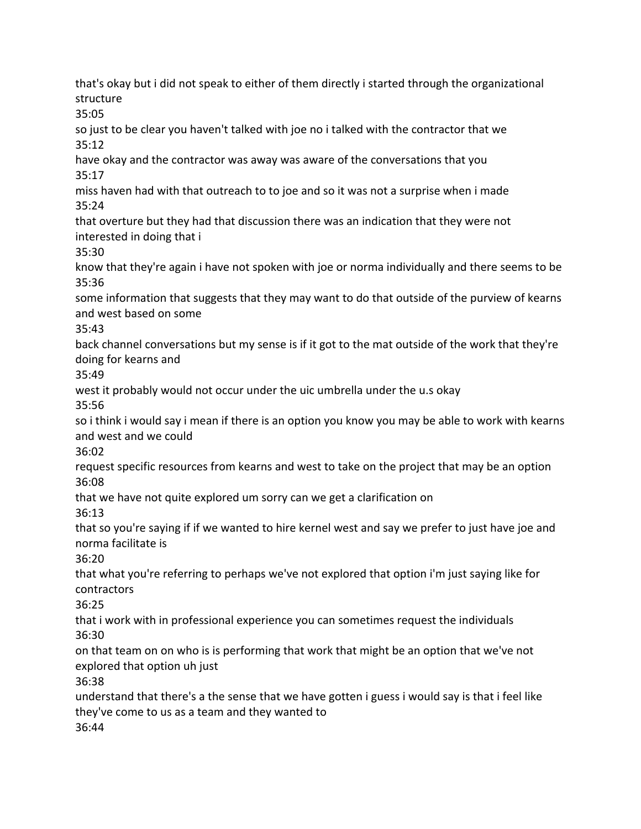that's okay but i did not speak to either of them directly i started through the organizational structure 35:05 so just to be clear you haven't talked with joe no i talked with the contractor that we 35:12 have okay and the contractor was away was aware of the conversations that you 35:17 miss haven had with that outreach to to joe and so it was not a surprise when i made 35:24 that overture but they had that discussion there was an indication that they were not interested in doing that i 35:30 know that they're again i have not spoken with joe or norma individually and there seems to be 35:36 some information that suggests that they may want to do that outside of the purview of kearns and west based on some 35:43 back channel conversations but my sense is if it got to the mat outside of the work that they're doing for kearns and 35:49 west it probably would not occur under the uic umbrella under the u.s okay 35:56 so i think i would say i mean if there is an option you know you may be able to work with kearns and west and we could 36:02 request specific resources from kearns and west to take on the project that may be an option 36:08 that we have not quite explored um sorry can we get a clarification on 36:13 that so you're saying if if we wanted to hire kernel west and say we prefer to just have joe and norma facilitate is 36:20 that what you're referring to perhaps we've not explored that option i'm just saying like for contractors 36:25 that i work with in professional experience you can sometimes request the individuals 36:30 on that team on on who is is performing that work that might be an option that we've not explored that option uh just 36:38 understand that there's a the sense that we have gotten i guess i would say is that i feel like they've come to us as a team and they wanted to 36:44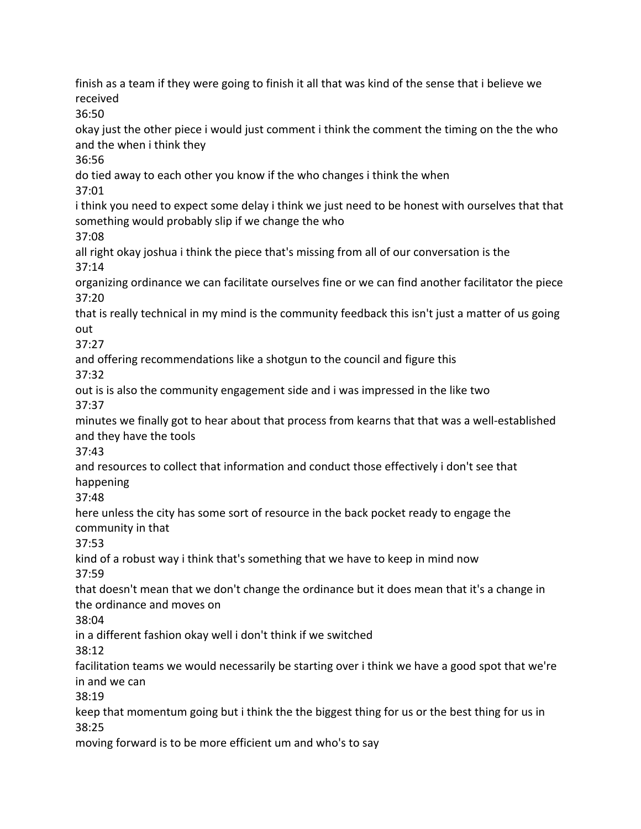finish as a team if they were going to finish it all that was kind of the sense that i believe we received 36:50 okay just the other piece i would just comment i think the comment the timing on the the who and the when i think they 36:56 do tied away to each other you know if the who changes i think the when 37:01 i think you need to expect some delay i think we just need to be honest with ourselves that that something would probably slip if we change the who 37:08 all right okay joshua i think the piece that's missing from all of our conversation is the 37:14 organizing ordinance we can facilitate ourselves fine or we can find another facilitator the piece 37:20 that is really technical in my mind is the community feedback this isn't just a matter of us going out 37:27 and offering recommendations like a shotgun to the council and figure this 37:32 out is is also the community engagement side and i was impressed in the like two 37:37 minutes we finally got to hear about that process from kearns that that was a well-established and they have the tools 37:43 and resources to collect that information and conduct those effectively i don't see that happening 37:48 here unless the city has some sort of resource in the back pocket ready to engage the community in that 37:53 kind of a robust way i think that's something that we have to keep in mind now 37:59 that doesn't mean that we don't change the ordinance but it does mean that it's a change in the ordinance and moves on 38:04 in a different fashion okay well i don't think if we switched 38:12 facilitation teams we would necessarily be starting over i think we have a good spot that we're in and we can 38:19 keep that momentum going but i think the the biggest thing for us or the best thing for us in 38:25 moving forward is to be more efficient um and who's to say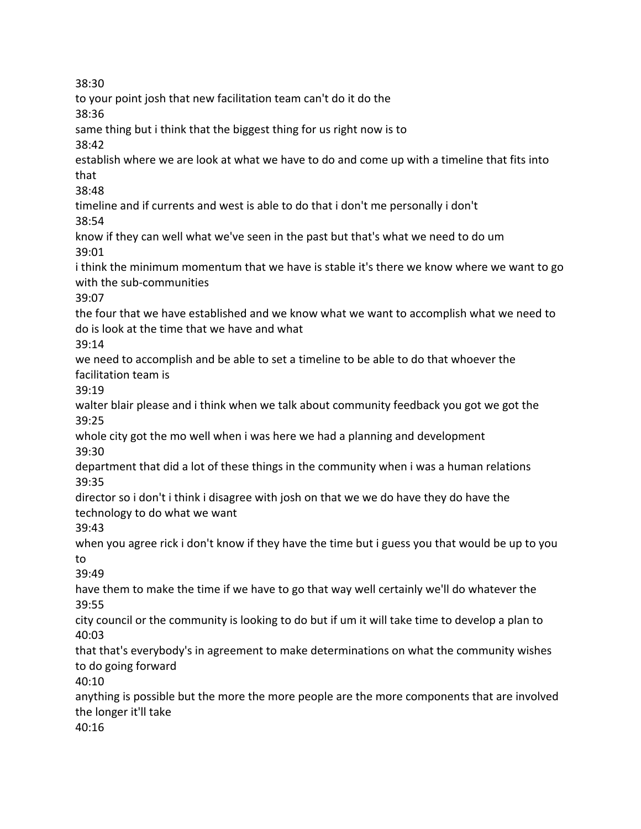38:30 to your point josh that new facilitation team can't do it do the 38:36 same thing but i think that the biggest thing for us right now is to 38:42 establish where we are look at what we have to do and come up with a timeline that fits into that 38:48 timeline and if currents and west is able to do that i don't me personally i don't 38:54 know if they can well what we've seen in the past but that's what we need to do um 39:01 i think the minimum momentum that we have is stable it's there we know where we want to go with the sub-communities 39:07 the four that we have established and we know what we want to accomplish what we need to do is look at the time that we have and what 39:14 we need to accomplish and be able to set a timeline to be able to do that whoever the facilitation team is 39:19 walter blair please and i think when we talk about community feedback you got we got the 39:25 whole city got the mo well when i was here we had a planning and development 39:30 department that did a lot of these things in the community when i was a human relations 39:35 director so i don't i think i disagree with josh on that we we do have they do have the technology to do what we want 39:43 when you agree rick i don't know if they have the time but i guess you that would be up to you to 39:49 have them to make the time if we have to go that way well certainly we'll do whatever the 39:55 city council or the community is looking to do but if um it will take time to develop a plan to 40:03 that that's everybody's in agreement to make determinations on what the community wishes to do going forward 40:10 anything is possible but the more the more people are the more components that are involved the longer it'll take 40:16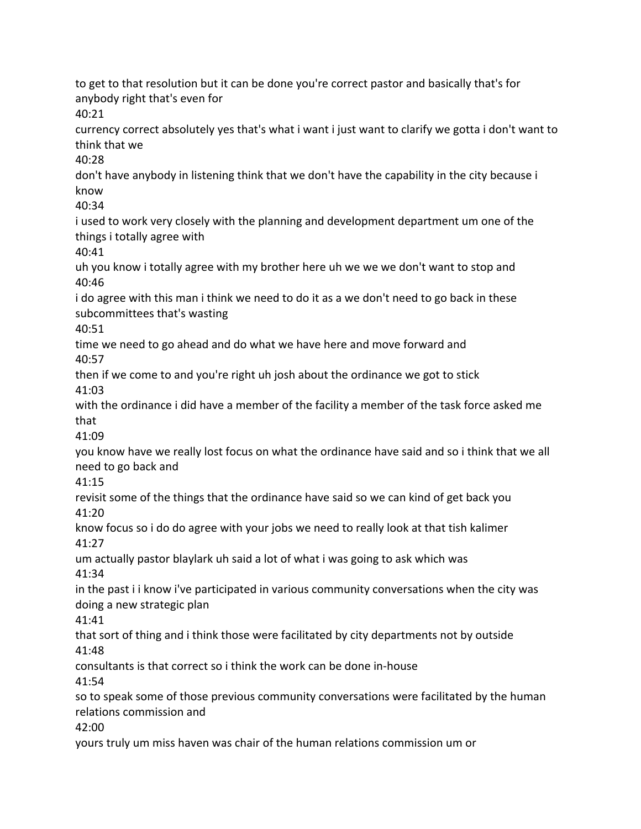to get to that resolution but it can be done you're correct pastor and basically that's for anybody right that's even for  $40:21$ currency correct absolutely yes that's what i want i just want to clarify we gotta i don't want to think that we 40:28 don't have anybody in listening think that we don't have the capability in the city because i know 40:34 i used to work very closely with the planning and development department um one of the things i totally agree with 40:41 uh you know i totally agree with my brother here uh we we we don't want to stop and 40:46 i do agree with this man i think we need to do it as a we don't need to go back in these subcommittees that's wasting 40:51 time we need to go ahead and do what we have here and move forward and 40:57 then if we come to and you're right uh josh about the ordinance we got to stick 41:03 with the ordinance i did have a member of the facility a member of the task force asked me that 41:09 you know have we really lost focus on what the ordinance have said and so i think that we all need to go back and 41:15 revisit some of the things that the ordinance have said so we can kind of get back you 41:20 know focus so i do do agree with your jobs we need to really look at that tish kalimer 41:27 um actually pastor blaylark uh said a lot of what i was going to ask which was 41:34 in the past i i know i've participated in various community conversations when the city was doing a new strategic plan 41:41 that sort of thing and i think those were facilitated by city departments not by outside 41:48 consultants is that correct so i think the work can be done in-house 41:54 so to speak some of those previous community conversations were facilitated by the human relations commission and 42:00 yours truly um miss haven was chair of the human relations commission um or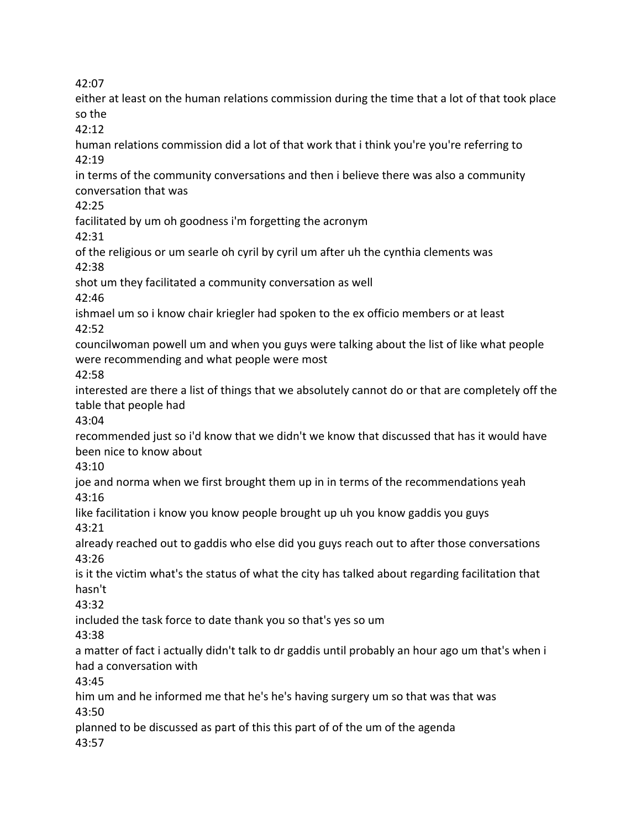either at least on the human relations commission during the time that a lot of that took place so the 42:12 human relations commission did a lot of that work that i think you're you're referring to 42:19 in terms of the community conversations and then i believe there was also a community conversation that was 42:25 facilitated by um oh goodness i'm forgetting the acronym 42:31 of the religious or um searle oh cyril by cyril um after uh the cynthia clements was 42:38 shot um they facilitated a community conversation as well 42:46 ishmael um so i know chair kriegler had spoken to the ex officio members or at least 42:52 councilwoman powell um and when you guys were talking about the list of like what people were recommending and what people were most 42:58 interested are there a list of things that we absolutely cannot do or that are completely off the table that people had 43:04 recommended just so i'd know that we didn't we know that discussed that has it would have been nice to know about 43:10 joe and norma when we first brought them up in in terms of the recommendations yeah 43:16 like facilitation i know you know people brought up uh you know gaddis you guys 43:21 already reached out to gaddis who else did you guys reach out to after those conversations 43:26 is it the victim what's the status of what the city has talked about regarding facilitation that hasn't 43:32 included the task force to date thank you so that's yes so um 43:38 a matter of fact i actually didn't talk to dr gaddis until probably an hour ago um that's when i had a conversation with 43:45 him um and he informed me that he's he's having surgery um so that was that was 43:50 planned to be discussed as part of this this part of of the um of the agenda 43:57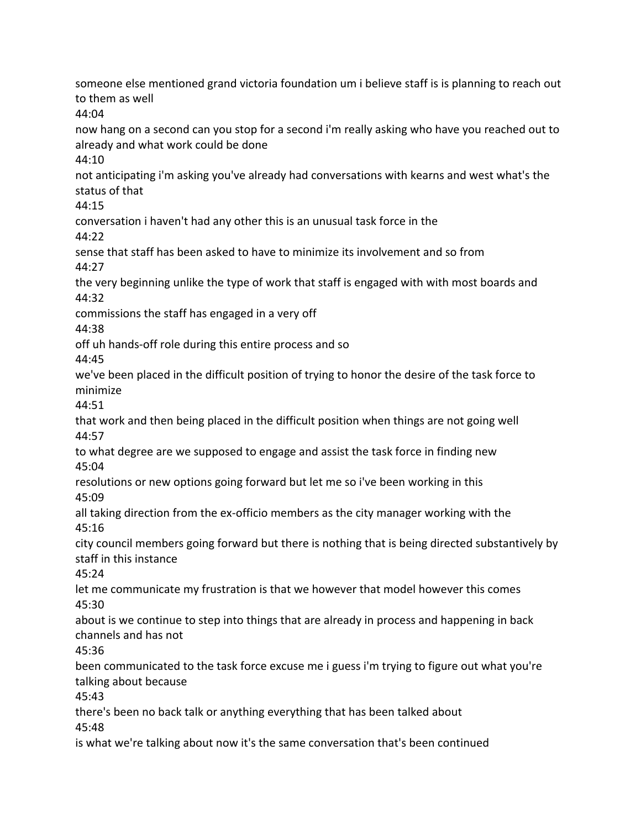someone else mentioned grand victoria foundation um i believe staff is is planning to reach out to them as well 44:04 now hang on a second can you stop for a second i'm really asking who have you reached out to already and what work could be done 44:10 not anticipating i'm asking you've already had conversations with kearns and west what's the status of that 44:15 conversation i haven't had any other this is an unusual task force in the 44:22 sense that staff has been asked to have to minimize its involvement and so from 44:27 the very beginning unlike the type of work that staff is engaged with with most boards and 44:32 commissions the staff has engaged in a very off 44:38 off uh hands-off role during this entire process and so 44:45 we've been placed in the difficult position of trying to honor the desire of the task force to minimize 44:51 that work and then being placed in the difficult position when things are not going well 44:57 to what degree are we supposed to engage and assist the task force in finding new 45:04 resolutions or new options going forward but let me so i've been working in this 45:09 all taking direction from the ex-officio members as the city manager working with the 45:16 city council members going forward but there is nothing that is being directed substantively by staff in this instance 45:24 let me communicate my frustration is that we however that model however this comes 45:30 about is we continue to step into things that are already in process and happening in back channels and has not 45:36 been communicated to the task force excuse me i guess i'm trying to figure out what you're talking about because 45:43 there's been no back talk or anything everything that has been talked about 45:48 is what we're talking about now it's the same conversation that's been continued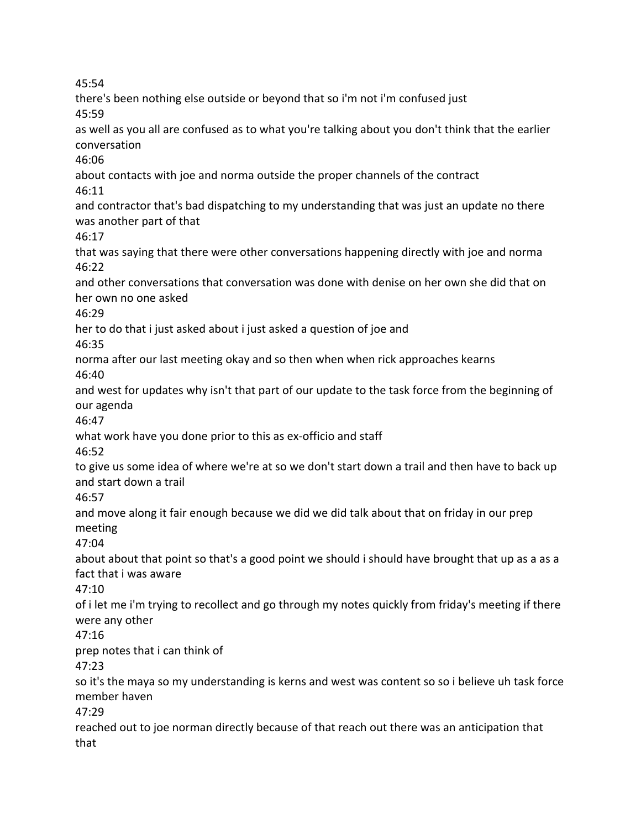there's been nothing else outside or beyond that so i'm not i'm confused just 45:59 as well as you all are confused as to what you're talking about you don't think that the earlier conversation 46:06 about contacts with joe and norma outside the proper channels of the contract 46:11 and contractor that's bad dispatching to my understanding that was just an update no there was another part of that 46:17 that was saying that there were other conversations happening directly with joe and norma 46:22 and other conversations that conversation was done with denise on her own she did that on her own no one asked 46:29 her to do that i just asked about i just asked a question of joe and 46:35 norma after our last meeting okay and so then when when rick approaches kearns 46:40 and west for updates why isn't that part of our update to the task force from the beginning of our agenda 46:47 what work have you done prior to this as ex-officio and staff 46:52 to give us some idea of where we're at so we don't start down a trail and then have to back up and start down a trail 46:57 and move along it fair enough because we did we did talk about that on friday in our prep meeting 47:04 about about that point so that's a good point we should i should have brought that up as a as a fact that i was aware 47:10 of i let me i'm trying to recollect and go through my notes quickly from friday's meeting if there were any other 47:16 prep notes that i can think of 47:23 so it's the maya so my understanding is kerns and west was content so so i believe uh task force member haven 47:29 reached out to joe norman directly because of that reach out there was an anticipation that that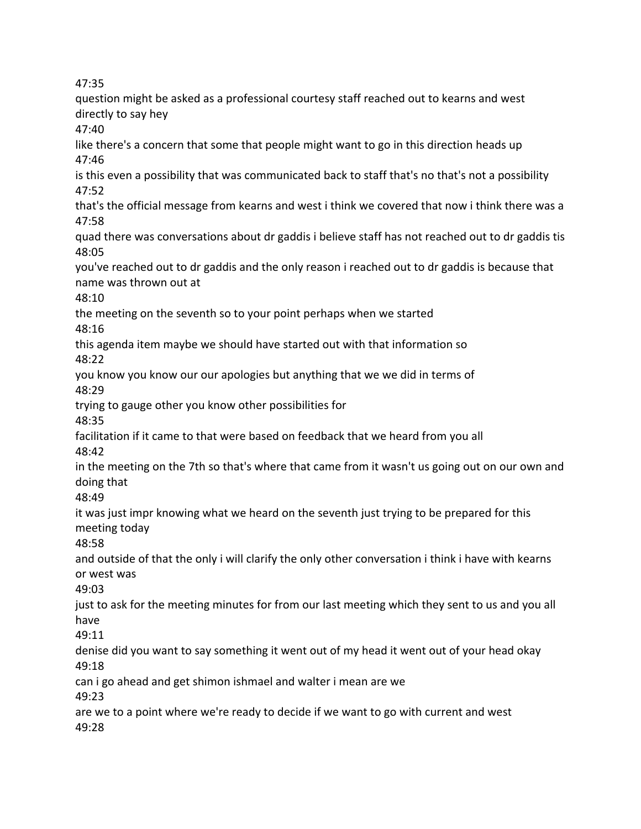question might be asked as a professional courtesy staff reached out to kearns and west directly to say hey 47:40 like there's a concern that some that people might want to go in this direction heads up 47:46 is this even a possibility that was communicated back to staff that's no that's not a possibility 47:52 that's the official message from kearns and west i think we covered that now i think there was a 47:58 quad there was conversations about dr gaddis i believe staff has not reached out to dr gaddis tis 48:05 you've reached out to dr gaddis and the only reason i reached out to dr gaddis is because that name was thrown out at 48:10 the meeting on the seventh so to your point perhaps when we started 48:16 this agenda item maybe we should have started out with that information so 48:22 you know you know our our apologies but anything that we we did in terms of 48:29 trying to gauge other you know other possibilities for 48:35 facilitation if it came to that were based on feedback that we heard from you all 48:42 in the meeting on the 7th so that's where that came from it wasn't us going out on our own and doing that 48:49 it was just impr knowing what we heard on the seventh just trying to be prepared for this meeting today 48:58 and outside of that the only i will clarify the only other conversation i think i have with kearns or west was 49:03 just to ask for the meeting minutes for from our last meeting which they sent to us and you all have 49:11 denise did you want to say something it went out of my head it went out of your head okay 49:18 can i go ahead and get shimon ishmael and walter i mean are we 49:23 are we to a point where we're ready to decide if we want to go with current and west 49:28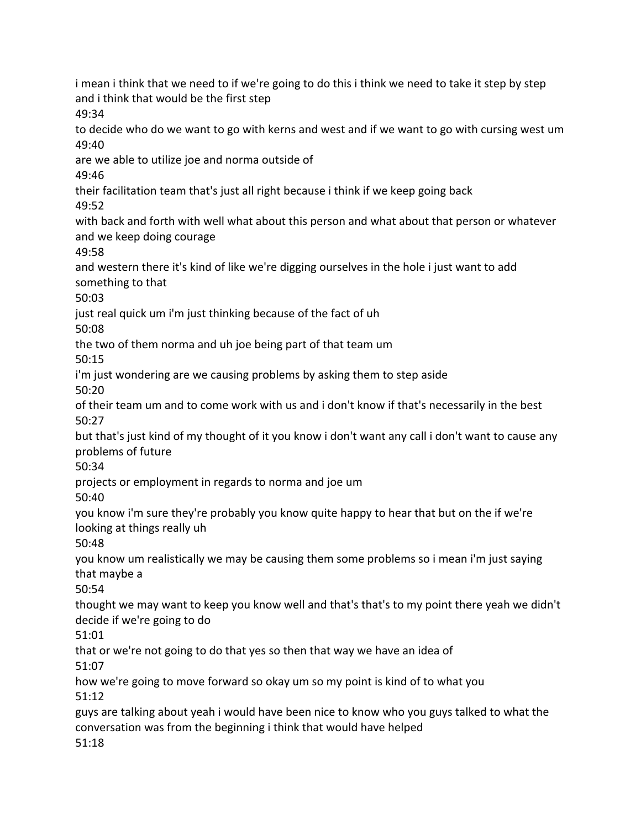i mean i think that we need to if we're going to do this i think we need to take it step by step and i think that would be the first step 49:34 to decide who do we want to go with kerns and west and if we want to go with cursing west um 49:40 are we able to utilize joe and norma outside of 49:46 their facilitation team that's just all right because i think if we keep going back 49:52 with back and forth with well what about this person and what about that person or whatever and we keep doing courage 49:58 and western there it's kind of like we're digging ourselves in the hole i just want to add something to that 50:03 just real quick um i'm just thinking because of the fact of uh 50:08 the two of them norma and uh joe being part of that team um 50:15 i'm just wondering are we causing problems by asking them to step aside 50:20 of their team um and to come work with us and i don't know if that's necessarily in the best 50:27 but that's just kind of my thought of it you know i don't want any call i don't want to cause any problems of future 50:34 projects or employment in regards to norma and joe um 50:40 you know i'm sure they're probably you know quite happy to hear that but on the if we're looking at things really uh 50:48 you know um realistically we may be causing them some problems so i mean i'm just saying that maybe a 50:54 thought we may want to keep you know well and that's that's to my point there yeah we didn't decide if we're going to do 51:01 that or we're not going to do that yes so then that way we have an idea of 51:07 how we're going to move forward so okay um so my point is kind of to what you 51:12 guys are talking about yeah i would have been nice to know who you guys talked to what the conversation was from the beginning i think that would have helped 51:18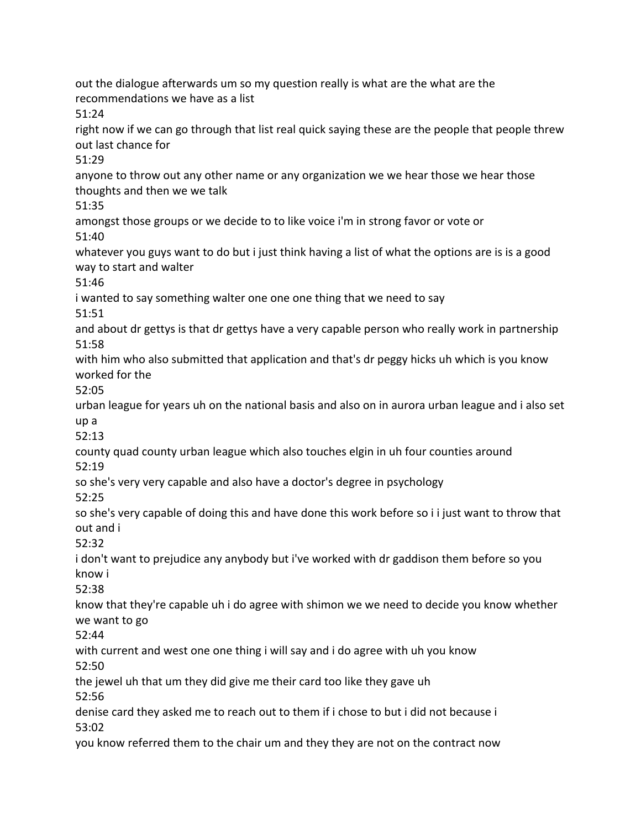out the dialogue afterwards um so my question really is what are the what are the recommendations we have as a list 51:24 right now if we can go through that list real quick saying these are the people that people threw out last chance for 51:29 anyone to throw out any other name or any organization we we hear those we hear those thoughts and then we we talk 51:35 amongst those groups or we decide to to like voice i'm in strong favor or vote or 51:40 whatever you guys want to do but i just think having a list of what the options are is is a good way to start and walter 51:46 i wanted to say something walter one one one thing that we need to say 51:51 and about dr gettys is that dr gettys have a very capable person who really work in partnership 51:58 with him who also submitted that application and that's dr peggy hicks uh which is you know worked for the 52:05 urban league for years uh on the national basis and also on in aurora urban league and i also set up a 52:13 county quad county urban league which also touches elgin in uh four counties around 52:19 so she's very very capable and also have a doctor's degree in psychology 52:25 so she's very capable of doing this and have done this work before so i i just want to throw that out and i 52:32 i don't want to prejudice any anybody but i've worked with dr gaddison them before so you know i 52:38 know that they're capable uh i do agree with shimon we we need to decide you know whether we want to go 52:44 with current and west one one thing i will say and i do agree with uh you know 52:50 the jewel uh that um they did give me their card too like they gave uh 52:56 denise card they asked me to reach out to them if i chose to but i did not because i 53:02 you know referred them to the chair um and they they are not on the contract now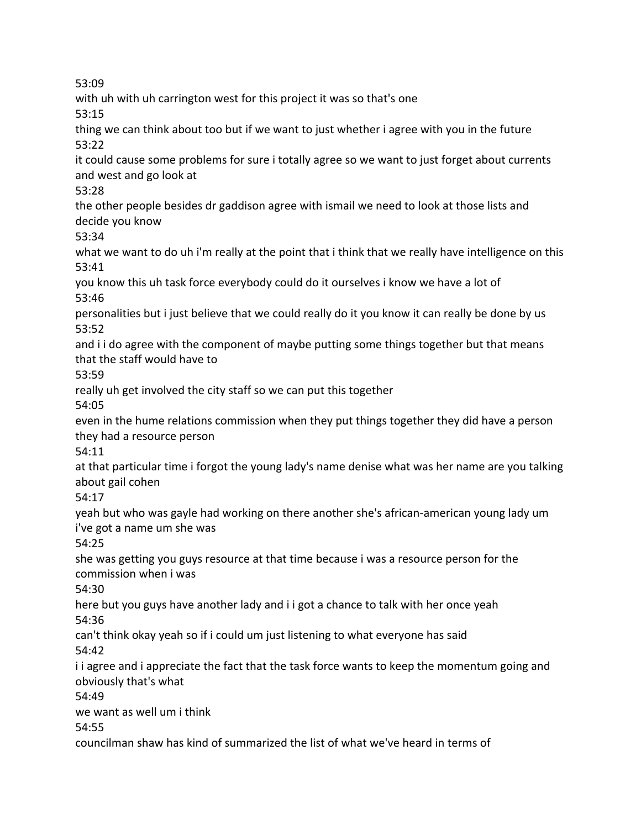with uh with uh carrington west for this project it was so that's one

53:15

thing we can think about too but if we want to just whether i agree with you in the future 53:22

it could cause some problems for sure i totally agree so we want to just forget about currents and west and go look at

53:28

the other people besides dr gaddison agree with ismail we need to look at those lists and decide you know

53:34

what we want to do uh i'm really at the point that i think that we really have intelligence on this 53:41

you know this uh task force everybody could do it ourselves i know we have a lot of 53:46

personalities but i just believe that we could really do it you know it can really be done by us 53:52

and i i do agree with the component of maybe putting some things together but that means that the staff would have to

53:59

really uh get involved the city staff so we can put this together

54:05

even in the hume relations commission when they put things together they did have a person they had a resource person

54:11

at that particular time i forgot the young lady's name denise what was her name are you talking about gail cohen

54:17

yeah but who was gayle had working on there another she's african-american young lady um i've got a name um she was

54:25

she was getting you guys resource at that time because i was a resource person for the commission when i was

54:30

here but you guys have another lady and i i got a chance to talk with her once yeah 54:36

can't think okay yeah so if i could um just listening to what everyone has said 54:42

i i agree and i appreciate the fact that the task force wants to keep the momentum going and obviously that's what

54:49

we want as well um i think

54:55

councilman shaw has kind of summarized the list of what we've heard in terms of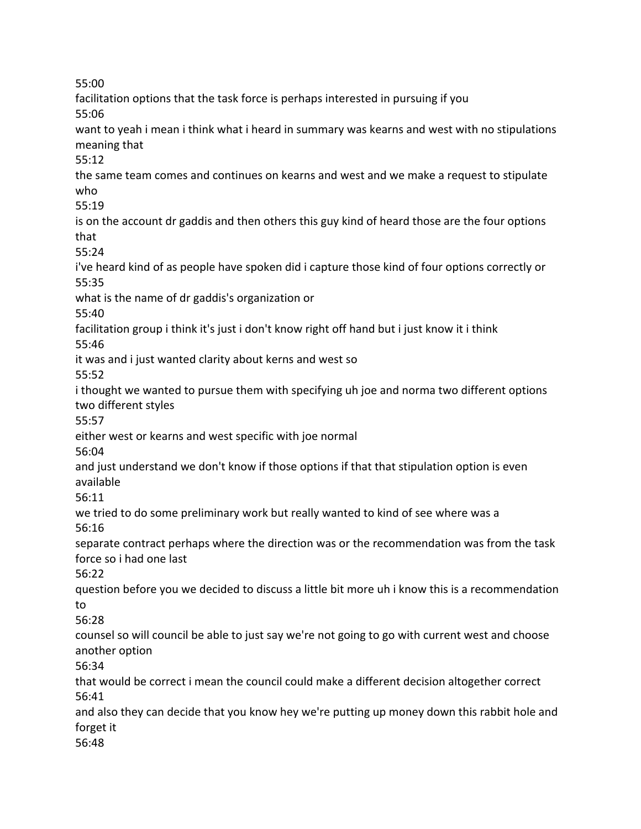facilitation options that the task force is perhaps interested in pursuing if you 55:06 want to yeah i mean i think what i heard in summary was kearns and west with no stipulations meaning that 55:12 the same team comes and continues on kearns and west and we make a request to stipulate who 55:19 is on the account dr gaddis and then others this guy kind of heard those are the four options that 55:24 i've heard kind of as people have spoken did i capture those kind of four options correctly or 55:35 what is the name of dr gaddis's organization or 55:40 facilitation group i think it's just i don't know right off hand but i just know it i think 55:46 it was and i just wanted clarity about kerns and west so 55:52 i thought we wanted to pursue them with specifying uh joe and norma two different options two different styles 55:57 either west or kearns and west specific with joe normal 56:04 and just understand we don't know if those options if that that stipulation option is even available 56:11 we tried to do some preliminary work but really wanted to kind of see where was a 56:16 separate contract perhaps where the direction was or the recommendation was from the task force so i had one last 56:22 question before you we decided to discuss a little bit more uh i know this is a recommendation to 56:28 counsel so will council be able to just say we're not going to go with current west and choose another option 56:34 that would be correct i mean the council could make a different decision altogether correct 56:41 and also they can decide that you know hey we're putting up money down this rabbit hole and forget it 56:48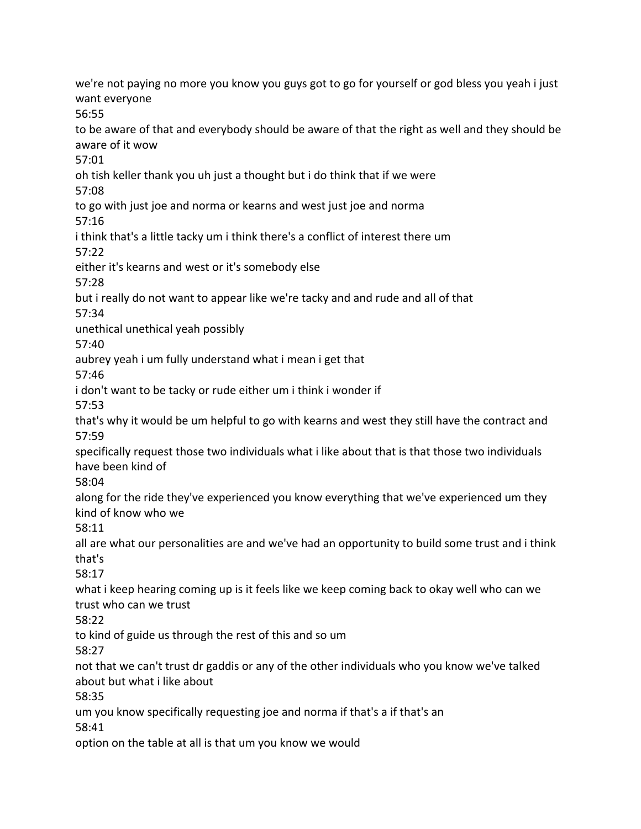we're not paying no more you know you guys got to go for yourself or god bless you yeah i just want everyone 56:55 to be aware of that and everybody should be aware of that the right as well and they should be aware of it wow 57:01 oh tish keller thank you uh just a thought but i do think that if we were 57:08 to go with just joe and norma or kearns and west just joe and norma 57:16 i think that's a little tacky um i think there's a conflict of interest there um 57:22 either it's kearns and west or it's somebody else 57:28 but i really do not want to appear like we're tacky and and rude and all of that 57:34 unethical unethical yeah possibly 57:40 aubrey yeah i um fully understand what i mean i get that 57:46 i don't want to be tacky or rude either um i think i wonder if 57:53 that's why it would be um helpful to go with kearns and west they still have the contract and 57:59 specifically request those two individuals what i like about that is that those two individuals have been kind of 58:04 along for the ride they've experienced you know everything that we've experienced um they kind of know who we 58:11 all are what our personalities are and we've had an opportunity to build some trust and i think that's 58:17 what i keep hearing coming up is it feels like we keep coming back to okay well who can we trust who can we trust 58:22 to kind of guide us through the rest of this and so um 58:27 not that we can't trust dr gaddis or any of the other individuals who you know we've talked about but what i like about 58:35 um you know specifically requesting joe and norma if that's a if that's an 58:41 option on the table at all is that um you know we would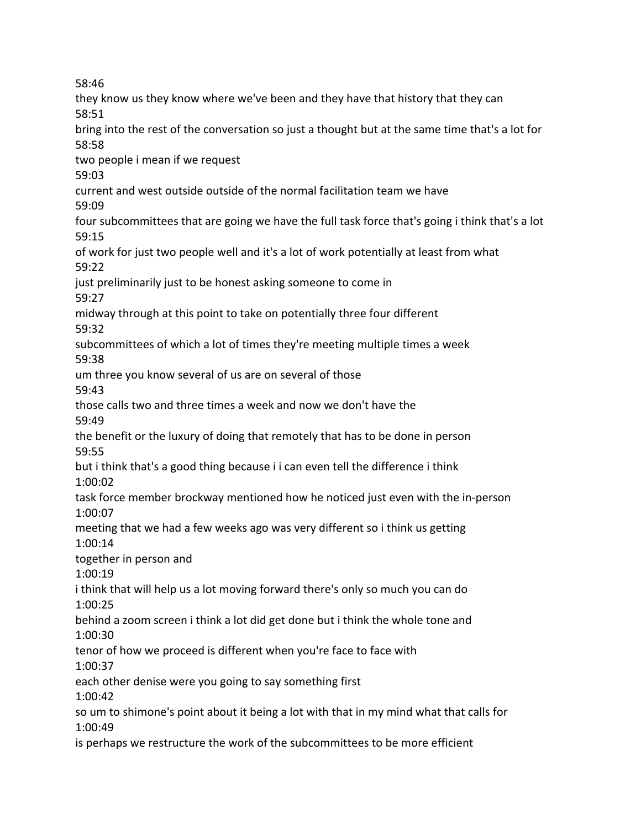they know us they know where we've been and they have that history that they can 58:51 bring into the rest of the conversation so just a thought but at the same time that's a lot for 58:58 two people i mean if we request 59:03 current and west outside outside of the normal facilitation team we have 59:09 four subcommittees that are going we have the full task force that's going i think that's a lot 59:15 of work for just two people well and it's a lot of work potentially at least from what 59:22 just preliminarily just to be honest asking someone to come in 59:27 midway through at this point to take on potentially three four different 59:32 subcommittees of which a lot of times they're meeting multiple times a week 59:38 um three you know several of us are on several of those 59:43 those calls two and three times a week and now we don't have the 59:49 the benefit or the luxury of doing that remotely that has to be done in person 59:55 but i think that's a good thing because i i can even tell the difference i think 1:00:02 task force member brockway mentioned how he noticed just even with the in-person 1:00:07 meeting that we had a few weeks ago was very different so i think us getting 1:00:14 together in person and 1:00:19 i think that will help us a lot moving forward there's only so much you can do 1:00:25 behind a zoom screen i think a lot did get done but i think the whole tone and 1:00:30 tenor of how we proceed is different when you're face to face with 1:00:37 each other denise were you going to say something first 1:00:42 so um to shimone's point about it being a lot with that in my mind what that calls for 1:00:49 is perhaps we restructure the work of the subcommittees to be more efficient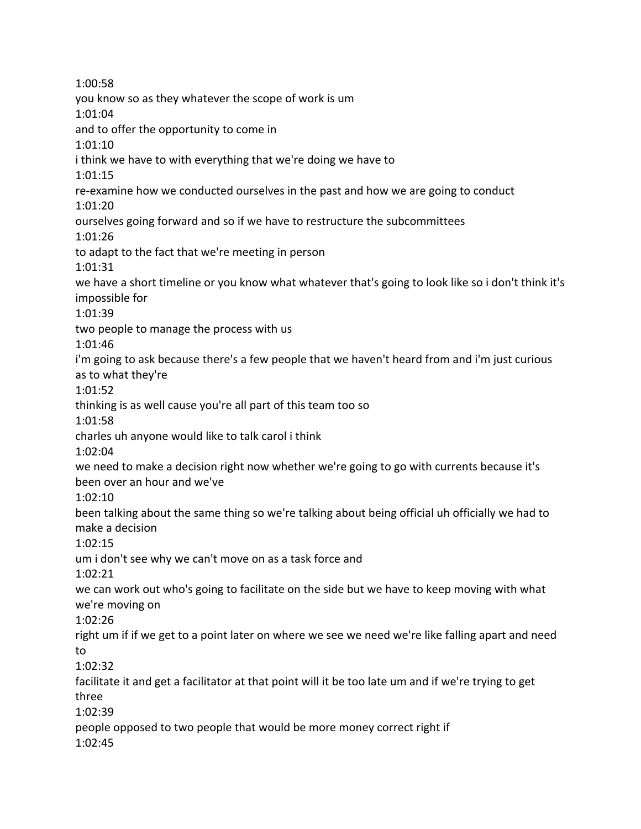1:00:58 you know so as they whatever the scope of work is um 1:01:04 and to offer the opportunity to come in 1:01:10 i think we have to with everything that we're doing we have to 1:01:15 re-examine how we conducted ourselves in the past and how we are going to conduct 1:01:20 ourselves going forward and so if we have to restructure the subcommittees 1:01:26 to adapt to the fact that we're meeting in person 1:01:31 we have a short timeline or you know what whatever that's going to look like so i don't think it's impossible for 1:01:39 two people to manage the process with us 1:01:46 i'm going to ask because there's a few people that we haven't heard from and i'm just curious as to what they're 1:01:52 thinking is as well cause you're all part of this team too so 1:01:58 charles uh anyone would like to talk carol i think 1:02:04 we need to make a decision right now whether we're going to go with currents because it's been over an hour and we've 1:02:10 been talking about the same thing so we're talking about being official uh officially we had to make a decision 1:02:15 um i don't see why we can't move on as a task force and 1:02:21 we can work out who's going to facilitate on the side but we have to keep moving with what we're moving on 1:02:26 right um if if we get to a point later on where we see we need we're like falling apart and need to 1:02:32 facilitate it and get a facilitator at that point will it be too late um and if we're trying to get three 1:02:39 people opposed to two people that would be more money correct right if 1:02:45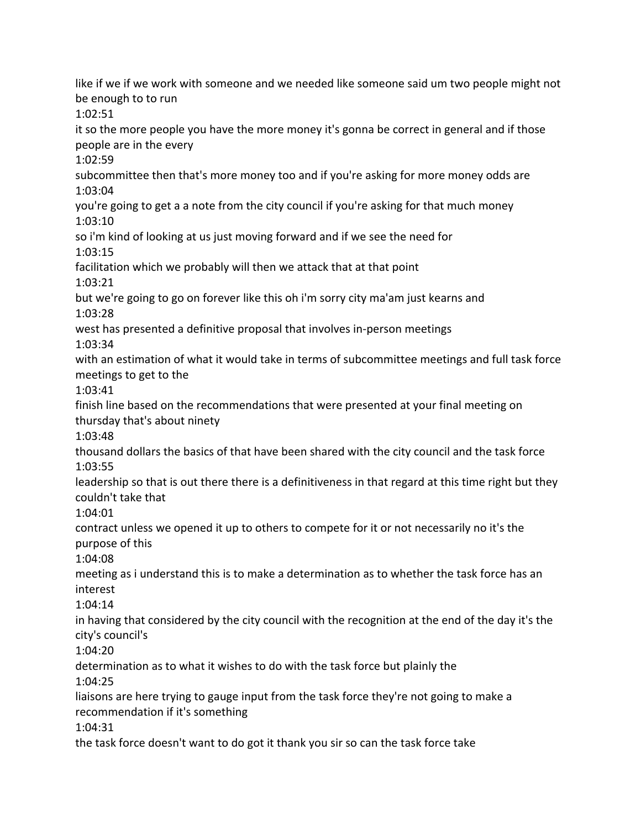like if we if we work with someone and we needed like someone said um two people might not be enough to to run 1:02:51 it so the more people you have the more money it's gonna be correct in general and if those people are in the every 1:02:59 subcommittee then that's more money too and if you're asking for more money odds are 1:03:04 you're going to get a a note from the city council if you're asking for that much money 1:03:10 so i'm kind of looking at us just moving forward and if we see the need for 1:03:15 facilitation which we probably will then we attack that at that point 1:03:21 but we're going to go on forever like this oh i'm sorry city ma'am just kearns and 1:03:28 west has presented a definitive proposal that involves in-person meetings 1:03:34 with an estimation of what it would take in terms of subcommittee meetings and full task force meetings to get to the 1:03:41 finish line based on the recommendations that were presented at your final meeting on thursday that's about ninety 1:03:48 thousand dollars the basics of that have been shared with the city council and the task force 1:03:55 leadership so that is out there there is a definitiveness in that regard at this time right but they couldn't take that 1:04:01 contract unless we opened it up to others to compete for it or not necessarily no it's the purpose of this 1:04:08 meeting as i understand this is to make a determination as to whether the task force has an interest 1:04:14 in having that considered by the city council with the recognition at the end of the day it's the city's council's 1:04:20 determination as to what it wishes to do with the task force but plainly the 1:04:25 liaisons are here trying to gauge input from the task force they're not going to make a recommendation if it's something 1:04:31 the task force doesn't want to do got it thank you sir so can the task force take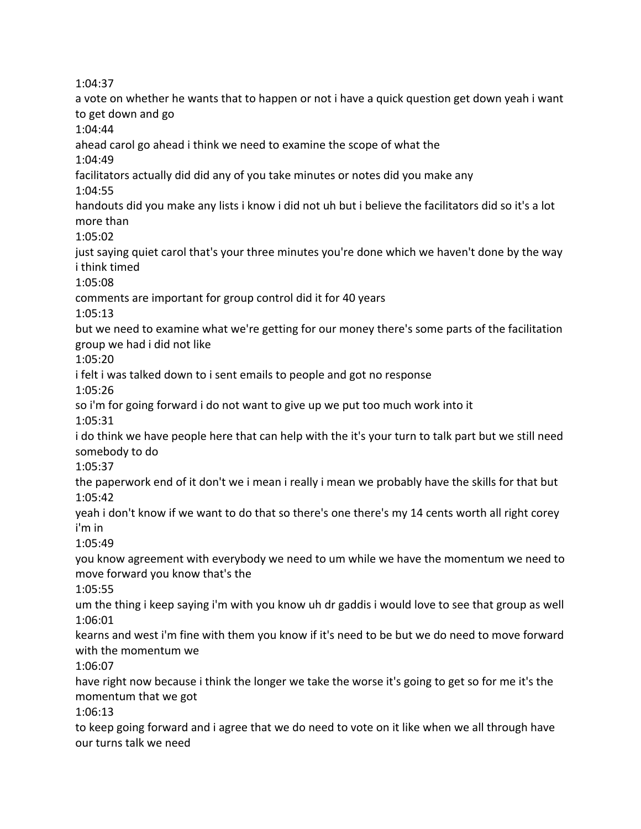1:04:37

a vote on whether he wants that to happen or not i have a quick question get down yeah i want to get down and go 1:04:44 ahead carol go ahead i think we need to examine the scope of what the 1:04:49 facilitators actually did did any of you take minutes or notes did you make any 1:04:55 handouts did you make any lists i know i did not uh but i believe the facilitators did so it's a lot more than 1:05:02 just saying quiet carol that's your three minutes you're done which we haven't done by the way i think timed 1:05:08 comments are important for group control did it for 40 years 1:05:13 but we need to examine what we're getting for our money there's some parts of the facilitation group we had i did not like 1:05:20 i felt i was talked down to i sent emails to people and got no response 1:05:26 so i'm for going forward i do not want to give up we put too much work into it 1:05:31 i do think we have people here that can help with the it's your turn to talk part but we still need somebody to do 1:05:37 the paperwork end of it don't we i mean i really i mean we probably have the skills for that but 1:05:42 yeah i don't know if we want to do that so there's one there's my 14 cents worth all right corey i'm in 1:05:49 you know agreement with everybody we need to um while we have the momentum we need to move forward you know that's the 1:05:55 um the thing i keep saying i'm with you know uh dr gaddis i would love to see that group as well 1:06:01 kearns and west i'm fine with them you know if it's need to be but we do need to move forward with the momentum we 1:06:07 have right now because i think the longer we take the worse it's going to get so for me it's the momentum that we got 1:06:13 to keep going forward and i agree that we do need to vote on it like when we all through have our turns talk we need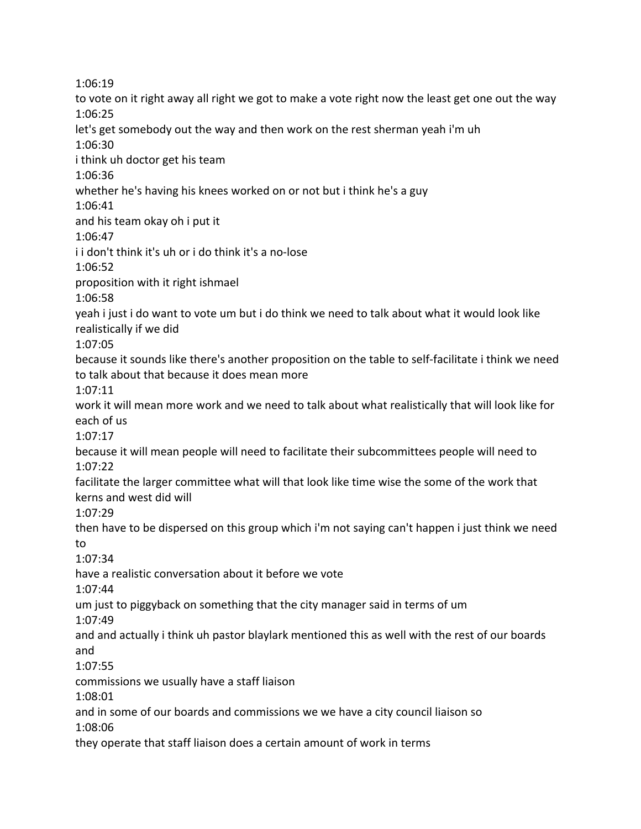1:06:19 to vote on it right away all right we got to make a vote right now the least get one out the way 1:06:25 let's get somebody out the way and then work on the rest sherman yeah i'm uh 1:06:30 i think uh doctor get his team 1:06:36 whether he's having his knees worked on or not but i think he's a guy 1:06:41 and his team okay oh i put it 1:06:47 i i don't think it's uh or i do think it's a no-lose 1:06:52 proposition with it right ishmael 1:06:58 yeah i just i do want to vote um but i do think we need to talk about what it would look like realistically if we did 1:07:05 because it sounds like there's another proposition on the table to self-facilitate i think we need to talk about that because it does mean more 1:07:11 work it will mean more work and we need to talk about what realistically that will look like for each of us 1:07:17 because it will mean people will need to facilitate their subcommittees people will need to 1:07:22 facilitate the larger committee what will that look like time wise the some of the work that kerns and west did will 1:07:29 then have to be dispersed on this group which i'm not saying can't happen i just think we need to 1:07:34 have a realistic conversation about it before we vote 1:07:44 um just to piggyback on something that the city manager said in terms of um 1:07:49 and and actually i think uh pastor blaylark mentioned this as well with the rest of our boards and 1:07:55 commissions we usually have a staff liaison 1:08:01 and in some of our boards and commissions we we have a city council liaison so 1:08:06 they operate that staff liaison does a certain amount of work in terms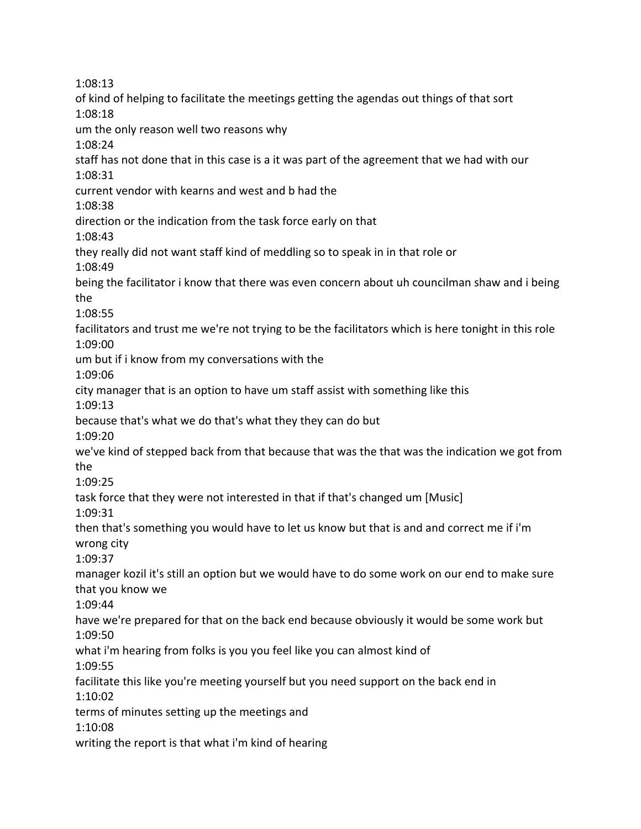1:08:13 of kind of helping to facilitate the meetings getting the agendas out things of that sort 1:08:18 um the only reason well two reasons why 1:08:24 staff has not done that in this case is a it was part of the agreement that we had with our 1:08:31 current vendor with kearns and west and b had the 1:08:38 direction or the indication from the task force early on that 1:08:43 they really did not want staff kind of meddling so to speak in in that role or 1:08:49 being the facilitator i know that there was even concern about uh councilman shaw and i being the 1:08:55 facilitators and trust me we're not trying to be the facilitators which is here tonight in this role 1:09:00 um but if i know from my conversations with the 1:09:06 city manager that is an option to have um staff assist with something like this 1:09:13 because that's what we do that's what they they can do but 1:09:20 we've kind of stepped back from that because that was the that was the indication we got from the 1:09:25 task force that they were not interested in that if that's changed um [Music] 1:09:31 then that's something you would have to let us know but that is and and correct me if i'm wrong city 1:09:37 manager kozil it's still an option but we would have to do some work on our end to make sure that you know we 1:09:44 have we're prepared for that on the back end because obviously it would be some work but 1:09:50 what i'm hearing from folks is you you feel like you can almost kind of 1:09:55 facilitate this like you're meeting yourself but you need support on the back end in 1:10:02 terms of minutes setting up the meetings and 1:10:08 writing the report is that what i'm kind of hearing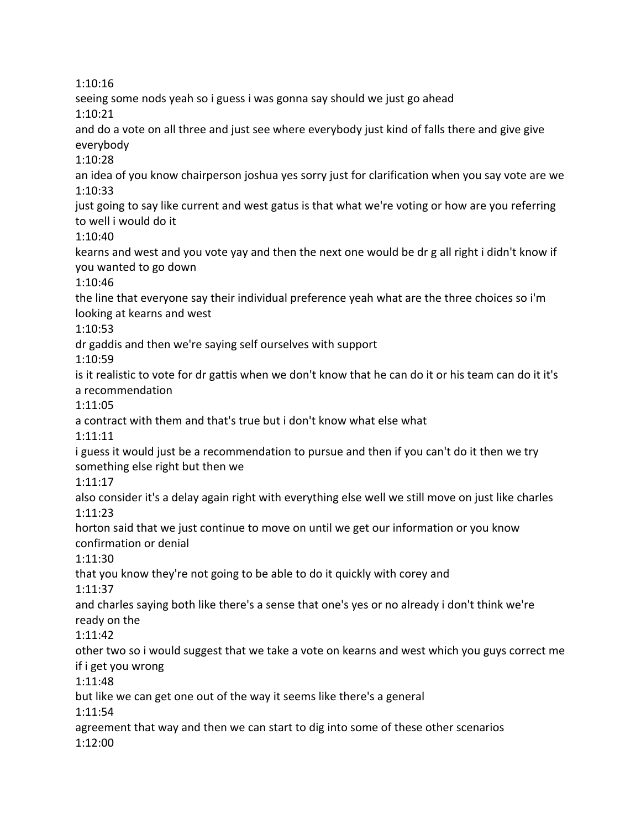1:10:16

seeing some nods yeah so i guess i was gonna say should we just go ahead 1:10:21

and do a vote on all three and just see where everybody just kind of falls there and give give everybody

1:10:28

an idea of you know chairperson joshua yes sorry just for clarification when you say vote are we 1:10:33

just going to say like current and west gatus is that what we're voting or how are you referring to well i would do it

1:10:40

kearns and west and you vote yay and then the next one would be dr g all right i didn't know if you wanted to go down

1:10:46

the line that everyone say their individual preference yeah what are the three choices so i'm looking at kearns and west

1:10:53

dr gaddis and then we're saying self ourselves with support

1:10:59

is it realistic to vote for dr gattis when we don't know that he can do it or his team can do it it's a recommendation

1:11:05

a contract with them and that's true but i don't know what else what

1:11:11

i guess it would just be a recommendation to pursue and then if you can't do it then we try something else right but then we

1:11:17

also consider it's a delay again right with everything else well we still move on just like charles 1:11:23

horton said that we just continue to move on until we get our information or you know confirmation or denial

1:11:30

that you know they're not going to be able to do it quickly with corey and

1:11:37

and charles saying both like there's a sense that one's yes or no already i don't think we're ready on the

1:11:42

other two so i would suggest that we take a vote on kearns and west which you guys correct me if i get you wrong

1:11:48

but like we can get one out of the way it seems like there's a general

1:11:54

agreement that way and then we can start to dig into some of these other scenarios 1:12:00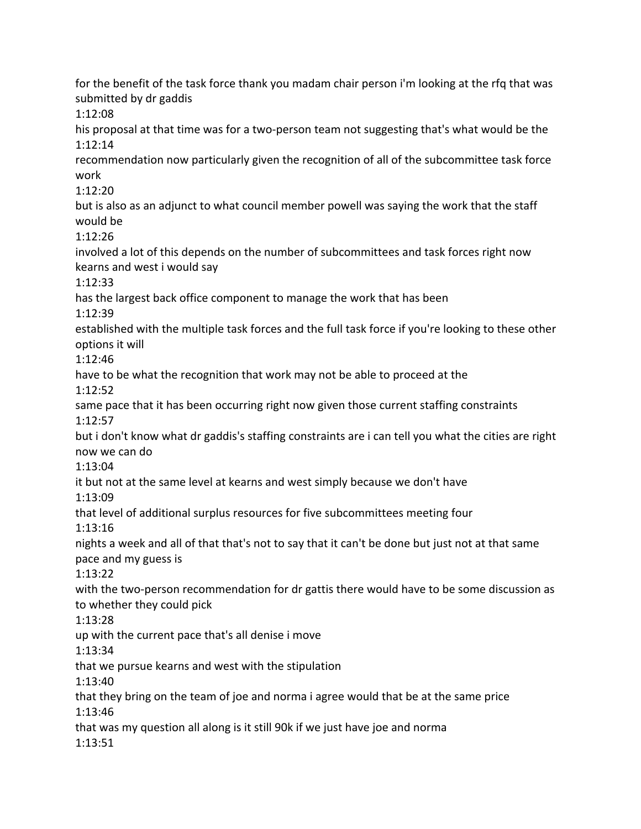for the benefit of the task force thank you madam chair person i'm looking at the rfq that was submitted by dr gaddis 1:12:08 his proposal at that time was for a two-person team not suggesting that's what would be the 1:12:14 recommendation now particularly given the recognition of all of the subcommittee task force work 1:12:20 but is also as an adjunct to what council member powell was saying the work that the staff would be 1:12:26 involved a lot of this depends on the number of subcommittees and task forces right now kearns and west i would say 1:12:33 has the largest back office component to manage the work that has been 1:12:39 established with the multiple task forces and the full task force if you're looking to these other options it will 1:12:46 have to be what the recognition that work may not be able to proceed at the 1:12:52 same pace that it has been occurring right now given those current staffing constraints 1:12:57 but i don't know what dr gaddis's staffing constraints are i can tell you what the cities are right now we can do 1:13:04 it but not at the same level at kearns and west simply because we don't have 1:13:09 that level of additional surplus resources for five subcommittees meeting four 1:13:16 nights a week and all of that that's not to say that it can't be done but just not at that same pace and my guess is 1:13:22 with the two-person recommendation for dr gattis there would have to be some discussion as to whether they could pick 1:13:28 up with the current pace that's all denise i move 1:13:34 that we pursue kearns and west with the stipulation 1:13:40 that they bring on the team of joe and norma i agree would that be at the same price 1:13:46 that was my question all along is it still 90k if we just have joe and norma 1:13:51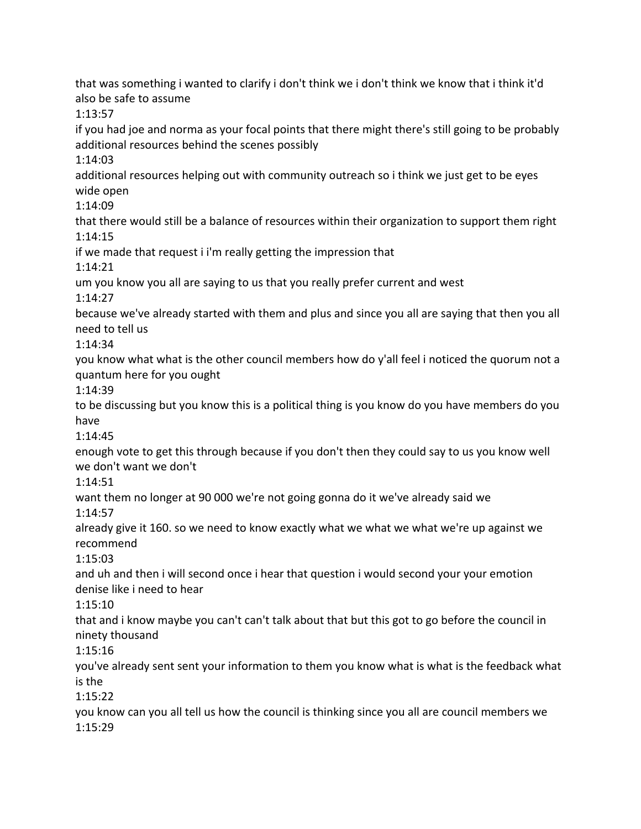that was something i wanted to clarify i don't think we i don't think we know that i think it'd also be safe to assume 1:13:57 if you had joe and norma as your focal points that there might there's still going to be probably additional resources behind the scenes possibly 1:14:03 additional resources helping out with community outreach so i think we just get to be eyes wide open 1:14:09 that there would still be a balance of resources within their organization to support them right 1:14:15 if we made that request i i'm really getting the impression that 1:14:21 um you know you all are saying to us that you really prefer current and west 1:14:27 because we've already started with them and plus and since you all are saying that then you all need to tell us 1:14:34 you know what what is the other council members how do y'all feel i noticed the quorum not a quantum here for you ought 1:14:39 to be discussing but you know this is a political thing is you know do you have members do you have 1:14:45 enough vote to get this through because if you don't then they could say to us you know well we don't want we don't 1:14:51 want them no longer at 90 000 we're not going gonna do it we've already said we 1:14:57 already give it 160. so we need to know exactly what we what we what we're up against we recommend 1:15:03 and uh and then i will second once i hear that question i would second your your emotion denise like i need to hear 1:15:10 that and i know maybe you can't can't talk about that but this got to go before the council in ninety thousand 1:15:16 you've already sent sent your information to them you know what is what is the feedback what is the 1:15:22 you know can you all tell us how the council is thinking since you all are council members we 1:15:29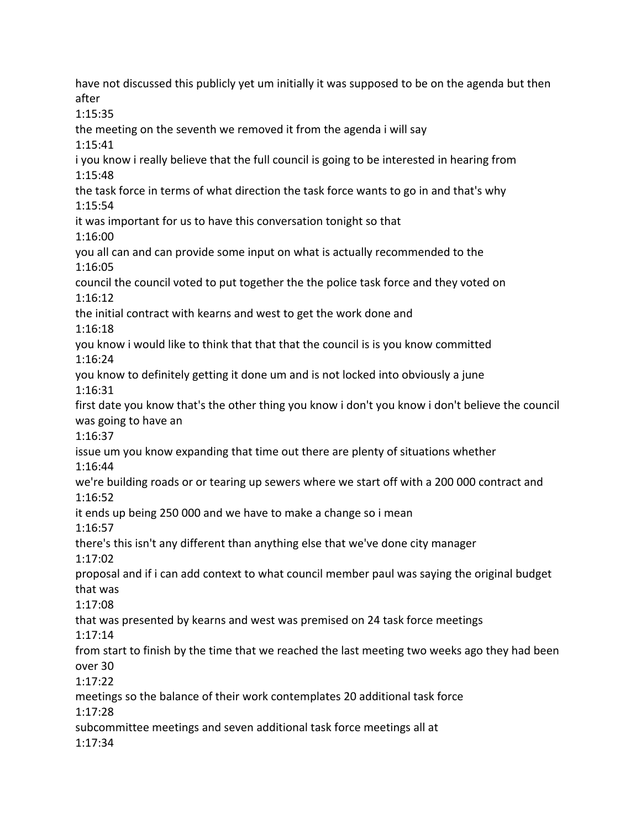have not discussed this publicly yet um initially it was supposed to be on the agenda but then after 1:15:35 the meeting on the seventh we removed it from the agenda i will say 1:15:41 i you know i really believe that the full council is going to be interested in hearing from 1:15:48 the task force in terms of what direction the task force wants to go in and that's why 1:15:54 it was important for us to have this conversation tonight so that 1:16:00 you all can and can provide some input on what is actually recommended to the 1:16:05 council the council voted to put together the the police task force and they voted on 1:16:12 the initial contract with kearns and west to get the work done and 1:16:18 you know i would like to think that that that the council is is you know committed 1:16:24 you know to definitely getting it done um and is not locked into obviously a june 1:16:31 first date you know that's the other thing you know i don't you know i don't believe the council was going to have an 1:16:37 issue um you know expanding that time out there are plenty of situations whether 1:16:44 we're building roads or or tearing up sewers where we start off with a 200 000 contract and 1:16:52 it ends up being 250 000 and we have to make a change so i mean 1:16:57 there's this isn't any different than anything else that we've done city manager 1:17:02 proposal and if i can add context to what council member paul was saying the original budget that was 1:17:08 that was presented by kearns and west was premised on 24 task force meetings 1:17:14 from start to finish by the time that we reached the last meeting two weeks ago they had been over 30 1:17:22 meetings so the balance of their work contemplates 20 additional task force 1:17:28 subcommittee meetings and seven additional task force meetings all at 1:17:34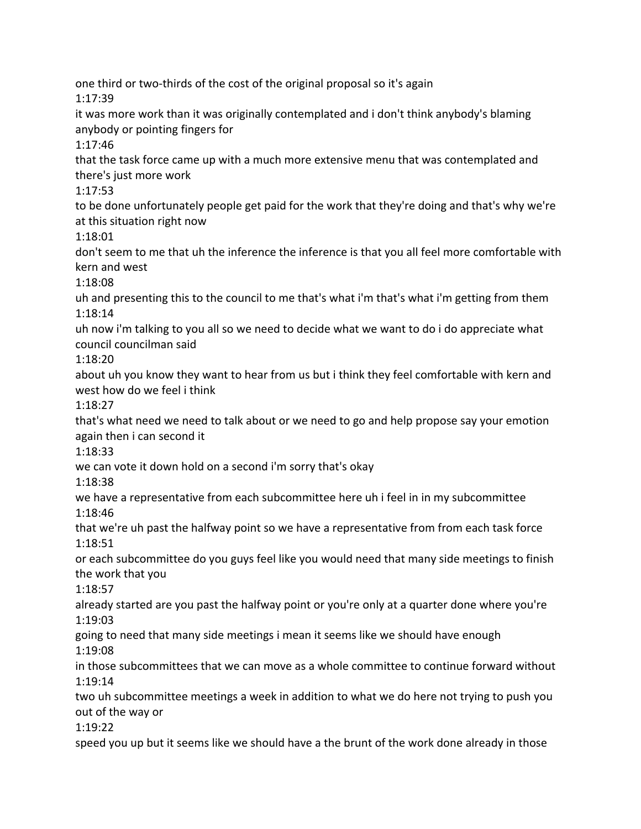one third or two-thirds of the cost of the original proposal so it's again 1:17:39 it was more work than it was originally contemplated and i don't think anybody's blaming anybody or pointing fingers for 1:17:46 that the task force came up with a much more extensive menu that was contemplated and there's just more work 1:17:53 to be done unfortunately people get paid for the work that they're doing and that's why we're at this situation right now 1:18:01 don't seem to me that uh the inference the inference is that you all feel more comfortable with kern and west 1:18:08 uh and presenting this to the council to me that's what i'm that's what i'm getting from them 1:18:14 uh now i'm talking to you all so we need to decide what we want to do i do appreciate what council councilman said 1:18:20 about uh you know they want to hear from us but i think they feel comfortable with kern and west how do we feel i think 1:18:27 that's what need we need to talk about or we need to go and help propose say your emotion again then i can second it 1:18:33 we can vote it down hold on a second i'm sorry that's okay 1:18:38 we have a representative from each subcommittee here uh i feel in in my subcommittee 1:18:46 that we're uh past the halfway point so we have a representative from from each task force 1:18:51 or each subcommittee do you guys feel like you would need that many side meetings to finish the work that you 1:18:57 already started are you past the halfway point or you're only at a quarter done where you're 1:19:03 going to need that many side meetings i mean it seems like we should have enough 1:19:08 in those subcommittees that we can move as a whole committee to continue forward without 1:19:14 two uh subcommittee meetings a week in addition to what we do here not trying to push you out of the way or 1:19:22 speed you up but it seems like we should have a the brunt of the work done already in those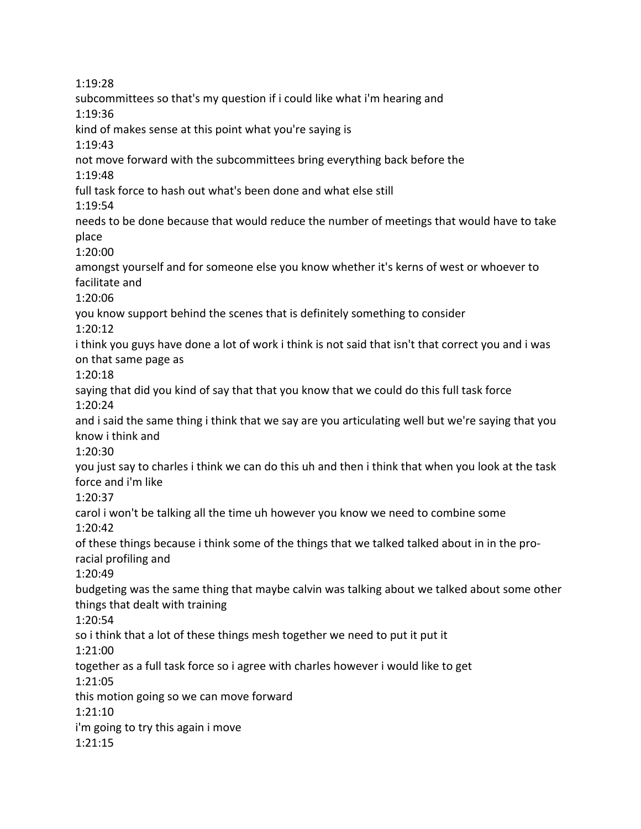1:19:28 subcommittees so that's my question if i could like what i'm hearing and 1:19:36 kind of makes sense at this point what you're saying is 1:19:43 not move forward with the subcommittees bring everything back before the 1:19:48 full task force to hash out what's been done and what else still 1:19:54 needs to be done because that would reduce the number of meetings that would have to take place 1:20:00 amongst yourself and for someone else you know whether it's kerns of west or whoever to facilitate and 1:20:06 you know support behind the scenes that is definitely something to consider 1:20:12 i think you guys have done a lot of work i think is not said that isn't that correct you and i was on that same page as 1:20:18 saying that did you kind of say that that you know that we could do this full task force 1:20:24 and i said the same thing i think that we say are you articulating well but we're saying that you know i think and 1:20:30 you just say to charles i think we can do this uh and then i think that when you look at the task force and i'm like 1:20:37 carol i won't be talking all the time uh however you know we need to combine some 1:20:42 of these things because i think some of the things that we talked talked about in in the proracial profiling and 1:20:49 budgeting was the same thing that maybe calvin was talking about we talked about some other things that dealt with training 1:20:54 so i think that a lot of these things mesh together we need to put it put it 1:21:00 together as a full task force so i agree with charles however i would like to get 1:21:05 this motion going so we can move forward 1:21:10 i'm going to try this again i move 1:21:15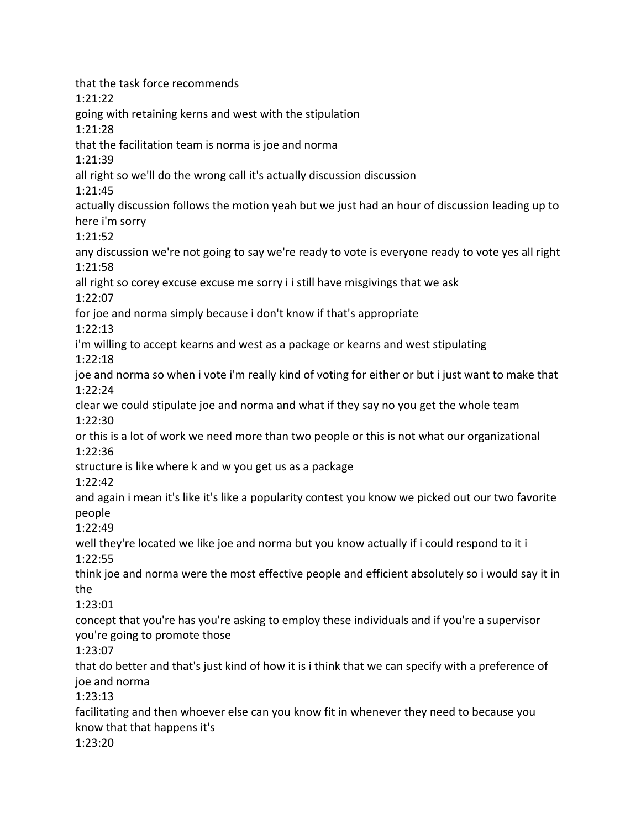that the task force recommends 1:21:22 going with retaining kerns and west with the stipulation 1:21:28 that the facilitation team is norma is joe and norma 1:21:39 all right so we'll do the wrong call it's actually discussion discussion 1:21:45 actually discussion follows the motion yeah but we just had an hour of discussion leading up to here i'm sorry 1:21:52 any discussion we're not going to say we're ready to vote is everyone ready to vote yes all right 1:21:58 all right so corey excuse excuse me sorry i i still have misgivings that we ask 1:22:07 for joe and norma simply because i don't know if that's appropriate 1:22:13 i'm willing to accept kearns and west as a package or kearns and west stipulating 1:22:18 joe and norma so when i vote i'm really kind of voting for either or but i just want to make that 1:22:24 clear we could stipulate joe and norma and what if they say no you get the whole team 1:22:30 or this is a lot of work we need more than two people or this is not what our organizational 1:22:36 structure is like where k and w you get us as a package 1:22:42 and again i mean it's like it's like a popularity contest you know we picked out our two favorite people 1:22:49 well they're located we like joe and norma but you know actually if i could respond to it i 1:22:55 think joe and norma were the most effective people and efficient absolutely so i would say it in the 1:23:01 concept that you're has you're asking to employ these individuals and if you're a supervisor you're going to promote those 1:23:07 that do better and that's just kind of how it is i think that we can specify with a preference of joe and norma 1:23:13 facilitating and then whoever else can you know fit in whenever they need to because you know that that happens it's 1:23:20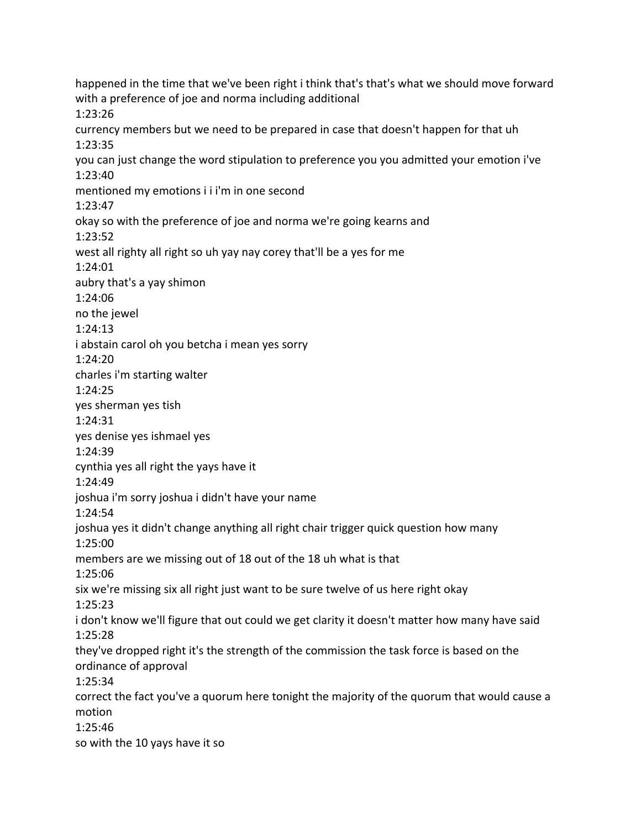happened in the time that we've been right i think that's that's what we should move forward with a preference of joe and norma including additional 1:23:26 currency members but we need to be prepared in case that doesn't happen for that uh 1:23:35 you can just change the word stipulation to preference you you admitted your emotion i've 1:23:40 mentioned my emotions i i i'm in one second 1:23:47 okay so with the preference of joe and norma we're going kearns and 1:23:52 west all righty all right so uh yay nay corey that'll be a yes for me 1:24:01 aubry that's a yay shimon 1:24:06 no the jewel 1:24:13 i abstain carol oh you betcha i mean yes sorry 1:24:20 charles i'm starting walter 1:24:25 yes sherman yes tish 1:24:31 yes denise yes ishmael yes 1:24:39 cynthia yes all right the yays have it 1:24:49 joshua i'm sorry joshua i didn't have your name 1:24:54 joshua yes it didn't change anything all right chair trigger quick question how many 1:25:00 members are we missing out of 18 out of the 18 uh what is that 1:25:06 six we're missing six all right just want to be sure twelve of us here right okay 1:25:23 i don't know we'll figure that out could we get clarity it doesn't matter how many have said 1:25:28 they've dropped right it's the strength of the commission the task force is based on the ordinance of approval 1:25:34 correct the fact you've a quorum here tonight the majority of the quorum that would cause a motion 1:25:46 so with the 10 yays have it so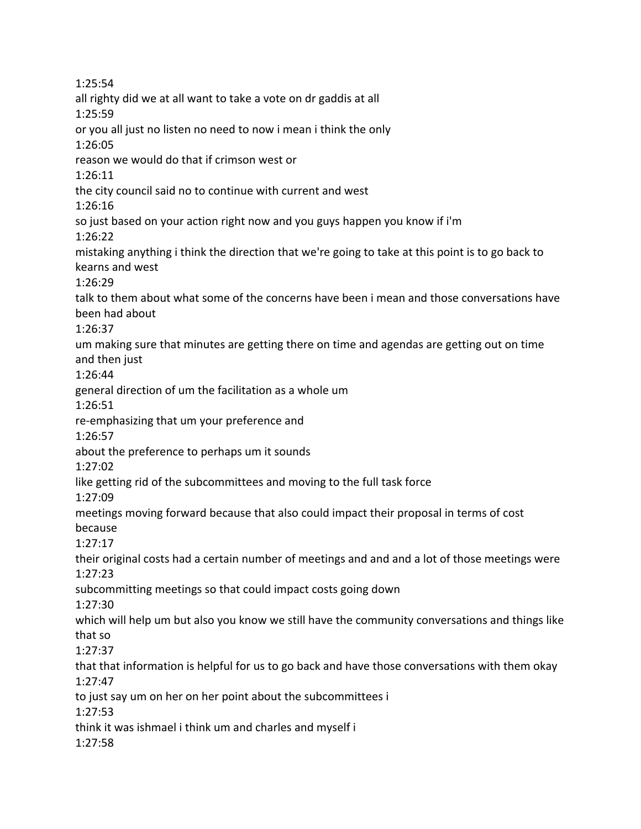1:25:54 all righty did we at all want to take a vote on dr gaddis at all 1:25:59 or you all just no listen no need to now i mean i think the only 1:26:05 reason we would do that if crimson west or 1:26:11 the city council said no to continue with current and west 1:26:16 so just based on your action right now and you guys happen you know if i'm 1:26:22 mistaking anything i think the direction that we're going to take at this point is to go back to kearns and west 1:26:29 talk to them about what some of the concerns have been i mean and those conversations have been had about 1:26:37 um making sure that minutes are getting there on time and agendas are getting out on time and then just 1:26:44 general direction of um the facilitation as a whole um 1:26:51 re-emphasizing that um your preference and 1:26:57 about the preference to perhaps um it sounds 1:27:02 like getting rid of the subcommittees and moving to the full task force 1:27:09 meetings moving forward because that also could impact their proposal in terms of cost because 1:27:17 their original costs had a certain number of meetings and and and a lot of those meetings were 1:27:23 subcommitting meetings so that could impact costs going down 1:27:30 which will help um but also you know we still have the community conversations and things like that so 1:27:37 that that information is helpful for us to go back and have those conversations with them okay 1:27:47 to just say um on her on her point about the subcommittees i 1:27:53 think it was ishmael i think um and charles and myself i 1:27:58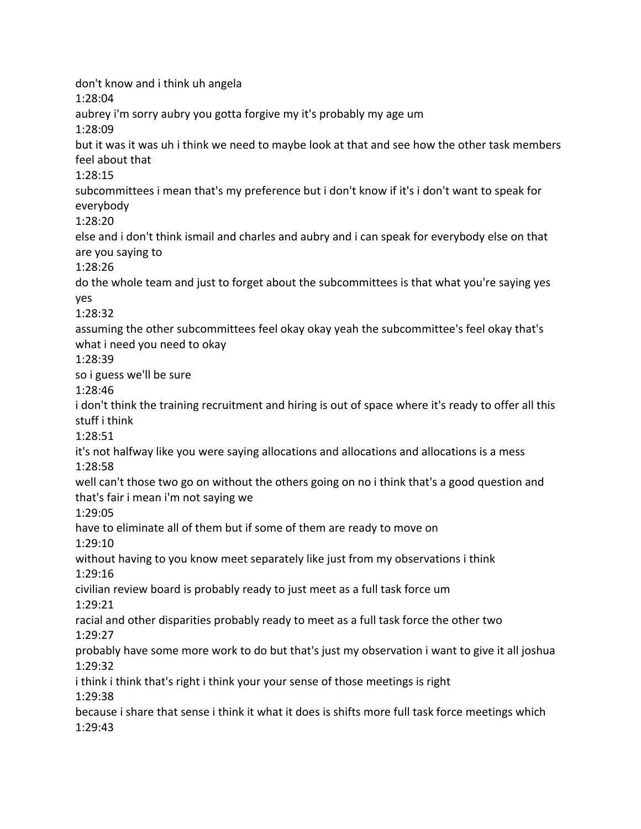don't know and i think uh angela 1:28:04 aubrey i'm sorry aubry you gotta forgive my it's probably my age um 1:28:09 but it was it was uh i think we need to maybe look at that and see how the other task members feel about that 1:28:15 subcommittees i mean that's my preference but i don't know if it's i don't want to speak for everybody 1:28:20 else and i don't think ismail and charles and aubry and i can speak for everybody else on that are you saying to 1:28:26 do the whole team and just to forget about the subcommittees is that what you're saying yes yes 1:28:32 assuming the other subcommittees feel okay okay yeah the subcommittee's feel okay that's what i need you need to okay 1:28:39 so i guess we'll be sure 1:28:46 i don't think the training recruitment and hiring is out of space where it's ready to offer all this stuff i think 1:28:51 it's not halfway like you were saying allocations and allocations and allocations is a mess 1:28:58 well can't those two go on without the others going on no i think that's a good question and that's fair i mean i'm not saying we 1:29:05 have to eliminate all of them but if some of them are ready to move on 1:29:10 without having to you know meet separately like just from my observations i think 1:29:16 civilian review board is probably ready to just meet as a full task force um 1:29:21 racial and other disparities probably ready to meet as a full task force the other two 1:29:27 probably have some more work to do but that's just my observation i want to give it all joshua 1:29:32 i think i think that's right i think your your sense of those meetings is right 1:29:38 because i share that sense i think it what it does is shifts more full task force meetings which 1:29:43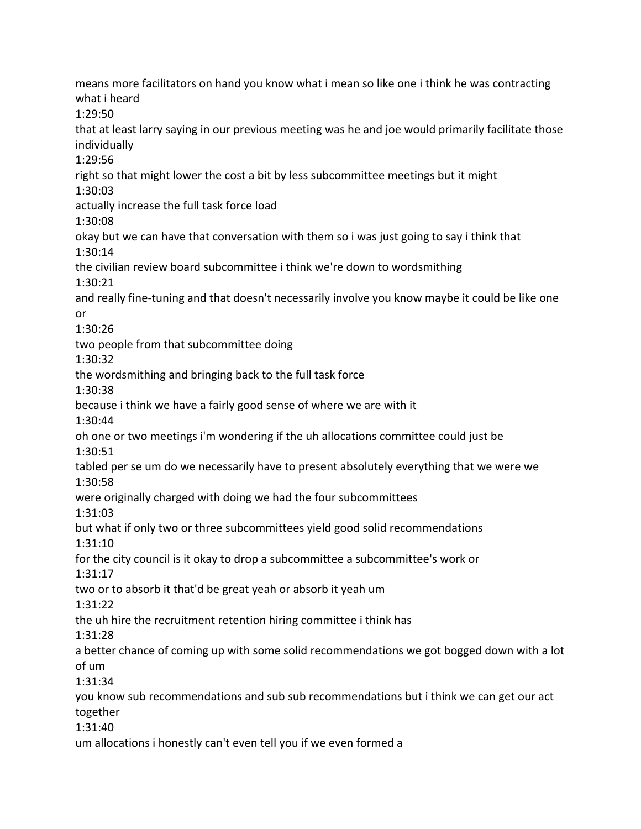means more facilitators on hand you know what i mean so like one i think he was contracting what i heard 1:29:50 that at least larry saying in our previous meeting was he and joe would primarily facilitate those individually 1:29:56 right so that might lower the cost a bit by less subcommittee meetings but it might 1:30:03 actually increase the full task force load 1:30:08 okay but we can have that conversation with them so i was just going to say i think that 1:30:14 the civilian review board subcommittee i think we're down to wordsmithing 1:30:21 and really fine-tuning and that doesn't necessarily involve you know maybe it could be like one or 1:30:26 two people from that subcommittee doing 1:30:32 the wordsmithing and bringing back to the full task force 1:30:38 because i think we have a fairly good sense of where we are with it 1:30:44 oh one or two meetings i'm wondering if the uh allocations committee could just be 1:30:51 tabled per se um do we necessarily have to present absolutely everything that we were we 1:30:58 were originally charged with doing we had the four subcommittees 1:31:03 but what if only two or three subcommittees yield good solid recommendations 1:31:10 for the city council is it okay to drop a subcommittee a subcommittee's work or 1:31:17 two or to absorb it that'd be great yeah or absorb it yeah um 1:31:22 the uh hire the recruitment retention hiring committee i think has 1:31:28 a better chance of coming up with some solid recommendations we got bogged down with a lot of um 1:31:34 you know sub recommendations and sub sub recommendations but i think we can get our act together 1:31:40 um allocations i honestly can't even tell you if we even formed a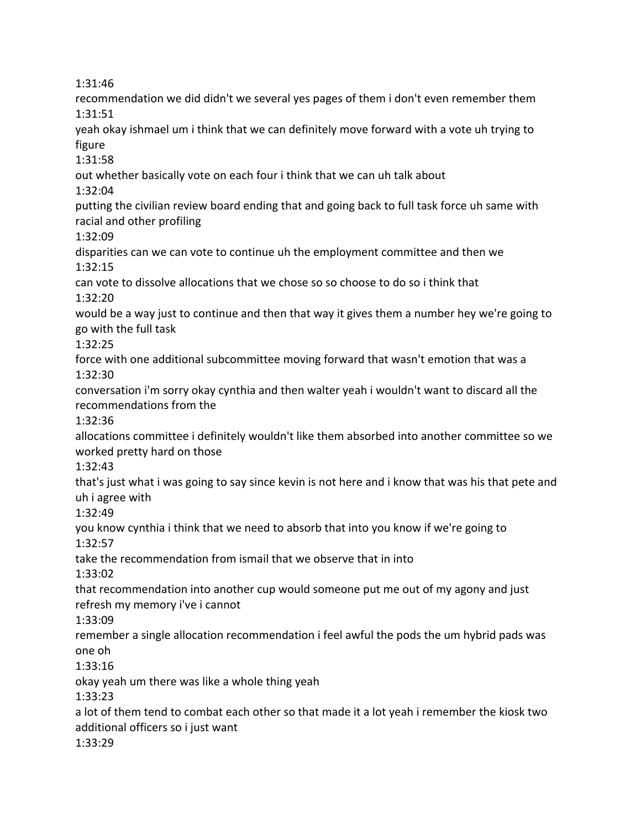1:31:46

recommendation we did didn't we several yes pages of them i don't even remember them 1:31:51 yeah okay ishmael um i think that we can definitely move forward with a vote uh trying to figure 1:31:58 out whether basically vote on each four i think that we can uh talk about 1:32:04 putting the civilian review board ending that and going back to full task force uh same with racial and other profiling 1:32:09 disparities can we can vote to continue uh the employment committee and then we 1:32:15 can vote to dissolve allocations that we chose so so choose to do so i think that 1:32:20 would be a way just to continue and then that way it gives them a number hey we're going to go with the full task 1:32:25 force with one additional subcommittee moving forward that wasn't emotion that was a 1:32:30 conversation i'm sorry okay cynthia and then walter yeah i wouldn't want to discard all the recommendations from the 1:32:36 allocations committee i definitely wouldn't like them absorbed into another committee so we worked pretty hard on those 1:32:43 that's just what i was going to say since kevin is not here and i know that was his that pete and uh i agree with 1:32:49 you know cynthia i think that we need to absorb that into you know if we're going to 1:32:57 take the recommendation from ismail that we observe that in into 1:33:02 that recommendation into another cup would someone put me out of my agony and just refresh my memory i've i cannot 1:33:09 remember a single allocation recommendation i feel awful the pods the um hybrid pads was one oh 1:33:16 okay yeah um there was like a whole thing yeah 1:33:23 a lot of them tend to combat each other so that made it a lot yeah i remember the kiosk two additional officers so i just want 1:33:29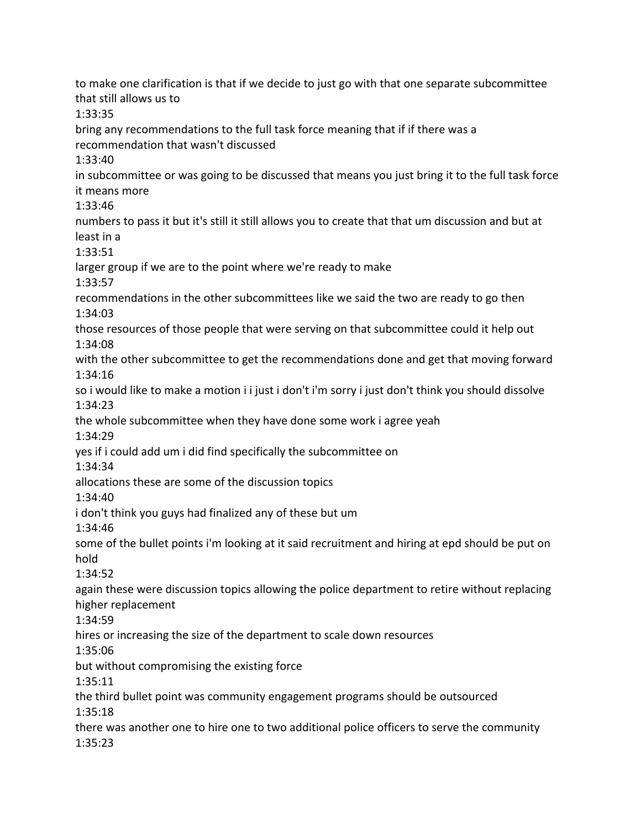to make one clarification is that if we decide to just go with that one separate subcommittee that still allows us to 1:33:35 bring any recommendations to the full task force meaning that if if there was a recommendation that wasn't discussed 1:33:40 in subcommittee or was going to be discussed that means you just bring it to the full task force it means more 1:33:46 numbers to pass it but it's still it still allows you to create that that um discussion and but at least in a 1:33:51 larger group if we are to the point where we're ready to make 1:33:57 recommendations in the other subcommittees like we said the two are ready to go then 1:34:03 those resources of those people that were serving on that subcommittee could it help out 1:34:08 with the other subcommittee to get the recommendations done and get that moving forward 1:34:16 so i would like to make a motion i i just i don't i'm sorry i just don't think you should dissolve 1:34:23 the whole subcommittee when they have done some work i agree yeah 1:34:29 yes if i could add um i did find specifically the subcommittee on 1:34:34 allocations these are some of the discussion topics 1:34:40 i don't think you guys had finalized any of these but um 1:34:46 some of the bullet points i'm looking at it said recruitment and hiring at epd should be put on hold 1:34:52 again these were discussion topics allowing the police department to retire without replacing higher replacement 1:34:59 hires or increasing the size of the department to scale down resources 1:35:06 but without compromising the existing force 1:35:11 the third bullet point was community engagement programs should be outsourced 1:35:18 there was another one to hire one to two additional police officers to serve the community 1:35:23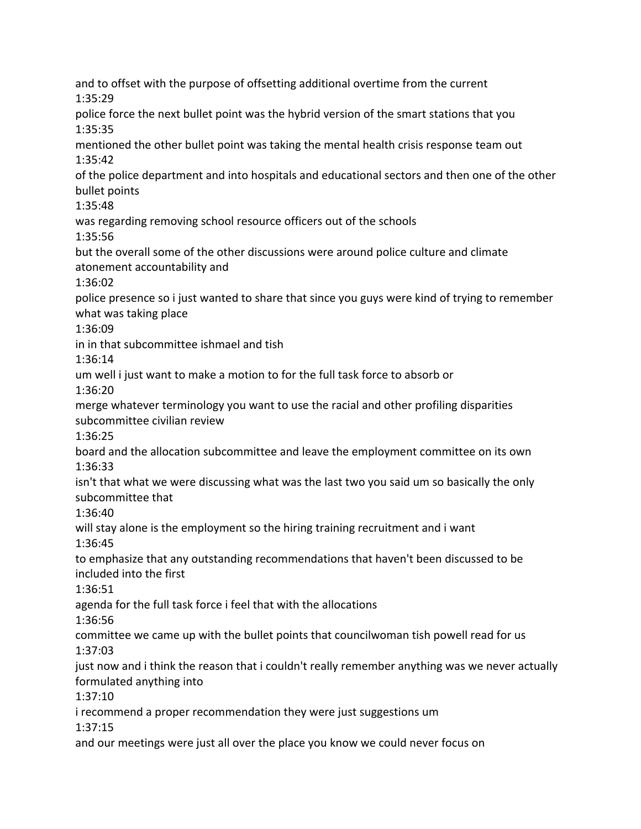and to offset with the purpose of offsetting additional overtime from the current 1:35:29 police force the next bullet point was the hybrid version of the smart stations that you 1:35:35 mentioned the other bullet point was taking the mental health crisis response team out 1:35:42 of the police department and into hospitals and educational sectors and then one of the other bullet points 1:35:48 was regarding removing school resource officers out of the schools 1:35:56 but the overall some of the other discussions were around police culture and climate atonement accountability and 1:36:02 police presence so i just wanted to share that since you guys were kind of trying to remember what was taking place 1:36:09 in in that subcommittee ishmael and tish 1:36:14 um well i just want to make a motion to for the full task force to absorb or 1:36:20 merge whatever terminology you want to use the racial and other profiling disparities subcommittee civilian review 1:36:25 board and the allocation subcommittee and leave the employment committee on its own 1:36:33 isn't that what we were discussing what was the last two you said um so basically the only subcommittee that 1:36:40 will stay alone is the employment so the hiring training recruitment and i want 1:36:45 to emphasize that any outstanding recommendations that haven't been discussed to be included into the first 1:36:51 agenda for the full task force i feel that with the allocations 1:36:56 committee we came up with the bullet points that councilwoman tish powell read for us 1:37:03 just now and i think the reason that i couldn't really remember anything was we never actually formulated anything into 1:37:10 i recommend a proper recommendation they were just suggestions um 1:37:15 and our meetings were just all over the place you know we could never focus on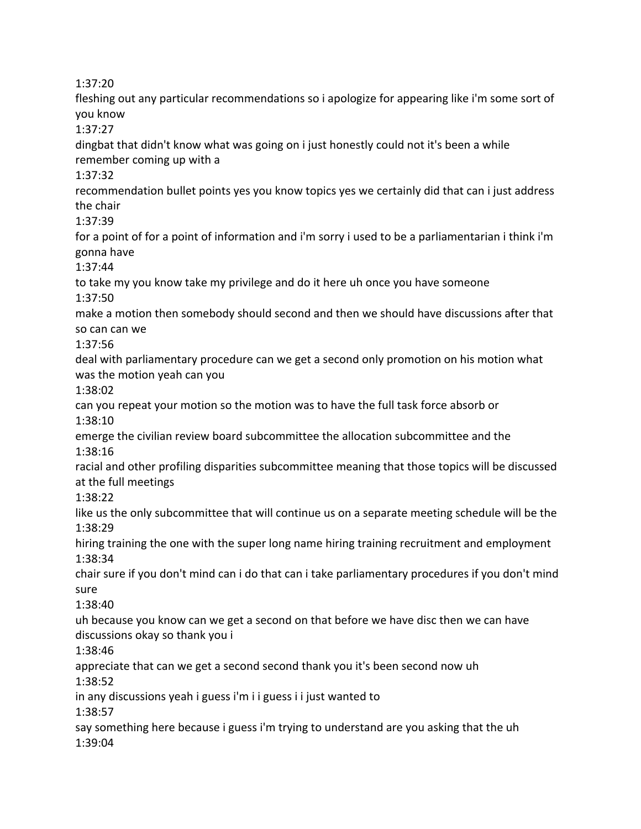1:37:20

fleshing out any particular recommendations so i apologize for appearing like i'm some sort of you know

1:37:27

dingbat that didn't know what was going on i just honestly could not it's been a while remember coming up with a

1:37:32

recommendation bullet points yes you know topics yes we certainly did that can i just address the chair

1:37:39

for a point of for a point of information and i'm sorry i used to be a parliamentarian i think i'm gonna have

1:37:44

to take my you know take my privilege and do it here uh once you have someone 1:37:50

make a motion then somebody should second and then we should have discussions after that so can can we

1:37:56

deal with parliamentary procedure can we get a second only promotion on his motion what was the motion yeah can you

1:38:02

can you repeat your motion so the motion was to have the full task force absorb or 1:38:10

emerge the civilian review board subcommittee the allocation subcommittee and the 1:38:16

racial and other profiling disparities subcommittee meaning that those topics will be discussed at the full meetings

1:38:22

like us the only subcommittee that will continue us on a separate meeting schedule will be the 1:38:29

hiring training the one with the super long name hiring training recruitment and employment 1:38:34

chair sure if you don't mind can i do that can i take parliamentary procedures if you don't mind sure

1:38:40

uh because you know can we get a second on that before we have disc then we can have discussions okay so thank you i

1:38:46

appreciate that can we get a second second thank you it's been second now uh

1:38:52

in any discussions yeah i guess i'm i i guess i i just wanted to

1:38:57

say something here because i guess i'm trying to understand are you asking that the uh 1:39:04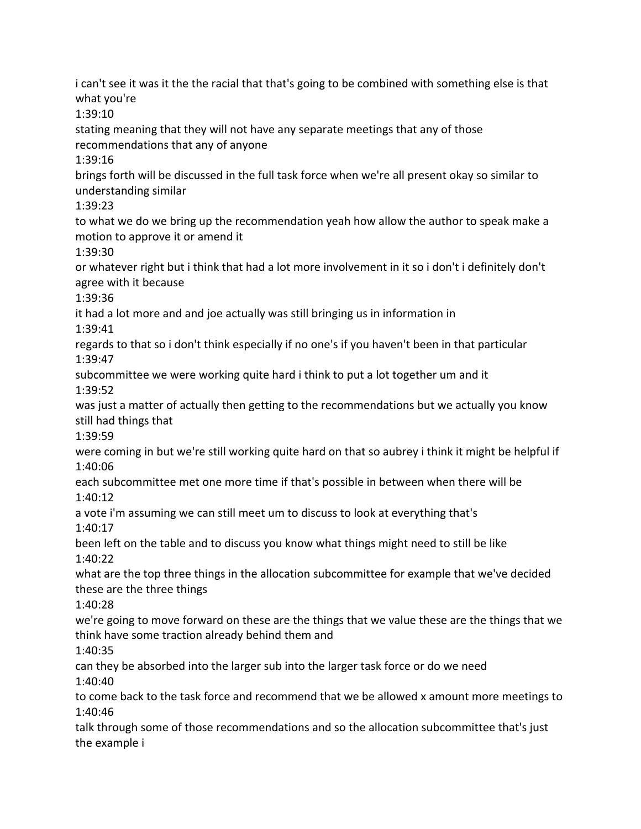i can't see it was it the the racial that that's going to be combined with something else is that what you're 1:39:10 stating meaning that they will not have any separate meetings that any of those recommendations that any of anyone 1:39:16 brings forth will be discussed in the full task force when we're all present okay so similar to understanding similar 1:39:23 to what we do we bring up the recommendation yeah how allow the author to speak make a motion to approve it or amend it 1:39:30 or whatever right but i think that had a lot more involvement in it so i don't i definitely don't agree with it because 1:39:36 it had a lot more and and joe actually was still bringing us in information in 1:39:41 regards to that so i don't think especially if no one's if you haven't been in that particular 1:39:47 subcommittee we were working quite hard i think to put a lot together um and it 1:39:52 was just a matter of actually then getting to the recommendations but we actually you know still had things that 1:39:59 were coming in but we're still working quite hard on that so aubrey i think it might be helpful if 1:40:06 each subcommittee met one more time if that's possible in between when there will be 1:40:12 a vote i'm assuming we can still meet um to discuss to look at everything that's 1:40:17 been left on the table and to discuss you know what things might need to still be like 1:40:22 what are the top three things in the allocation subcommittee for example that we've decided these are the three things 1:40:28 we're going to move forward on these are the things that we value these are the things that we think have some traction already behind them and 1:40:35 can they be absorbed into the larger sub into the larger task force or do we need 1:40:40 to come back to the task force and recommend that we be allowed x amount more meetings to 1:40:46 talk through some of those recommendations and so the allocation subcommittee that's just the example i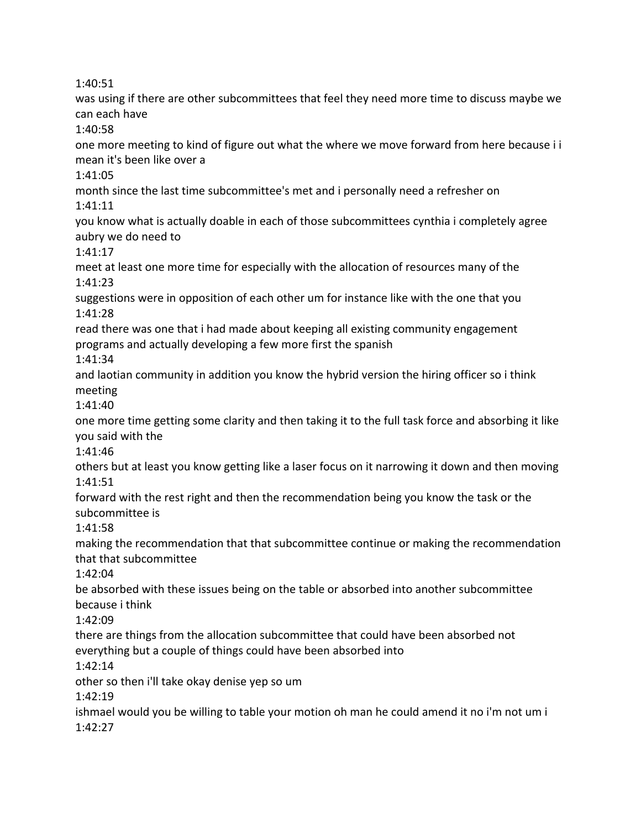1:40:51

was using if there are other subcommittees that feel they need more time to discuss maybe we can each have

1:40:58

one more meeting to kind of figure out what the where we move forward from here because i i mean it's been like over a

1:41:05

month since the last time subcommittee's met and i personally need a refresher on 1:41:11

you know what is actually doable in each of those subcommittees cynthia i completely agree aubry we do need to

1:41:17

meet at least one more time for especially with the allocation of resources many of the 1:41:23

suggestions were in opposition of each other um for instance like with the one that you 1:41:28

read there was one that i had made about keeping all existing community engagement programs and actually developing a few more first the spanish

1:41:34

and laotian community in addition you know the hybrid version the hiring officer so i think meeting

1:41:40

one more time getting some clarity and then taking it to the full task force and absorbing it like you said with the

1:41:46

others but at least you know getting like a laser focus on it narrowing it down and then moving 1:41:51

forward with the rest right and then the recommendation being you know the task or the subcommittee is

1:41:58

making the recommendation that that subcommittee continue or making the recommendation that that subcommittee

1:42:04

be absorbed with these issues being on the table or absorbed into another subcommittee because i think

1:42:09

there are things from the allocation subcommittee that could have been absorbed not everything but a couple of things could have been absorbed into

1:42:14

other so then i'll take okay denise yep so um

1:42:19

ishmael would you be willing to table your motion oh man he could amend it no i'm not um i 1:42:27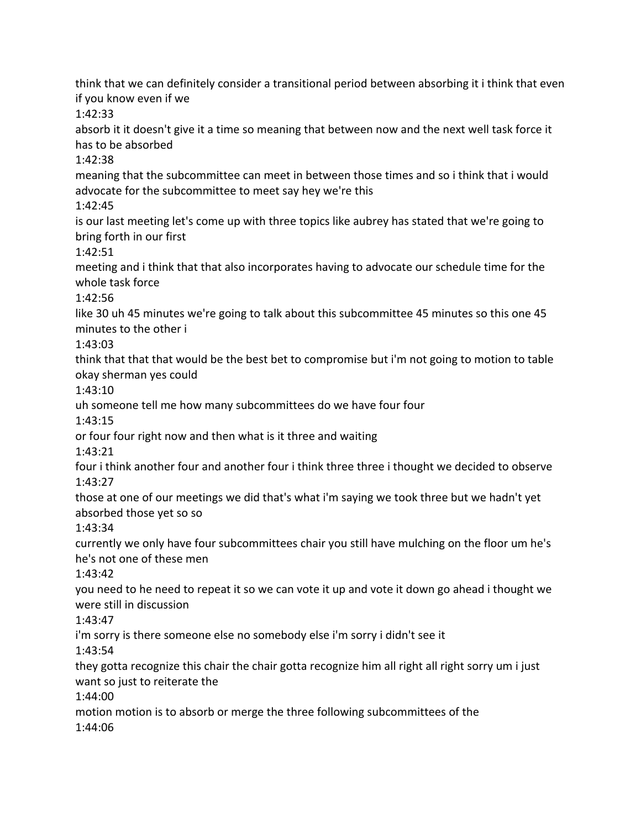think that we can definitely consider a transitional period between absorbing it i think that even if you know even if we 1:42:33 absorb it it doesn't give it a time so meaning that between now and the next well task force it has to be absorbed 1:42:38 meaning that the subcommittee can meet in between those times and so i think that i would advocate for the subcommittee to meet say hey we're this 1:42:45 is our last meeting let's come up with three topics like aubrey has stated that we're going to bring forth in our first 1:42:51 meeting and i think that that also incorporates having to advocate our schedule time for the whole task force 1:42:56 like 30 uh 45 minutes we're going to talk about this subcommittee 45 minutes so this one 45 minutes to the other i 1:43:03 think that that that would be the best bet to compromise but i'm not going to motion to table okay sherman yes could 1:43:10 uh someone tell me how many subcommittees do we have four four 1:43:15 or four four right now and then what is it three and waiting 1:43:21 four i think another four and another four i think three three i thought we decided to observe 1:43:27 those at one of our meetings we did that's what i'm saying we took three but we hadn't yet absorbed those yet so so 1:43:34 currently we only have four subcommittees chair you still have mulching on the floor um he's he's not one of these men 1:43:42 you need to he need to repeat it so we can vote it up and vote it down go ahead i thought we were still in discussion 1:43:47 i'm sorry is there someone else no somebody else i'm sorry i didn't see it 1:43:54 they gotta recognize this chair the chair gotta recognize him all right all right sorry um i just want so just to reiterate the 1:44:00 motion motion is to absorb or merge the three following subcommittees of the 1:44:06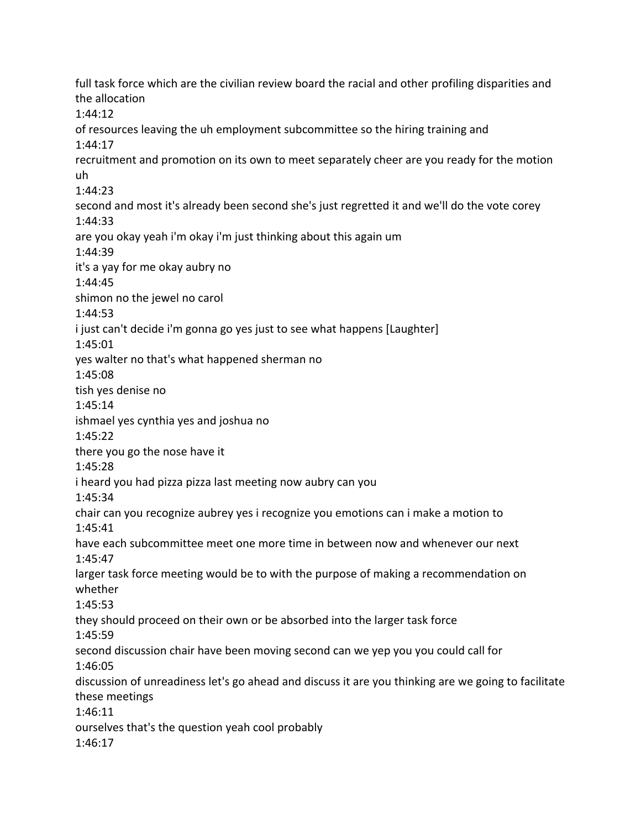full task force which are the civilian review board the racial and other profiling disparities and the allocation 1:44:12 of resources leaving the uh employment subcommittee so the hiring training and 1:44:17 recruitment and promotion on its own to meet separately cheer are you ready for the motion uh 1:44:23 second and most it's already been second she's just regretted it and we'll do the vote corey 1:44:33 are you okay yeah i'm okay i'm just thinking about this again um 1:44:39 it's a yay for me okay aubry no 1:44:45 shimon no the jewel no carol 1:44:53 i just can't decide i'm gonna go yes just to see what happens [Laughter] 1:45:01 yes walter no that's what happened sherman no 1:45:08 tish yes denise no 1:45:14 ishmael yes cynthia yes and joshua no 1:45:22 there you go the nose have it 1:45:28 i heard you had pizza pizza last meeting now aubry can you 1:45:34 chair can you recognize aubrey yes i recognize you emotions can i make a motion to 1:45:41 have each subcommittee meet one more time in between now and whenever our next 1:45:47 larger task force meeting would be to with the purpose of making a recommendation on whether 1:45:53 they should proceed on their own or be absorbed into the larger task force 1:45:59 second discussion chair have been moving second can we yep you you could call for 1:46:05 discussion of unreadiness let's go ahead and discuss it are you thinking are we going to facilitate these meetings 1:46:11 ourselves that's the question yeah cool probably 1:46:17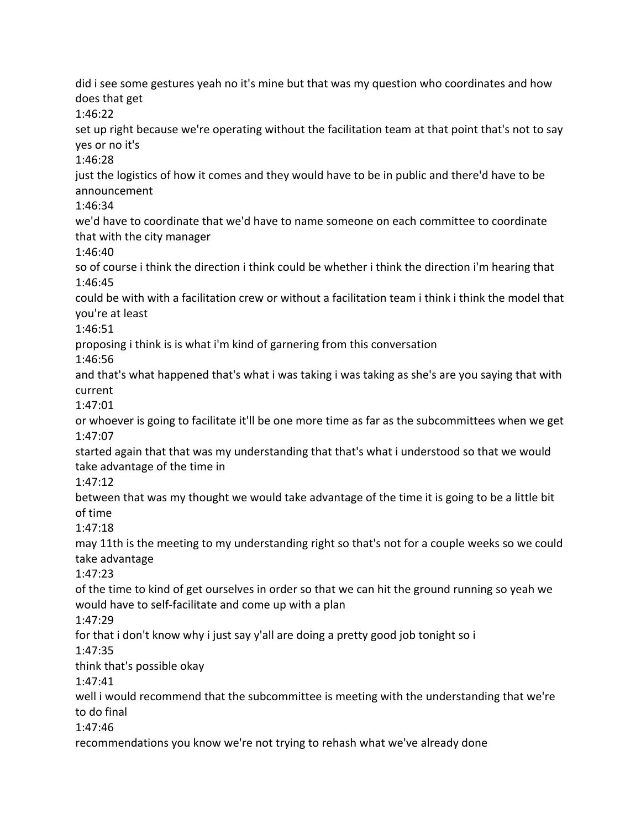did i see some gestures yeah no it's mine but that was my question who coordinates and how does that get 1:46:22 set up right because we're operating without the facilitation team at that point that's not to say yes or no it's 1:46:28 just the logistics of how it comes and they would have to be in public and there'd have to be announcement 1:46:34 we'd have to coordinate that we'd have to name someone on each committee to coordinate that with the city manager 1:46:40 so of course i think the direction i think could be whether i think the direction i'm hearing that 1:46:45 could be with with a facilitation crew or without a facilitation team i think i think the model that you're at least 1:46:51 proposing i think is is what i'm kind of garnering from this conversation 1:46:56 and that's what happened that's what i was taking i was taking as she's are you saying that with current 1:47:01 or whoever is going to facilitate it'll be one more time as far as the subcommittees when we get 1:47:07 started again that that was my understanding that that's what i understood so that we would take advantage of the time in 1:47:12 between that was my thought we would take advantage of the time it is going to be a little bit of time 1:47:18 may 11th is the meeting to my understanding right so that's not for a couple weeks so we could take advantage 1:47:23 of the time to kind of get ourselves in order so that we can hit the ground running so yeah we would have to self-facilitate and come up with a plan 1:47:29 for that i don't know why i just say y'all are doing a pretty good job tonight so i 1:47:35 think that's possible okay 1:47:41 well i would recommend that the subcommittee is meeting with the understanding that we're to do final 1:47:46 recommendations you know we're not trying to rehash what we've already done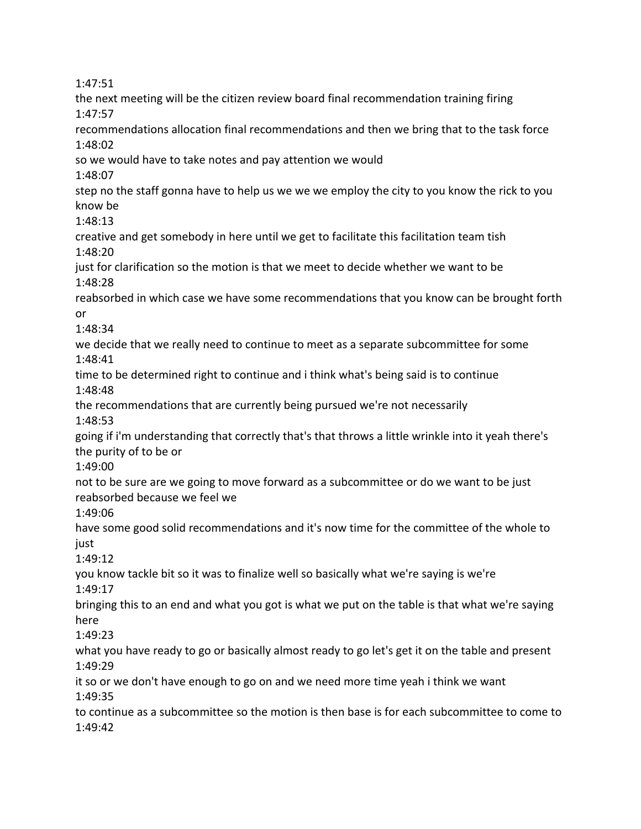1:47:51 the next meeting will be the citizen review board final recommendation training firing 1:47:57 recommendations allocation final recommendations and then we bring that to the task force 1:48:02 so we would have to take notes and pay attention we would 1:48:07 step no the staff gonna have to help us we we we employ the city to you know the rick to you know be 1:48:13 creative and get somebody in here until we get to facilitate this facilitation team tish 1:48:20 just for clarification so the motion is that we meet to decide whether we want to be 1:48:28 reabsorbed in which case we have some recommendations that you know can be brought forth or 1:48:34 we decide that we really need to continue to meet as a separate subcommittee for some 1:48:41 time to be determined right to continue and i think what's being said is to continue 1:48:48 the recommendations that are currently being pursued we're not necessarily 1:48:53 going if i'm understanding that correctly that's that throws a little wrinkle into it yeah there's the purity of to be or 1:49:00 not to be sure are we going to move forward as a subcommittee or do we want to be just reabsorbed because we feel we 1:49:06 have some good solid recommendations and it's now time for the committee of the whole to iust 1:49:12 you know tackle bit so it was to finalize well so basically what we're saying is we're 1:49:17 bringing this to an end and what you got is what we put on the table is that what we're saying here 1:49:23 what you have ready to go or basically almost ready to go let's get it on the table and present 1:49:29 it so or we don't have enough to go on and we need more time yeah i think we want 1:49:35 to continue as a subcommittee so the motion is then base is for each subcommittee to come to 1:49:42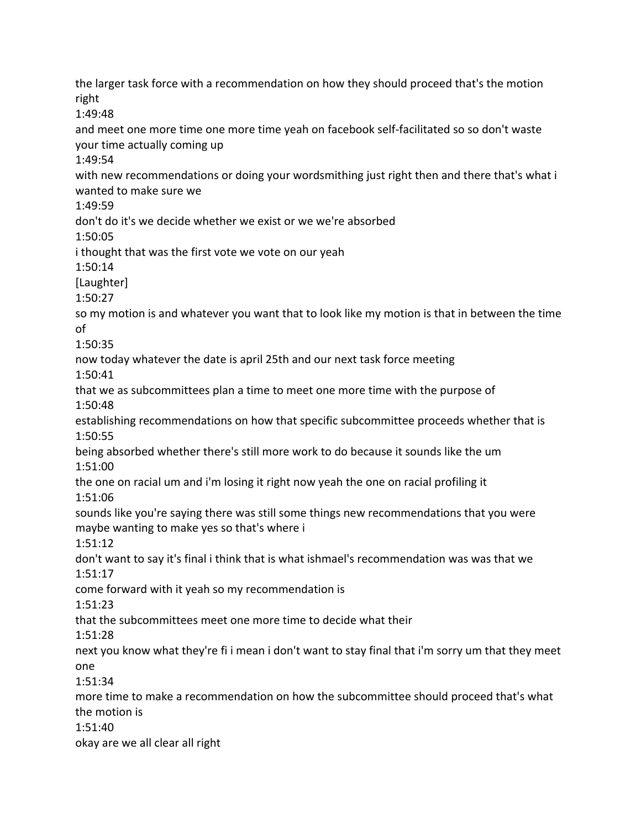the larger task force with a recommendation on how they should proceed that's the motion right 1:49:48 and meet one more time one more time yeah on facebook self-facilitated so so don't waste your time actually coming up 1:49:54 with new recommendations or doing your wordsmithing just right then and there that's what i wanted to make sure we 1:49:59 don't do it's we decide whether we exist or we we're absorbed 1:50:05 i thought that was the first vote we vote on our yeah 1:50:14 [Laughter] 1:50:27 so my motion is and whatever you want that to look like my motion is that in between the time of 1:50:35 now today whatever the date is april 25th and our next task force meeting 1:50:41 that we as subcommittees plan a time to meet one more time with the purpose of 1:50:48 establishing recommendations on how that specific subcommittee proceeds whether that is 1:50:55 being absorbed whether there's still more work to do because it sounds like the um 1:51:00 the one on racial um and i'm losing it right now yeah the one on racial profiling it 1:51:06 sounds like you're saying there was still some things new recommendations that you were maybe wanting to make yes so that's where i 1:51:12 don't want to say it's final i think that is what ishmael's recommendation was was that we 1:51:17 come forward with it yeah so my recommendation is 1:51:23 that the subcommittees meet one more time to decide what their 1:51:28 next you know what they're fi i mean i don't want to stay final that i'm sorry um that they meet one 1:51:34 more time to make a recommendation on how the subcommittee should proceed that's what the motion is 1:51:40 okay are we all clear all right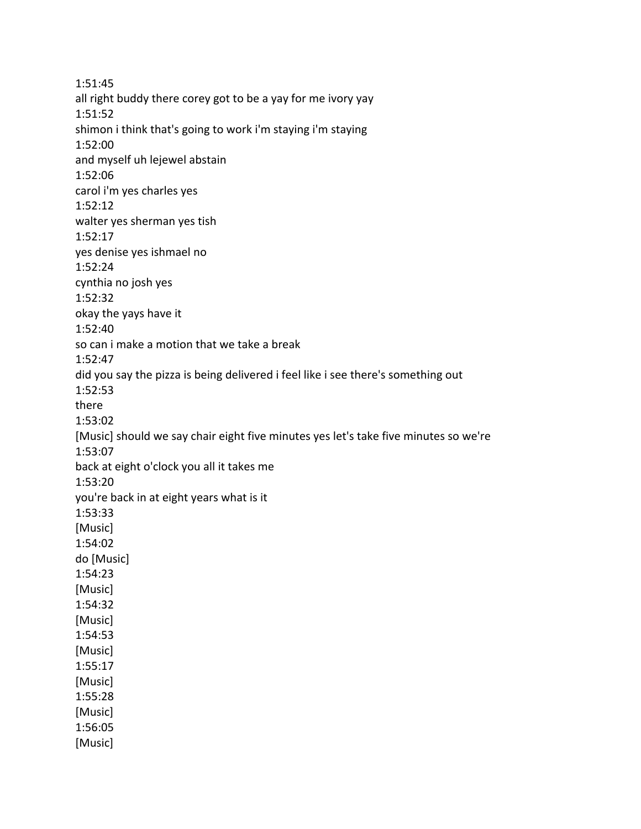1:51:45 all right buddy there corey got to be a yay for me ivory yay 1:51:52 shimon i think that's going to work i'm staying i'm staying 1:52:00 and myself uh lejewel abstain 1:52:06 carol i'm yes charles yes 1:52:12 walter yes sherman yes tish 1:52:17 yes denise yes ishmael no 1:52:24 cynthia no josh yes 1:52:32 okay the yays have it 1:52:40 so can i make a motion that we take a break 1:52:47 did you say the pizza is being delivered i feel like i see there's something out 1:52:53 there 1:53:02 [Music] should we say chair eight five minutes yes let's take five minutes so we're 1:53:07 back at eight o'clock you all it takes me 1:53:20 you're back in at eight years what is it 1:53:33 [Music] 1:54:02 do [Music] 1:54:23 [Music] 1:54:32 [Music] 1:54:53 [Music] 1:55:17 [Music] 1:55:28 [Music] 1:56:05 [Music]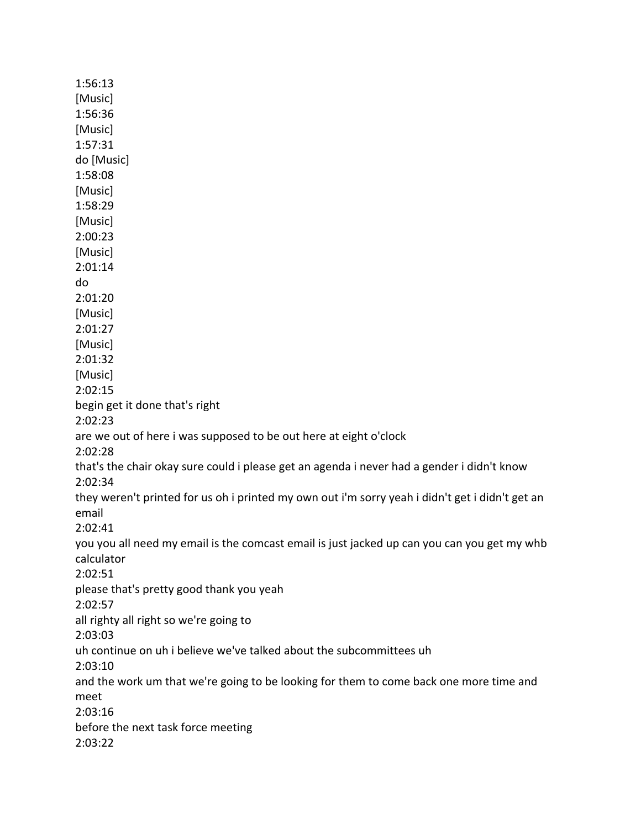1:56:13 [Music] 1:56:36 [Music] 1:57:31 do [Music] 1:58:08 [Music] 1:58:29 [Music] 2:00:23 [Music] 2:01:14 do 2:01:20 [Music] 2:01:27 [Music] 2:01:32 [Music] 2:02:15 begin get it done that's right 2:02:23 are we out of here i was supposed to be out here at eight o'clock 2:02:28 that's the chair okay sure could i please get an agenda i never had a gender i didn't know 2:02:34 they weren't printed for us oh i printed my own out i'm sorry yeah i didn't get i didn't get an email 2:02:41 you you all need my email is the comcast email is just jacked up can you can you get my whb calculator 2:02:51 please that's pretty good thank you yeah 2:02:57 all righty all right so we're going to 2:03:03 uh continue on uh i believe we've talked about the subcommittees uh 2:03:10 and the work um that we're going to be looking for them to come back one more time and meet 2:03:16 before the next task force meeting 2:03:22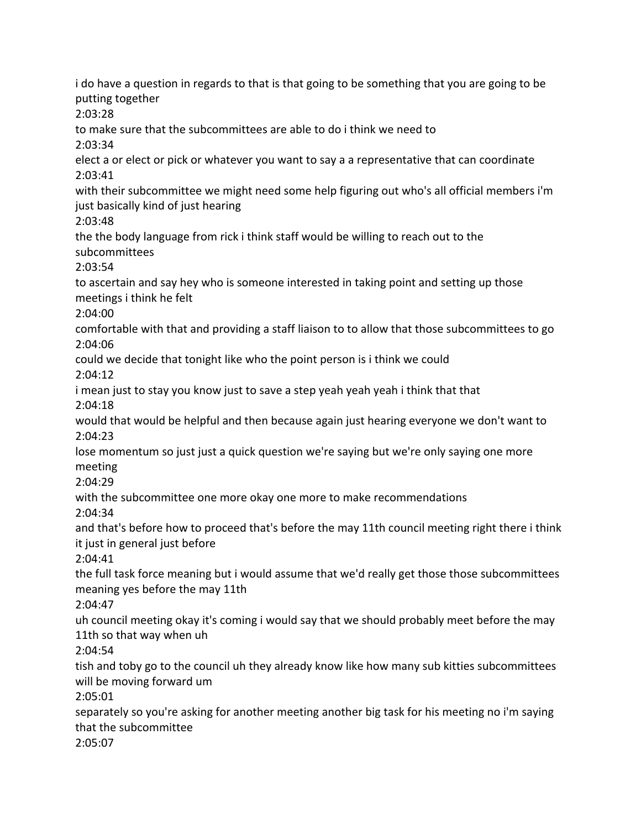i do have a question in regards to that is that going to be something that you are going to be putting together 2:03:28 to make sure that the subcommittees are able to do i think we need to 2:03:34 elect a or elect or pick or whatever you want to say a a representative that can coordinate 2:03:41 with their subcommittee we might need some help figuring out who's all official members i'm just basically kind of just hearing 2:03:48 the the body language from rick i think staff would be willing to reach out to the subcommittees 2:03:54 to ascertain and say hey who is someone interested in taking point and setting up those meetings i think he felt 2:04:00 comfortable with that and providing a staff liaison to to allow that those subcommittees to go 2:04:06 could we decide that tonight like who the point person is i think we could 2:04:12 i mean just to stay you know just to save a step yeah yeah yeah i think that that 2:04:18 would that would be helpful and then because again just hearing everyone we don't want to 2:04:23 lose momentum so just just a quick question we're saying but we're only saying one more meeting 2:04:29 with the subcommittee one more okay one more to make recommendations 2:04:34 and that's before how to proceed that's before the may 11th council meeting right there i think it just in general just before 2:04:41 the full task force meaning but i would assume that we'd really get those those subcommittees meaning yes before the may 11th 2:04:47 uh council meeting okay it's coming i would say that we should probably meet before the may 11th so that way when uh 2:04:54 tish and toby go to the council uh they already know like how many sub kitties subcommittees will be moving forward um 2:05:01 separately so you're asking for another meeting another big task for his meeting no i'm saying that the subcommittee 2:05:07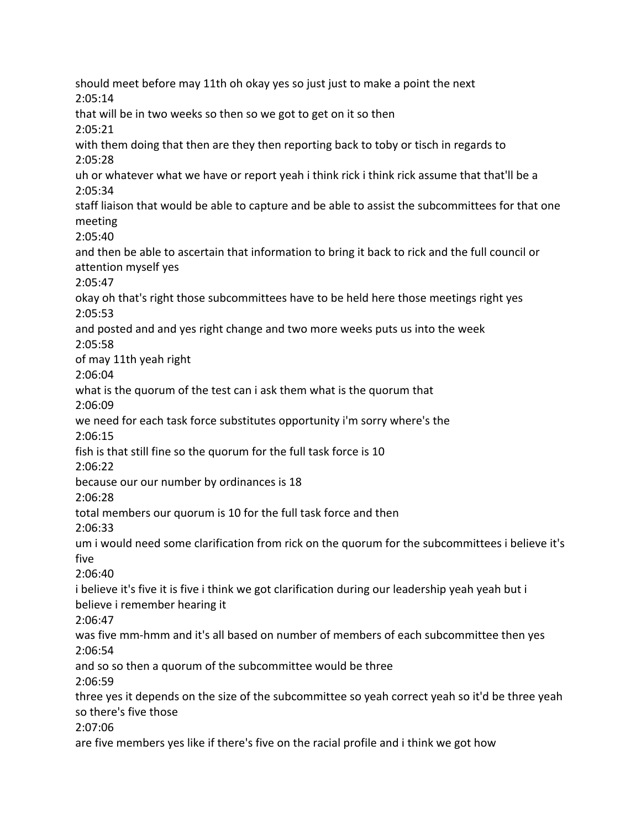should meet before may 11th oh okay yes so just just to make a point the next 2:05:14 that will be in two weeks so then so we got to get on it so then 2:05:21 with them doing that then are they then reporting back to toby or tisch in regards to 2:05:28 uh or whatever what we have or report yeah i think rick i think rick assume that that'll be a 2:05:34 staff liaison that would be able to capture and be able to assist the subcommittees for that one meeting 2:05:40 and then be able to ascertain that information to bring it back to rick and the full council or attention myself yes 2:05:47 okay oh that's right those subcommittees have to be held here those meetings right yes 2:05:53 and posted and and yes right change and two more weeks puts us into the week 2:05:58 of may 11th yeah right 2:06:04 what is the quorum of the test can i ask them what is the quorum that 2:06:09 we need for each task force substitutes opportunity i'm sorry where's the 2:06:15 fish is that still fine so the quorum for the full task force is 10 2:06:22 because our our number by ordinances is 18 2:06:28 total members our quorum is 10 for the full task force and then 2:06:33 um i would need some clarification from rick on the quorum for the subcommittees i believe it's five 2:06:40 i believe it's five it is five i think we got clarification during our leadership yeah yeah but i believe i remember hearing it 2:06:47 was five mm-hmm and it's all based on number of members of each subcommittee then yes 2:06:54 and so so then a quorum of the subcommittee would be three 2:06:59 three yes it depends on the size of the subcommittee so yeah correct yeah so it'd be three yeah so there's five those 2:07:06 are five members yes like if there's five on the racial profile and i think we got how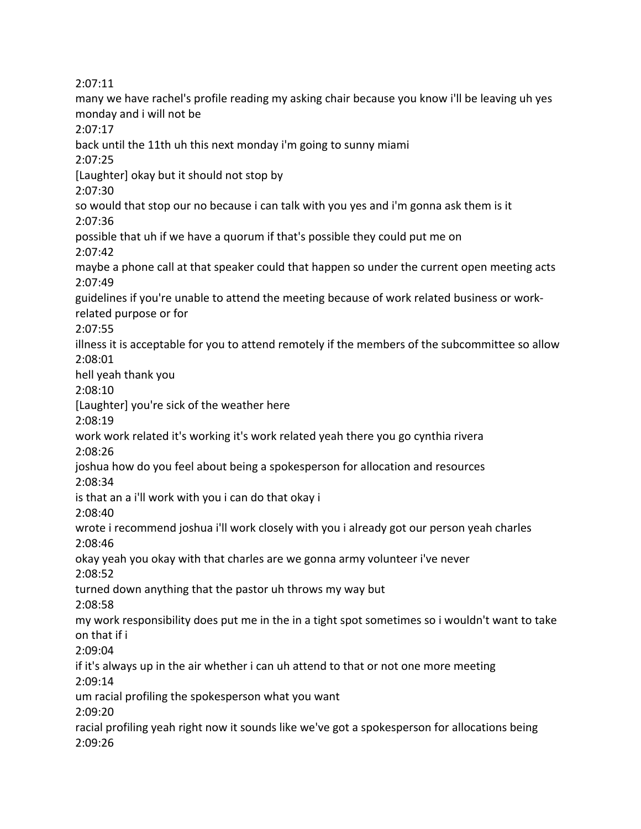2:07:11 many we have rachel's profile reading my asking chair because you know i'll be leaving uh yes monday and i will not be 2:07:17 back until the 11th uh this next monday i'm going to sunny miami 2:07:25 [Laughter] okay but it should not stop by 2:07:30 so would that stop our no because i can talk with you yes and i'm gonna ask them is it 2:07:36 possible that uh if we have a quorum if that's possible they could put me on 2:07:42 maybe a phone call at that speaker could that happen so under the current open meeting acts 2:07:49 guidelines if you're unable to attend the meeting because of work related business or workrelated purpose or for 2:07:55 illness it is acceptable for you to attend remotely if the members of the subcommittee so allow 2:08:01 hell yeah thank you 2:08:10 [Laughter] you're sick of the weather here 2:08:19 work work related it's working it's work related yeah there you go cynthia rivera 2:08:26 joshua how do you feel about being a spokesperson for allocation and resources 2:08:34 is that an a i'll work with you i can do that okay i 2:08:40 wrote i recommend joshua i'll work closely with you i already got our person yeah charles 2:08:46 okay yeah you okay with that charles are we gonna army volunteer i've never 2:08:52 turned down anything that the pastor uh throws my way but 2:08:58 my work responsibility does put me in the in a tight spot sometimes so i wouldn't want to take on that if i 2:09:04 if it's always up in the air whether i can uh attend to that or not one more meeting 2:09:14 um racial profiling the spokesperson what you want 2:09:20 racial profiling yeah right now it sounds like we've got a spokesperson for allocations being 2:09:26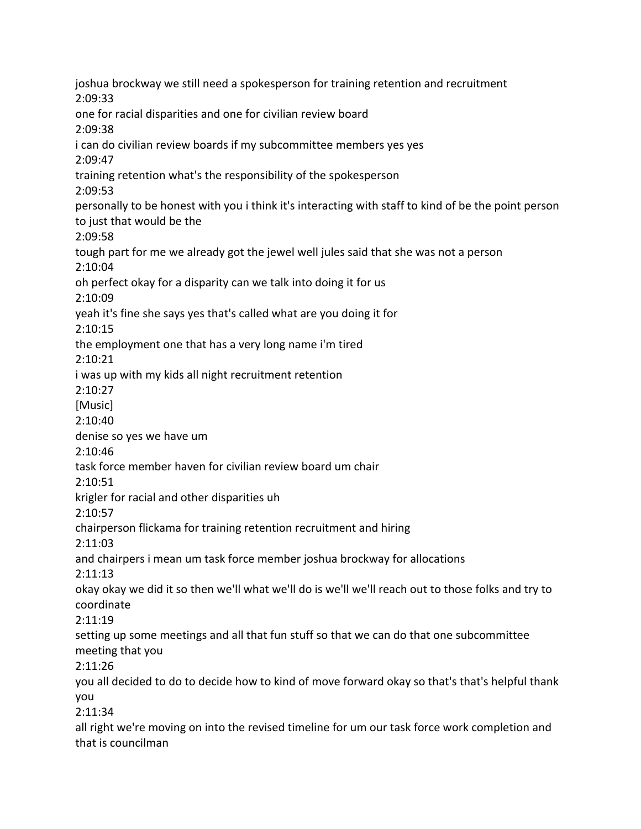joshua brockway we still need a spokesperson for training retention and recruitment 2:09:33 one for racial disparities and one for civilian review board 2:09:38 i can do civilian review boards if my subcommittee members yes yes 2:09:47 training retention what's the responsibility of the spokesperson 2:09:53 personally to be honest with you i think it's interacting with staff to kind of be the point person to just that would be the 2:09:58 tough part for me we already got the jewel well jules said that she was not a person 2:10:04 oh perfect okay for a disparity can we talk into doing it for us 2:10:09 yeah it's fine she says yes that's called what are you doing it for 2:10:15 the employment one that has a very long name i'm tired 2:10:21 i was up with my kids all night recruitment retention 2:10:27 [Music] 2:10:40 denise so yes we have um 2:10:46 task force member haven for civilian review board um chair 2:10:51 krigler for racial and other disparities uh 2:10:57 chairperson flickama for training retention recruitment and hiring 2:11:03 and chairpers i mean um task force member joshua brockway for allocations 2:11:13 okay okay we did it so then we'll what we'll do is we'll we'll reach out to those folks and try to coordinate 2:11:19 setting up some meetings and all that fun stuff so that we can do that one subcommittee meeting that you 2:11:26 you all decided to do to decide how to kind of move forward okay so that's that's helpful thank you 2:11:34 all right we're moving on into the revised timeline for um our task force work completion and that is councilman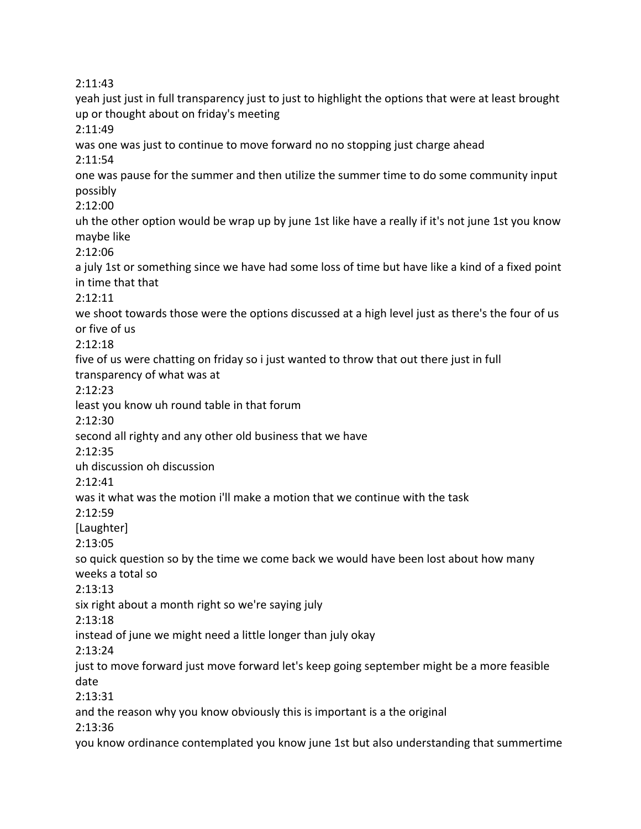2:11:43 yeah just just in full transparency just to just to highlight the options that were at least brought up or thought about on friday's meeting 2:11:49 was one was just to continue to move forward no no stopping just charge ahead 2:11:54 one was pause for the summer and then utilize the summer time to do some community input possibly 2:12:00 uh the other option would be wrap up by june 1st like have a really if it's not june 1st you know maybe like 2:12:06 a july 1st or something since we have had some loss of time but have like a kind of a fixed point in time that that 2:12:11 we shoot towards those were the options discussed at a high level just as there's the four of us or five of us 2:12:18 five of us were chatting on friday so i just wanted to throw that out there just in full transparency of what was at 2:12:23 least you know uh round table in that forum 2:12:30 second all righty and any other old business that we have 2:12:35 uh discussion oh discussion 2:12:41 was it what was the motion i'll make a motion that we continue with the task 2:12:59 [Laughter] 2:13:05 so quick question so by the time we come back we would have been lost about how many weeks a total so 2:13:13 six right about a month right so we're saying july 2:13:18 instead of june we might need a little longer than july okay 2:13:24 just to move forward just move forward let's keep going september might be a more feasible date 2:13:31 and the reason why you know obviously this is important is a the original 2:13:36 you know ordinance contemplated you know june 1st but also understanding that summertime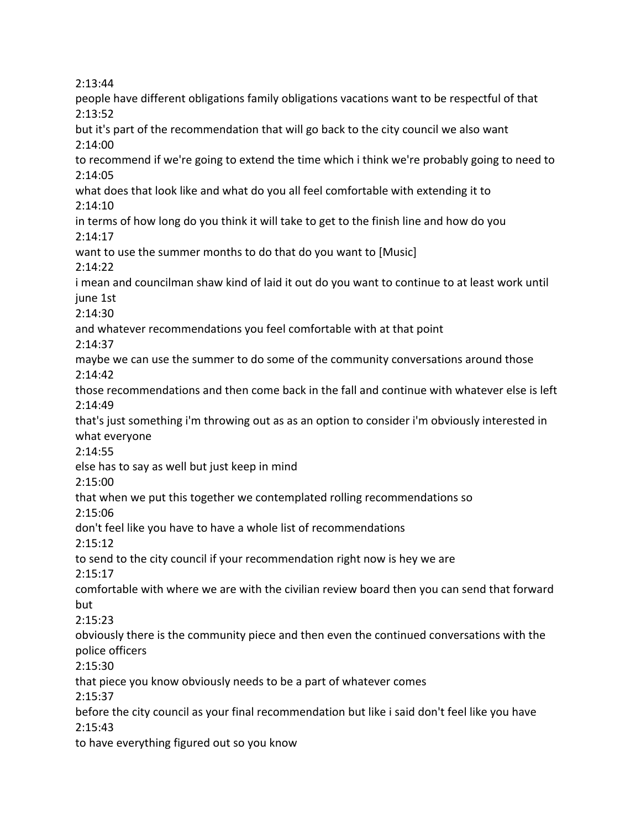2:13:44 people have different obligations family obligations vacations want to be respectful of that 2:13:52 but it's part of the recommendation that will go back to the city council we also want 2:14:00 to recommend if we're going to extend the time which i think we're probably going to need to 2:14:05 what does that look like and what do you all feel comfortable with extending it to 2:14:10 in terms of how long do you think it will take to get to the finish line and how do you 2:14:17 want to use the summer months to do that do you want to [Music] 2:14:22 i mean and councilman shaw kind of laid it out do you want to continue to at least work until june 1st 2:14:30 and whatever recommendations you feel comfortable with at that point 2:14:37 maybe we can use the summer to do some of the community conversations around those 2:14:42 those recommendations and then come back in the fall and continue with whatever else is left 2:14:49 that's just something i'm throwing out as as an option to consider i'm obviously interested in what everyone 2:14:55 else has to say as well but just keep in mind 2:15:00 that when we put this together we contemplated rolling recommendations so 2:15:06 don't feel like you have to have a whole list of recommendations 2:15:12 to send to the city council if your recommendation right now is hey we are 2:15:17 comfortable with where we are with the civilian review board then you can send that forward but 2:15:23 obviously there is the community piece and then even the continued conversations with the police officers 2:15:30 that piece you know obviously needs to be a part of whatever comes 2:15:37 before the city council as your final recommendation but like i said don't feel like you have 2:15:43 to have everything figured out so you know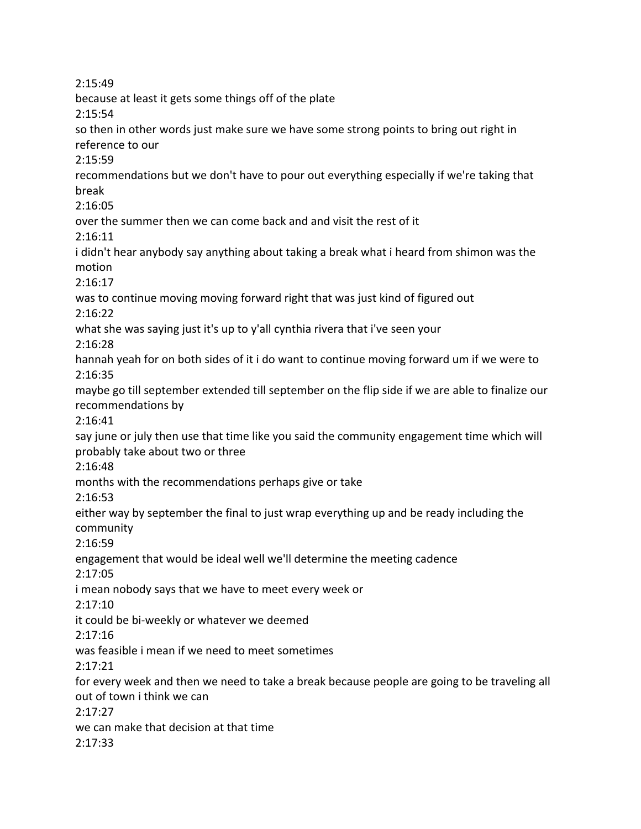2:15:49 because at least it gets some things off of the plate 2:15:54 so then in other words just make sure we have some strong points to bring out right in reference to our 2:15:59 recommendations but we don't have to pour out everything especially if we're taking that break 2:16:05 over the summer then we can come back and and visit the rest of it 2:16:11 i didn't hear anybody say anything about taking a break what i heard from shimon was the motion 2:16:17 was to continue moving moving forward right that was just kind of figured out 2:16:22 what she was saying just it's up to y'all cynthia rivera that i've seen your 2:16:28 hannah yeah for on both sides of it i do want to continue moving forward um if we were to 2:16:35 maybe go till september extended till september on the flip side if we are able to finalize our recommendations by 2:16:41 say june or july then use that time like you said the community engagement time which will probably take about two or three 2:16:48 months with the recommendations perhaps give or take 2:16:53 either way by september the final to just wrap everything up and be ready including the community 2:16:59 engagement that would be ideal well we'll determine the meeting cadence 2:17:05 i mean nobody says that we have to meet every week or 2:17:10 it could be bi-weekly or whatever we deemed 2:17:16 was feasible i mean if we need to meet sometimes 2:17:21 for every week and then we need to take a break because people are going to be traveling all out of town i think we can 2:17:27 we can make that decision at that time 2:17:33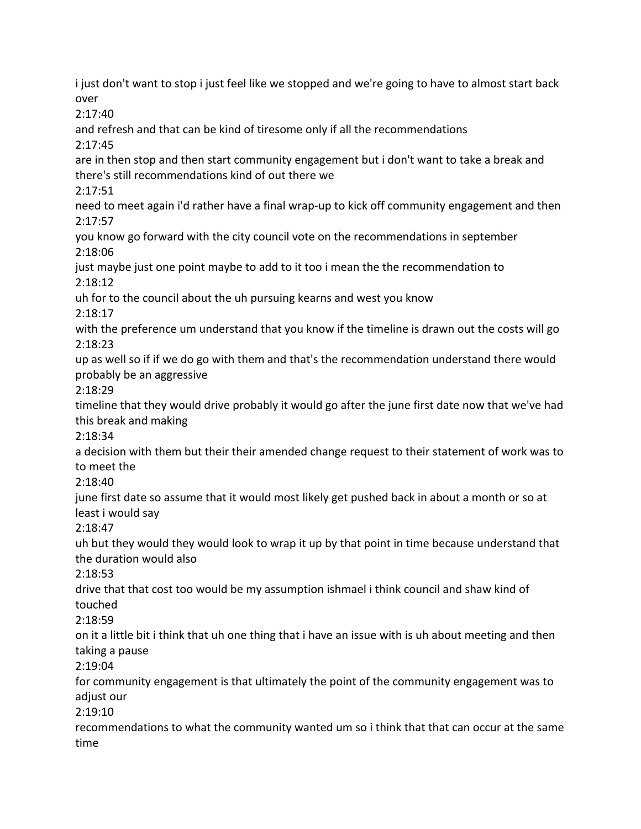i just don't want to stop i just feel like we stopped and we're going to have to almost start back over 2:17:40 and refresh and that can be kind of tiresome only if all the recommendations 2:17:45 are in then stop and then start community engagement but i don't want to take a break and there's still recommendations kind of out there we 2:17:51 need to meet again i'd rather have a final wrap-up to kick off community engagement and then 2:17:57 you know go forward with the city council vote on the recommendations in september 2:18:06 just maybe just one point maybe to add to it too i mean the the recommendation to 2:18:12 uh for to the council about the uh pursuing kearns and west you know 2:18:17 with the preference um understand that you know if the timeline is drawn out the costs will go 2:18:23 up as well so if if we do go with them and that's the recommendation understand there would probably be an aggressive 2:18:29 timeline that they would drive probably it would go after the june first date now that we've had this break and making 2:18:34 a decision with them but their their amended change request to their statement of work was to to meet the 2:18:40 june first date so assume that it would most likely get pushed back in about a month or so at least i would say 2:18:47 uh but they would they would look to wrap it up by that point in time because understand that the duration would also 2:18:53 drive that that cost too would be my assumption ishmael i think council and shaw kind of touched 2:18:59 on it a little bit i think that uh one thing that i have an issue with is uh about meeting and then taking a pause 2:19:04 for community engagement is that ultimately the point of the community engagement was to adjust our 2:19:10 recommendations to what the community wanted um so i think that that can occur at the same time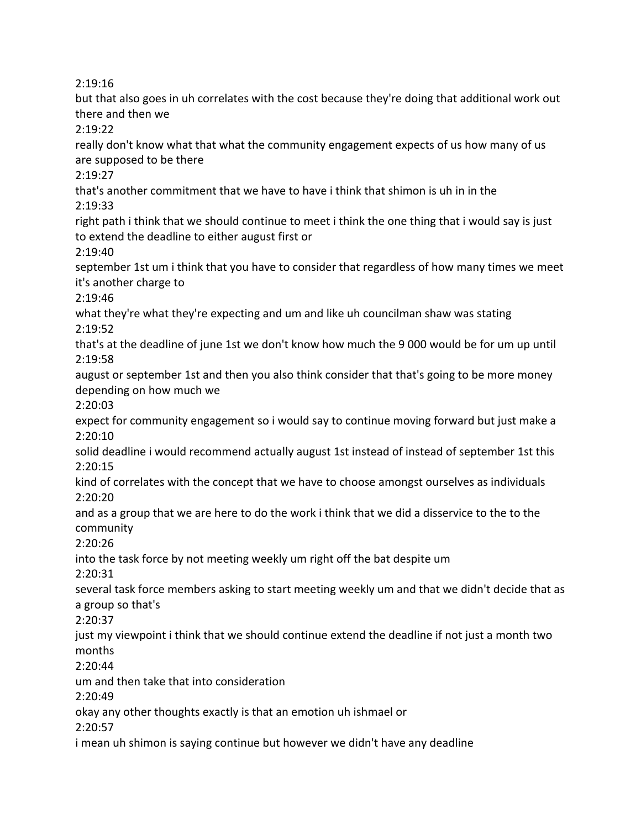2:19:16

but that also goes in uh correlates with the cost because they're doing that additional work out there and then we

2:19:22

really don't know what that what the community engagement expects of us how many of us are supposed to be there

2:19:27

that's another commitment that we have to have i think that shimon is uh in in the 2:19:33

right path i think that we should continue to meet i think the one thing that i would say is just to extend the deadline to either august first or

2:19:40

september 1st um i think that you have to consider that regardless of how many times we meet it's another charge to

2:19:46

what they're what they're expecting and um and like uh councilman shaw was stating 2:19:52

that's at the deadline of june 1st we don't know how much the 9 000 would be for um up until 2:19:58

august or september 1st and then you also think consider that that's going to be more money depending on how much we

2:20:03

expect for community engagement so i would say to continue moving forward but just make a 2:20:10

solid deadline i would recommend actually august 1st instead of instead of september 1st this 2:20:15

kind of correlates with the concept that we have to choose amongst ourselves as individuals 2:20:20

and as a group that we are here to do the work i think that we did a disservice to the to the community

2:20:26

into the task force by not meeting weekly um right off the bat despite um

2:20:31

several task force members asking to start meeting weekly um and that we didn't decide that as a group so that's

2:20:37

just my viewpoint i think that we should continue extend the deadline if not just a month two months

2:20:44

um and then take that into consideration

2:20:49

okay any other thoughts exactly is that an emotion uh ishmael or

2:20:57

i mean uh shimon is saying continue but however we didn't have any deadline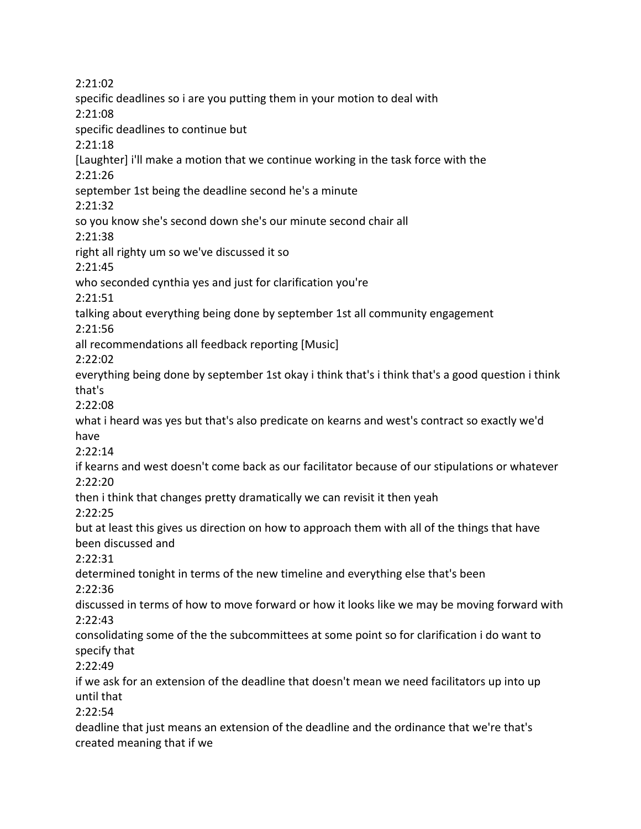2:21:02 specific deadlines so i are you putting them in your motion to deal with 2:21:08 specific deadlines to continue but 2:21:18 [Laughter] i'll make a motion that we continue working in the task force with the 2:21:26 september 1st being the deadline second he's a minute 2:21:32 so you know she's second down she's our minute second chair all 2:21:38 right all righty um so we've discussed it so 2:21:45 who seconded cynthia yes and just for clarification you're 2:21:51 talking about everything being done by september 1st all community engagement 2:21:56 all recommendations all feedback reporting [Music] 2:22:02 everything being done by september 1st okay i think that's i think that's a good question i think that's 2:22:08 what i heard was yes but that's also predicate on kearns and west's contract so exactly we'd have 2:22:14 if kearns and west doesn't come back as our facilitator because of our stipulations or whatever 2:22:20 then i think that changes pretty dramatically we can revisit it then yeah 2:22:25 but at least this gives us direction on how to approach them with all of the things that have been discussed and 2:22:31 determined tonight in terms of the new timeline and everything else that's been 2:22:36 discussed in terms of how to move forward or how it looks like we may be moving forward with 2:22:43 consolidating some of the the subcommittees at some point so for clarification i do want to specify that 2:22:49 if we ask for an extension of the deadline that doesn't mean we need facilitators up into up until that 2:22:54 deadline that just means an extension of the deadline and the ordinance that we're that's created meaning that if we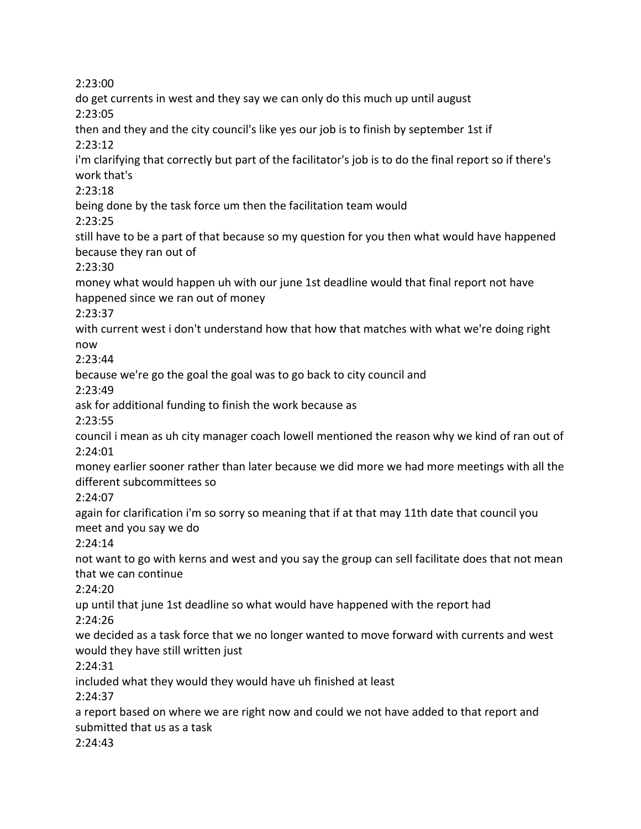2:23:00

do get currents in west and they say we can only do this much up until august 2:23:05

then and they and the city council's like yes our job is to finish by september 1st if 2:23:12

i'm clarifying that correctly but part of the facilitator's job is to do the final report so if there's work that's

2:23:18

being done by the task force um then the facilitation team would 2:23:25

still have to be a part of that because so my question for you then what would have happened because they ran out of

2:23:30

money what would happen uh with our june 1st deadline would that final report not have happened since we ran out of money

2:23:37

with current west i don't understand how that how that matches with what we're doing right

now

2:23:44

because we're go the goal the goal was to go back to city council and

2:23:49

ask for additional funding to finish the work because as

2:23:55

council i mean as uh city manager coach lowell mentioned the reason why we kind of ran out of 2:24:01

money earlier sooner rather than later because we did more we had more meetings with all the different subcommittees so

2:24:07

again for clarification i'm so sorry so meaning that if at that may 11th date that council you meet and you say we do

2:24:14

not want to go with kerns and west and you say the group can sell facilitate does that not mean that we can continue

2:24:20

up until that june 1st deadline so what would have happened with the report had

2:24:26

we decided as a task force that we no longer wanted to move forward with currents and west would they have still written just

2:24:31

included what they would they would have uh finished at least

2:24:37

a report based on where we are right now and could we not have added to that report and submitted that us as a task

2:24:43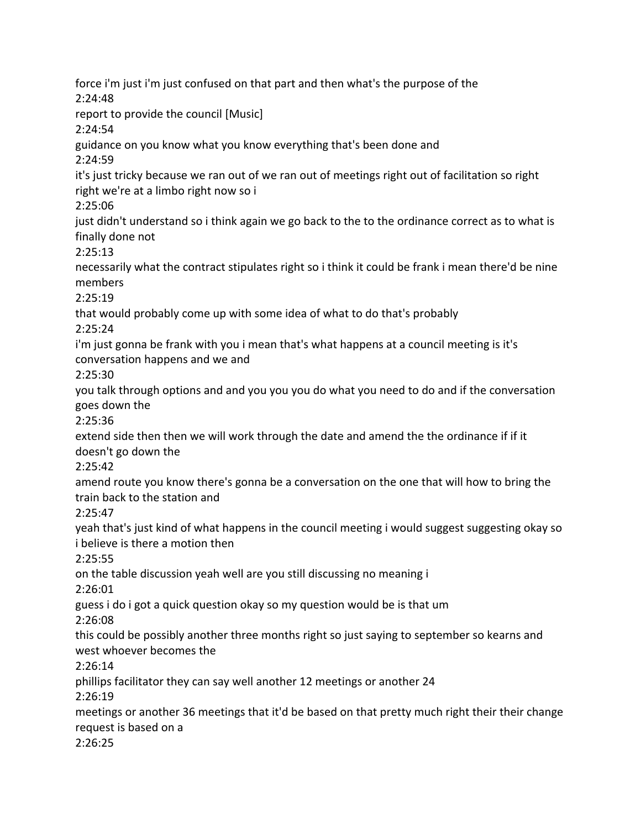force i'm just i'm just confused on that part and then what's the purpose of the 2:24:48 report to provide the council [Music] 2:24:54 guidance on you know what you know everything that's been done and 2:24:59 it's just tricky because we ran out of we ran out of meetings right out of facilitation so right right we're at a limbo right now so i 2:25:06 just didn't understand so i think again we go back to the to the ordinance correct as to what is finally done not 2:25:13 necessarily what the contract stipulates right so i think it could be frank i mean there'd be nine members 2:25:19 that would probably come up with some idea of what to do that's probably 2:25:24 i'm just gonna be frank with you i mean that's what happens at a council meeting is it's conversation happens and we and 2:25:30 you talk through options and and you you you do what you need to do and if the conversation goes down the 2:25:36 extend side then then we will work through the date and amend the the ordinance if if it doesn't go down the 2:25:42 amend route you know there's gonna be a conversation on the one that will how to bring the train back to the station and 2:25:47 yeah that's just kind of what happens in the council meeting i would suggest suggesting okay so i believe is there a motion then 2:25:55 on the table discussion yeah well are you still discussing no meaning i 2:26:01 guess i do i got a quick question okay so my question would be is that um 2:26:08 this could be possibly another three months right so just saying to september so kearns and west whoever becomes the 2:26:14 phillips facilitator they can say well another 12 meetings or another 24 2:26:19 meetings or another 36 meetings that it'd be based on that pretty much right their their change request is based on a 2:26:25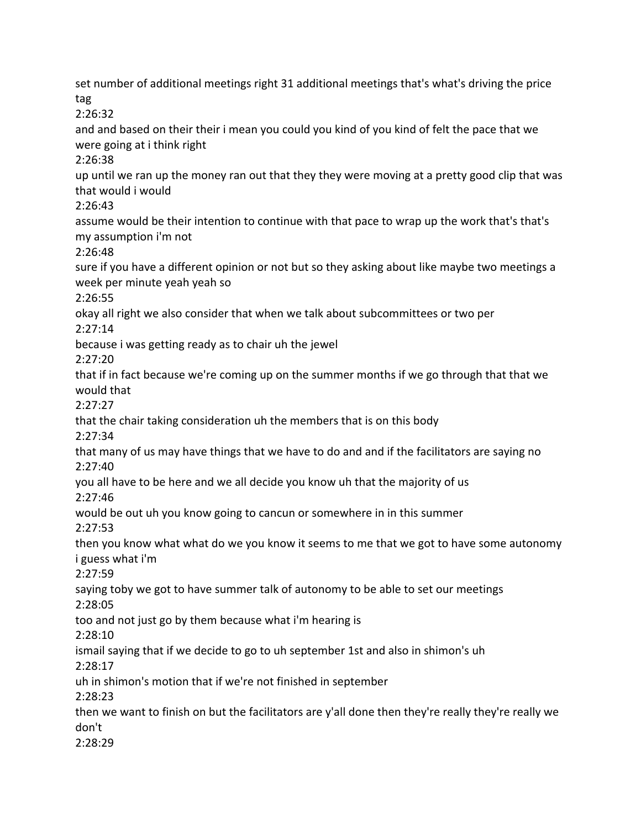set number of additional meetings right 31 additional meetings that's what's driving the price tag 2:26:32 and and based on their their i mean you could you kind of you kind of felt the pace that we were going at i think right 2:26:38 up until we ran up the money ran out that they they were moving at a pretty good clip that was that would i would 2:26:43 assume would be their intention to continue with that pace to wrap up the work that's that's my assumption i'm not 2:26:48 sure if you have a different opinion or not but so they asking about like maybe two meetings a week per minute yeah yeah so 2:26:55 okay all right we also consider that when we talk about subcommittees or two per 2:27:14 because i was getting ready as to chair uh the jewel 2:27:20 that if in fact because we're coming up on the summer months if we go through that that we would that 2:27:27 that the chair taking consideration uh the members that is on this body 2:27:34 that many of us may have things that we have to do and and if the facilitators are saying no 2:27:40 you all have to be here and we all decide you know uh that the majority of us 2:27:46 would be out uh you know going to cancun or somewhere in in this summer 2:27:53 then you know what what do we you know it seems to me that we got to have some autonomy i guess what i'm 2:27:59 saying toby we got to have summer talk of autonomy to be able to set our meetings 2:28:05 too and not just go by them because what i'm hearing is 2:28:10 ismail saying that if we decide to go to uh september 1st and also in shimon's uh 2:28:17 uh in shimon's motion that if we're not finished in september 2:28:23 then we want to finish on but the facilitators are y'all done then they're really they're really we don't 2:28:29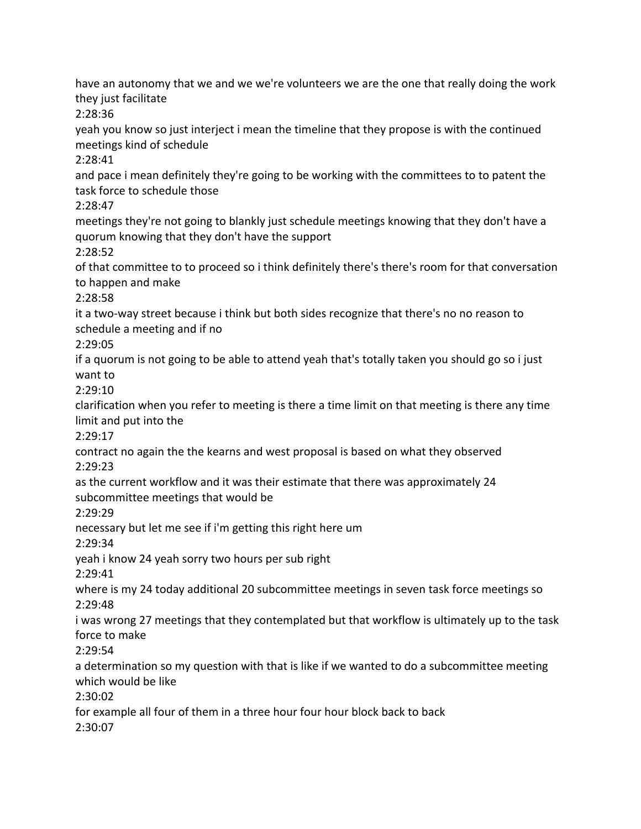have an autonomy that we and we we're volunteers we are the one that really doing the work they just facilitate

2:28:36

yeah you know so just interject i mean the timeline that they propose is with the continued meetings kind of schedule

2:28:41

and pace i mean definitely they're going to be working with the committees to to patent the task force to schedule those

2:28:47

meetings they're not going to blankly just schedule meetings knowing that they don't have a quorum knowing that they don't have the support

2:28:52

of that committee to to proceed so i think definitely there's there's room for that conversation to happen and make

2:28:58

it a two-way street because i think but both sides recognize that there's no no reason to schedule a meeting and if no

2:29:05

if a quorum is not going to be able to attend yeah that's totally taken you should go so i just want to

2:29:10

clarification when you refer to meeting is there a time limit on that meeting is there any time limit and put into the

2:29:17

contract no again the the kearns and west proposal is based on what they observed 2:29:23

as the current workflow and it was their estimate that there was approximately 24 subcommittee meetings that would be

2:29:29

necessary but let me see if i'm getting this right here um

2:29:34

yeah i know 24 yeah sorry two hours per sub right

2:29:41

where is my 24 today additional 20 subcommittee meetings in seven task force meetings so 2:29:48

i was wrong 27 meetings that they contemplated but that workflow is ultimately up to the task force to make

2:29:54

a determination so my question with that is like if we wanted to do a subcommittee meeting which would be like

2:30:02

for example all four of them in a three hour four hour block back to back 2:30:07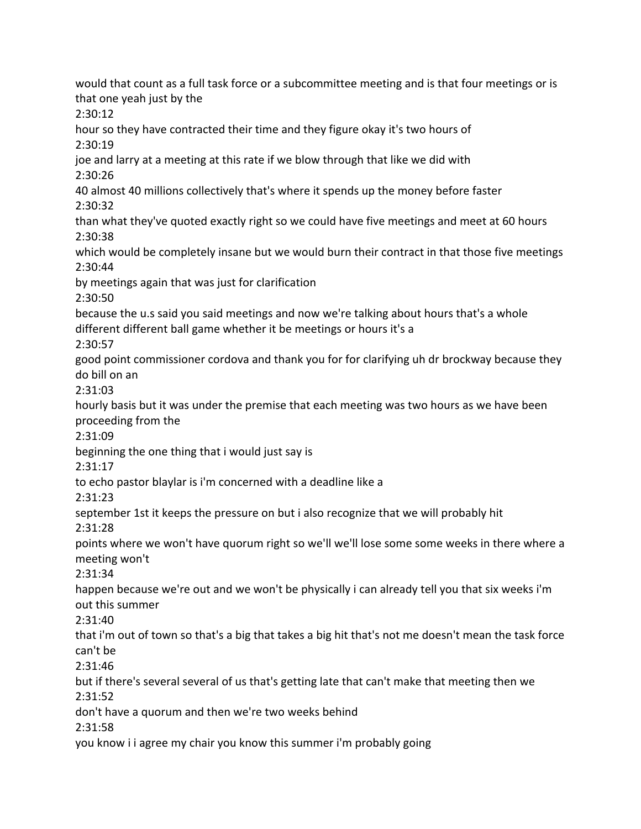would that count as a full task force or a subcommittee meeting and is that four meetings or is that one yeah just by the 2:30:12 hour so they have contracted their time and they figure okay it's two hours of 2:30:19 joe and larry at a meeting at this rate if we blow through that like we did with 2:30:26 40 almost 40 millions collectively that's where it spends up the money before faster 2:30:32 than what they've quoted exactly right so we could have five meetings and meet at 60 hours 2:30:38 which would be completely insane but we would burn their contract in that those five meetings 2:30:44 by meetings again that was just for clarification 2:30:50 because the u.s said you said meetings and now we're talking about hours that's a whole different different ball game whether it be meetings or hours it's a 2:30:57 good point commissioner cordova and thank you for for clarifying uh dr brockway because they do bill on an 2:31:03 hourly basis but it was under the premise that each meeting was two hours as we have been proceeding from the 2:31:09 beginning the one thing that i would just say is 2:31:17 to echo pastor blaylar is i'm concerned with a deadline like a 2:31:23 september 1st it keeps the pressure on but i also recognize that we will probably hit 2:31:28 points where we won't have quorum right so we'll we'll lose some some weeks in there where a meeting won't 2:31:34 happen because we're out and we won't be physically i can already tell you that six weeks i'm out this summer 2:31:40 that i'm out of town so that's a big that takes a big hit that's not me doesn't mean the task force can't be 2:31:46 but if there's several several of us that's getting late that can't make that meeting then we 2:31:52 don't have a quorum and then we're two weeks behind 2:31:58 you know i i agree my chair you know this summer i'm probably going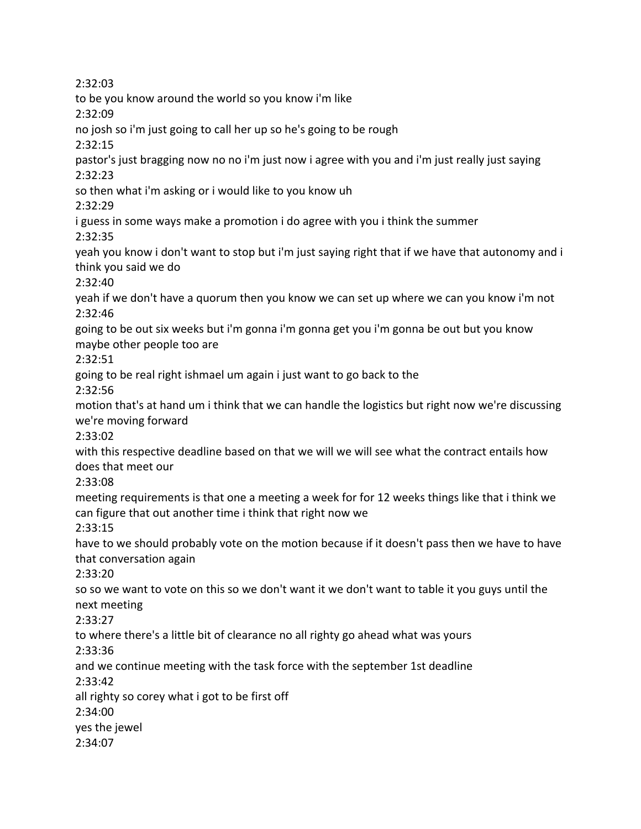2:32:03 to be you know around the world so you know i'm like 2:32:09 no josh so i'm just going to call her up so he's going to be rough 2:32:15 pastor's just bragging now no no i'm just now i agree with you and i'm just really just saying 2:32:23 so then what i'm asking or i would like to you know uh 2:32:29 i guess in some ways make a promotion i do agree with you i think the summer 2:32:35 yeah you know i don't want to stop but i'm just saying right that if we have that autonomy and i think you said we do 2:32:40 yeah if we don't have a quorum then you know we can set up where we can you know i'm not 2:32:46 going to be out six weeks but i'm gonna i'm gonna get you i'm gonna be out but you know maybe other people too are 2:32:51 going to be real right ishmael um again i just want to go back to the 2:32:56 motion that's at hand um i think that we can handle the logistics but right now we're discussing we're moving forward 2:33:02 with this respective deadline based on that we will we will see what the contract entails how does that meet our 2:33:08 meeting requirements is that one a meeting a week for for 12 weeks things like that i think we can figure that out another time i think that right now we 2:33:15 have to we should probably vote on the motion because if it doesn't pass then we have to have that conversation again 2:33:20 so so we want to vote on this so we don't want it we don't want to table it you guys until the next meeting 2:33:27 to where there's a little bit of clearance no all righty go ahead what was yours 2:33:36 and we continue meeting with the task force with the september 1st deadline 2:33:42 all righty so corey what i got to be first off 2:34:00 yes the jewel 2:34:07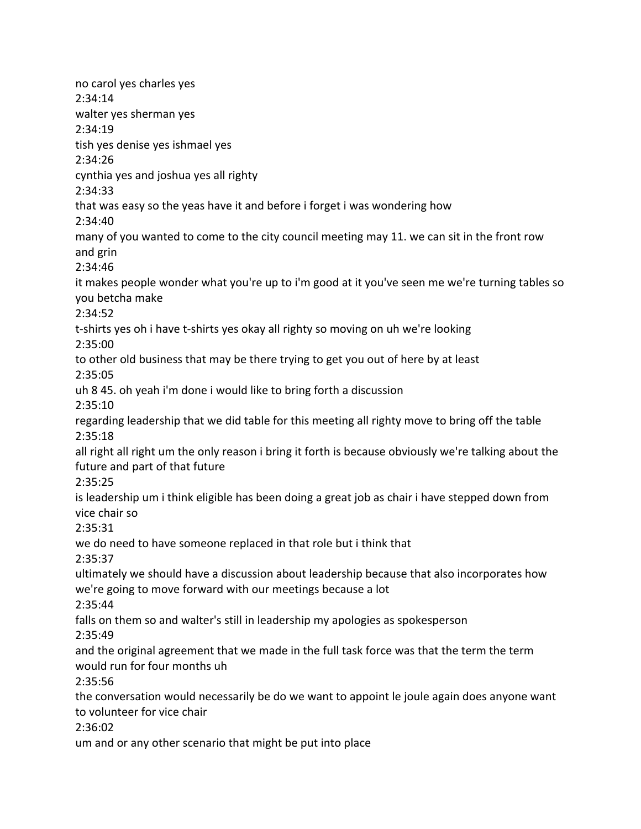no carol yes charles yes 2:34:14 walter yes sherman yes 2:34:19 tish yes denise yes ishmael yes 2:34:26 cynthia yes and joshua yes all righty 2:34:33 that was easy so the yeas have it and before i forget i was wondering how 2:34:40 many of you wanted to come to the city council meeting may 11. we can sit in the front row and grin 2:34:46 it makes people wonder what you're up to i'm good at it you've seen me we're turning tables so you betcha make 2:34:52 t-shirts yes oh i have t-shirts yes okay all righty so moving on uh we're looking 2:35:00 to other old business that may be there trying to get you out of here by at least 2:35:05 uh 8 45. oh yeah i'm done i would like to bring forth a discussion 2:35:10 regarding leadership that we did table for this meeting all righty move to bring off the table 2:35:18 all right all right um the only reason i bring it forth is because obviously we're talking about the future and part of that future 2:35:25 is leadership um i think eligible has been doing a great job as chair i have stepped down from vice chair so 2:35:31 we do need to have someone replaced in that role but i think that 2:35:37 ultimately we should have a discussion about leadership because that also incorporates how we're going to move forward with our meetings because a lot 2:35:44 falls on them so and walter's still in leadership my apologies as spokesperson 2:35:49 and the original agreement that we made in the full task force was that the term the term would run for four months uh 2:35:56 the conversation would necessarily be do we want to appoint le joule again does anyone want to volunteer for vice chair 2:36:02 um and or any other scenario that might be put into place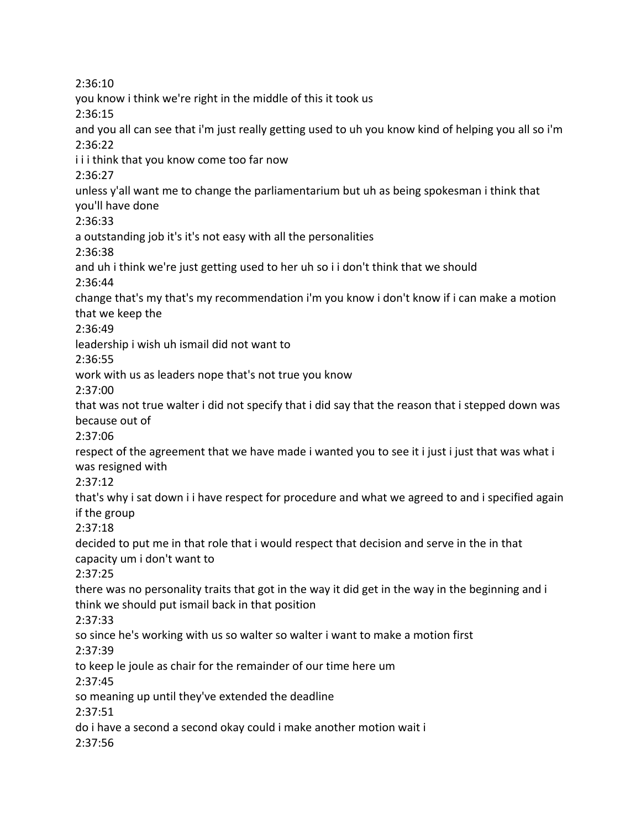2:36:10 you know i think we're right in the middle of this it took us 2:36:15 and you all can see that i'm just really getting used to uh you know kind of helping you all so i'm 2:36:22 i i i think that you know come too far now 2:36:27 unless y'all want me to change the parliamentarium but uh as being spokesman i think that you'll have done 2:36:33 a outstanding job it's it's not easy with all the personalities 2:36:38 and uh i think we're just getting used to her uh so i i don't think that we should 2:36:44 change that's my that's my recommendation i'm you know i don't know if i can make a motion that we keep the 2:36:49 leadership i wish uh ismail did not want to 2:36:55 work with us as leaders nope that's not true you know 2:37:00 that was not true walter i did not specify that i did say that the reason that i stepped down was because out of 2:37:06 respect of the agreement that we have made i wanted you to see it i just i just that was what i was resigned with 2:37:12 that's why i sat down i i have respect for procedure and what we agreed to and i specified again if the group 2:37:18 decided to put me in that role that i would respect that decision and serve in the in that capacity um i don't want to 2:37:25 there was no personality traits that got in the way it did get in the way in the beginning and i think we should put ismail back in that position 2:37:33 so since he's working with us so walter so walter i want to make a motion first 2:37:39 to keep le joule as chair for the remainder of our time here um 2:37:45 so meaning up until they've extended the deadline 2:37:51 do i have a second a second okay could i make another motion wait i 2:37:56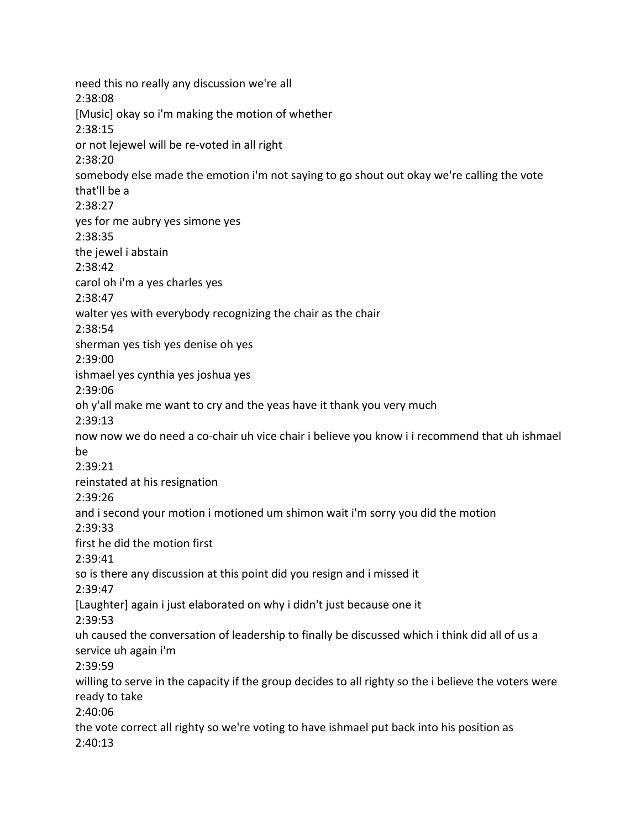need this no really any discussion we're all 2:38:08 [Music] okay so i'm making the motion of whether 2:38:15 or not lejewel will be re-voted in all right 2:38:20 somebody else made the emotion i'm not saying to go shout out okay we're calling the vote that'll be a 2:38:27 yes for me aubry yes simone yes 2:38:35 the jewel i abstain 2:38:42 carol oh i'm a yes charles yes 2:38:47 walter yes with everybody recognizing the chair as the chair 2:38:54 sherman yes tish yes denise oh yes 2:39:00 ishmael yes cynthia yes joshua yes 2:39:06 oh y'all make me want to cry and the yeas have it thank you very much 2:39:13 now now we do need a co-chair uh vice chair i believe you know i i recommend that uh ishmael be 2:39:21 reinstated at his resignation 2:39:26 and i second your motion i motioned um shimon wait i'm sorry you did the motion 2:39:33 first he did the motion first 2:39:41 so is there any discussion at this point did you resign and i missed it 2:39:47 [Laughter] again i just elaborated on why i didn't just because one it 2:39:53 uh caused the conversation of leadership to finally be discussed which i think did all of us a service uh again i'm 2:39:59 willing to serve in the capacity if the group decides to all righty so the i believe the voters were ready to take 2:40:06 the vote correct all righty so we're voting to have ishmael put back into his position as 2:40:13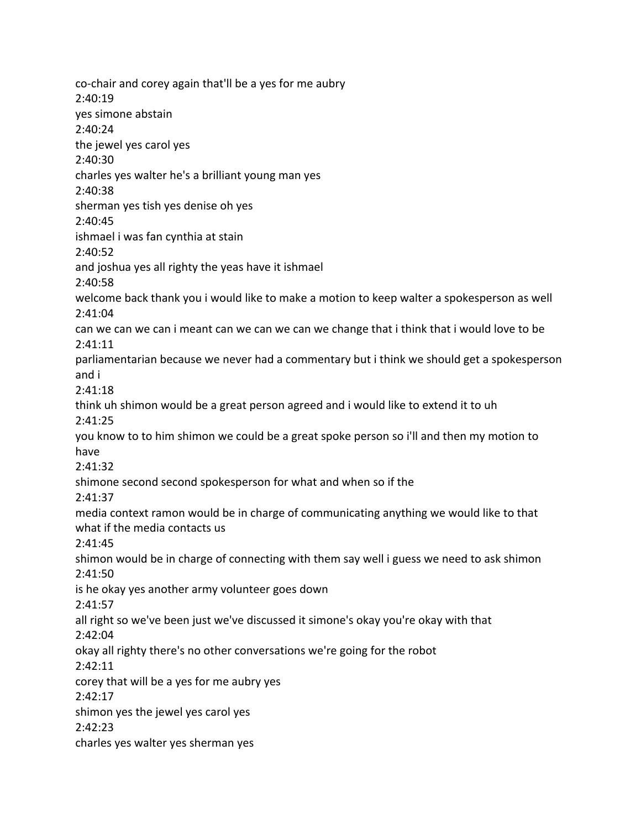co-chair and corey again that'll be a yes for me aubry 2:40:19 yes simone abstain 2:40:24 the jewel yes carol yes 2:40:30 charles yes walter he's a brilliant young man yes 2:40:38 sherman yes tish yes denise oh yes 2:40:45 ishmael i was fan cynthia at stain 2:40:52 and joshua yes all righty the yeas have it ishmael 2:40:58 welcome back thank you i would like to make a motion to keep walter a spokesperson as well 2:41:04 can we can we can i meant can we can we can we change that i think that i would love to be 2:41:11 parliamentarian because we never had a commentary but i think we should get a spokesperson and i 2:41:18 think uh shimon would be a great person agreed and i would like to extend it to uh 2:41:25 you know to to him shimon we could be a great spoke person so i'll and then my motion to have 2:41:32 shimone second second spokesperson for what and when so if the 2:41:37 media context ramon would be in charge of communicating anything we would like to that what if the media contacts us 2:41:45 shimon would be in charge of connecting with them say well i guess we need to ask shimon 2:41:50 is he okay yes another army volunteer goes down 2:41:57 all right so we've been just we've discussed it simone's okay you're okay with that 2:42:04 okay all righty there's no other conversations we're going for the robot 2:42:11 corey that will be a yes for me aubry yes 2:42:17 shimon yes the jewel yes carol yes 2:42:23 charles yes walter yes sherman yes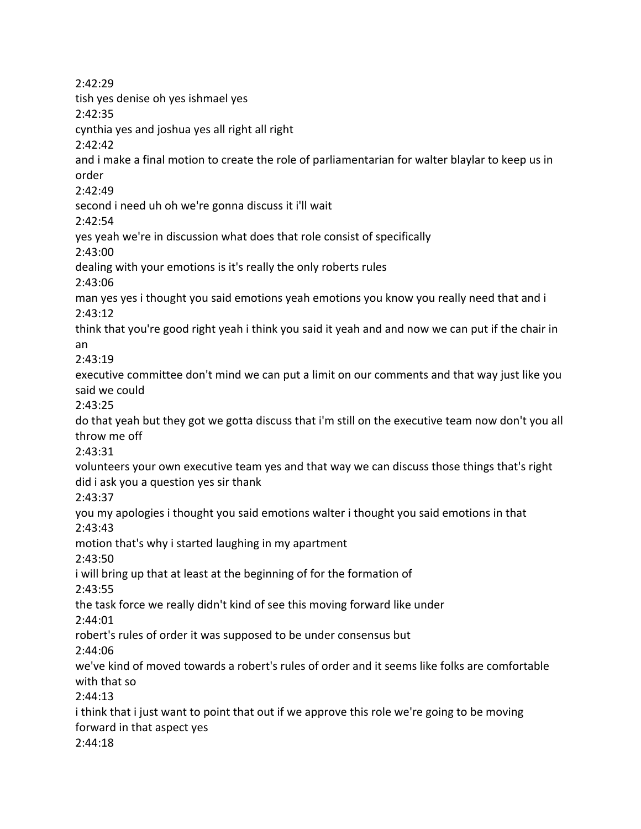2:42:29 tish yes denise oh yes ishmael yes 2:42:35 cynthia yes and joshua yes all right all right 2:42:42 and i make a final motion to create the role of parliamentarian for walter blaylar to keep us in order 2:42:49 second i need uh oh we're gonna discuss it i'll wait 2:42:54 yes yeah we're in discussion what does that role consist of specifically 2:43:00 dealing with your emotions is it's really the only roberts rules 2:43:06 man yes yes i thought you said emotions yeah emotions you know you really need that and i 2:43:12 think that you're good right yeah i think you said it yeah and and now we can put if the chair in an 2:43:19 executive committee don't mind we can put a limit on our comments and that way just like you said we could 2:43:25 do that yeah but they got we gotta discuss that i'm still on the executive team now don't you all throw me off 2:43:31 volunteers your own executive team yes and that way we can discuss those things that's right did i ask you a question yes sir thank 2:43:37 you my apologies i thought you said emotions walter i thought you said emotions in that 2:43:43 motion that's why i started laughing in my apartment 2:43:50 i will bring up that at least at the beginning of for the formation of 2:43:55 the task force we really didn't kind of see this moving forward like under 2:44:01 robert's rules of order it was supposed to be under consensus but 2:44:06 we've kind of moved towards a robert's rules of order and it seems like folks are comfortable with that so 2:44:13 i think that i just want to point that out if we approve this role we're going to be moving forward in that aspect yes 2:44:18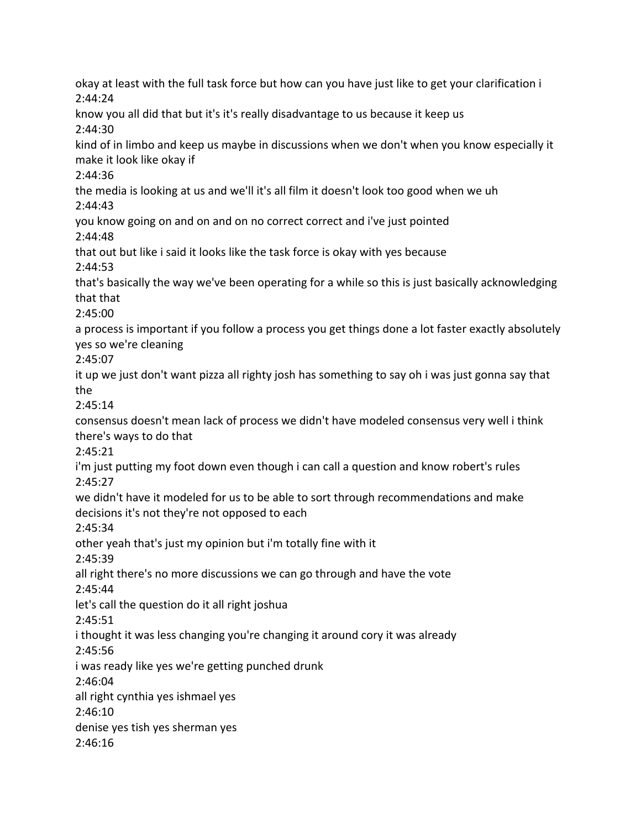okay at least with the full task force but how can you have just like to get your clarification i 2:44:24 know you all did that but it's it's really disadvantage to us because it keep us 2:44:30 kind of in limbo and keep us maybe in discussions when we don't when you know especially it make it look like okay if 2:44:36 the media is looking at us and we'll it's all film it doesn't look too good when we uh 2:44:43 you know going on and on and on no correct correct and i've just pointed 2:44:48 that out but like i said it looks like the task force is okay with yes because 2:44:53 that's basically the way we've been operating for a while so this is just basically acknowledging that that 2:45:00 a process is important if you follow a process you get things done a lot faster exactly absolutely yes so we're cleaning 2:45:07 it up we just don't want pizza all righty josh has something to say oh i was just gonna say that the 2:45:14 consensus doesn't mean lack of process we didn't have modeled consensus very well i think there's ways to do that 2:45:21 i'm just putting my foot down even though i can call a question and know robert's rules 2:45:27 we didn't have it modeled for us to be able to sort through recommendations and make decisions it's not they're not opposed to each 2:45:34 other yeah that's just my opinion but i'm totally fine with it 2:45:39 all right there's no more discussions we can go through and have the vote 2:45:44 let's call the question do it all right joshua 2:45:51 i thought it was less changing you're changing it around cory it was already 2:45:56 i was ready like yes we're getting punched drunk 2:46:04 all right cynthia yes ishmael yes 2:46:10 denise yes tish yes sherman yes 2:46:16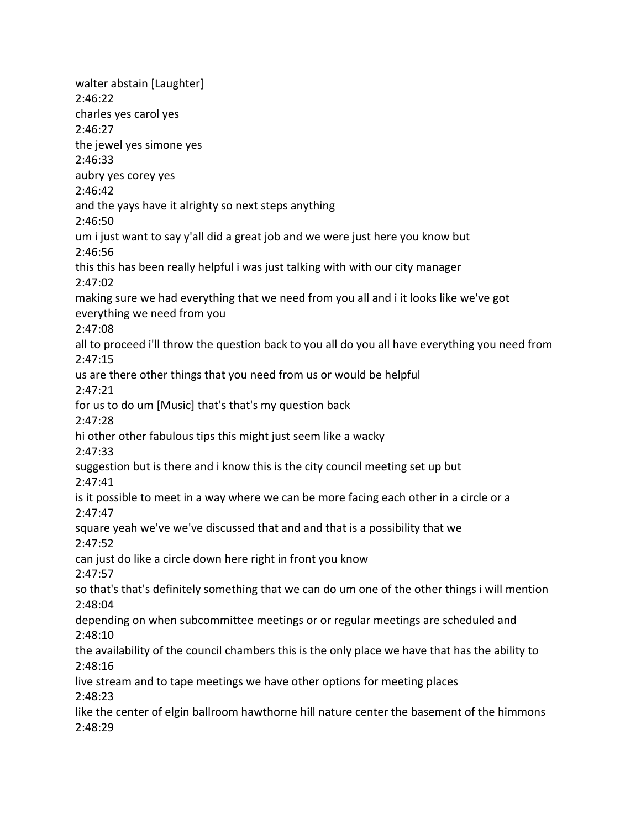walter abstain [Laughter] 2:46:22 charles yes carol yes 2:46:27 the jewel yes simone yes 2:46:33 aubry yes corey yes 2:46:42 and the yays have it alrighty so next steps anything 2:46:50 um i just want to say y'all did a great job and we were just here you know but 2:46:56 this this has been really helpful i was just talking with with our city manager 2:47:02 making sure we had everything that we need from you all and i it looks like we've got everything we need from you 2:47:08 all to proceed i'll throw the question back to you all do you all have everything you need from 2:47:15 us are there other things that you need from us or would be helpful 2:47:21 for us to do um [Music] that's that's my question back 2:47:28 hi other other fabulous tips this might just seem like a wacky 2:47:33 suggestion but is there and i know this is the city council meeting set up but 2:47:41 is it possible to meet in a way where we can be more facing each other in a circle or a 2:47:47 square yeah we've we've discussed that and and that is a possibility that we 2:47:52 can just do like a circle down here right in front you know 2:47:57 so that's that's definitely something that we can do um one of the other things i will mention 2:48:04 depending on when subcommittee meetings or or regular meetings are scheduled and 2:48:10 the availability of the council chambers this is the only place we have that has the ability to 2:48:16 live stream and to tape meetings we have other options for meeting places 2:48:23 like the center of elgin ballroom hawthorne hill nature center the basement of the himmons 2:48:29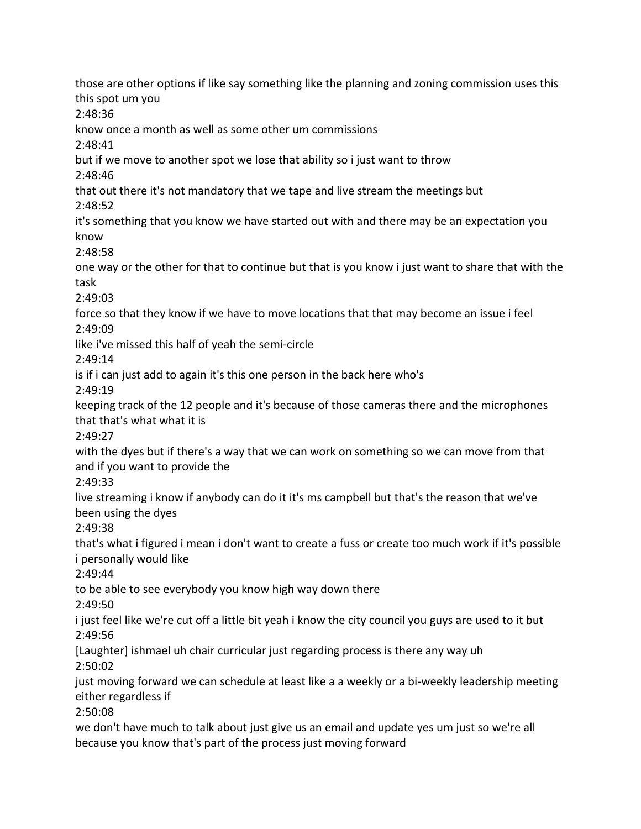those are other options if like say something like the planning and zoning commission uses this this spot um you 2:48:36 know once a month as well as some other um commissions 2:48:41 but if we move to another spot we lose that ability so i just want to throw 2:48:46 that out there it's not mandatory that we tape and live stream the meetings but 2:48:52 it's something that you know we have started out with and there may be an expectation you know 2:48:58 one way or the other for that to continue but that is you know i just want to share that with the task 2:49:03 force so that they know if we have to move locations that that may become an issue i feel 2:49:09 like i've missed this half of yeah the semi-circle 2:49:14 is if i can just add to again it's this one person in the back here who's 2:49:19 keeping track of the 12 people and it's because of those cameras there and the microphones that that's what what it is 2:49:27 with the dyes but if there's a way that we can work on something so we can move from that and if you want to provide the 2:49:33 live streaming i know if anybody can do it it's ms campbell but that's the reason that we've been using the dyes 2:49:38 that's what i figured i mean i don't want to create a fuss or create too much work if it's possible i personally would like 2:49:44 to be able to see everybody you know high way down there 2:49:50 i just feel like we're cut off a little bit yeah i know the city council you guys are used to it but 2:49:56 [Laughter] ishmael uh chair curricular just regarding process is there any way uh 2:50:02 just moving forward we can schedule at least like a a weekly or a bi-weekly leadership meeting either regardless if 2:50:08 we don't have much to talk about just give us an email and update yes um just so we're all because you know that's part of the process just moving forward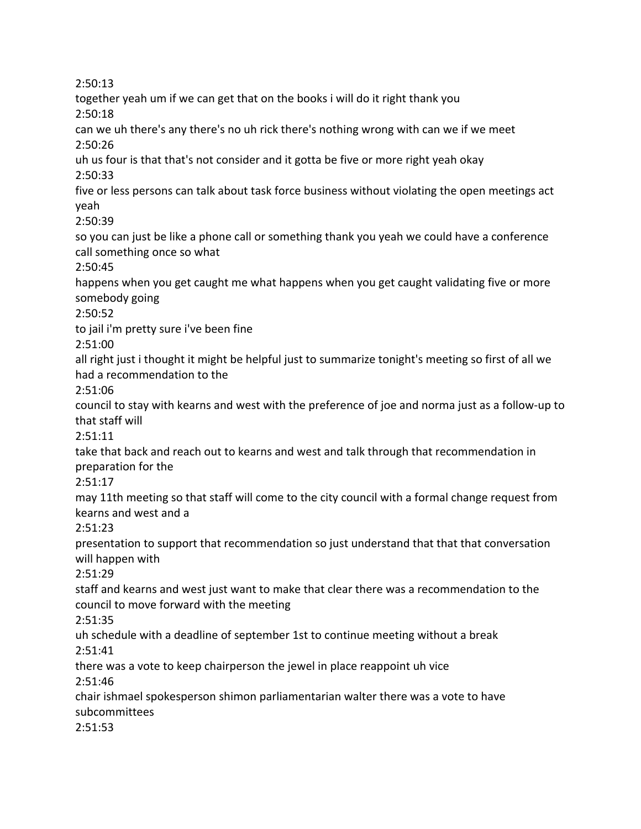2:50:13 together yeah um if we can get that on the books i will do it right thank you 2:50:18 can we uh there's any there's no uh rick there's nothing wrong with can we if we meet 2:50:26 uh us four is that that's not consider and it gotta be five or more right yeah okay 2:50:33 five or less persons can talk about task force business without violating the open meetings act yeah 2:50:39 so you can just be like a phone call or something thank you yeah we could have a conference call something once so what 2:50:45 happens when you get caught me what happens when you get caught validating five or more somebody going 2:50:52 to jail i'm pretty sure i've been fine 2:51:00 all right just i thought it might be helpful just to summarize tonight's meeting so first of all we had a recommendation to the 2:51:06 council to stay with kearns and west with the preference of joe and norma just as a follow-up to that staff will 2:51:11 take that back and reach out to kearns and west and talk through that recommendation in preparation for the 2:51:17 may 11th meeting so that staff will come to the city council with a formal change request from kearns and west and a 2:51:23 presentation to support that recommendation so just understand that that that conversation will happen with 2:51:29 staff and kearns and west just want to make that clear there was a recommendation to the council to move forward with the meeting 2:51:35 uh schedule with a deadline of september 1st to continue meeting without a break 2:51:41 there was a vote to keep chairperson the jewel in place reappoint uh vice 2:51:46 chair ishmael spokesperson shimon parliamentarian walter there was a vote to have subcommittees 2:51:53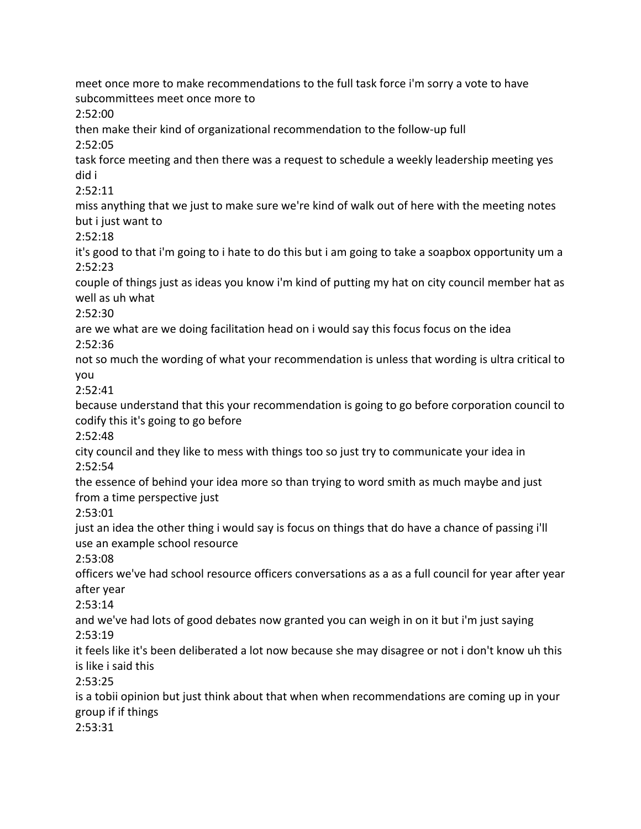meet once more to make recommendations to the full task force i'm sorry a vote to have subcommittees meet once more to 2:52:00 then make their kind of organizational recommendation to the follow-up full 2:52:05 task force meeting and then there was a request to schedule a weekly leadership meeting yes did i 2:52:11 miss anything that we just to make sure we're kind of walk out of here with the meeting notes but i just want to 2:52:18 it's good to that i'm going to i hate to do this but i am going to take a soapbox opportunity um a 2:52:23 couple of things just as ideas you know i'm kind of putting my hat on city council member hat as well as uh what 2:52:30 are we what are we doing facilitation head on i would say this focus focus on the idea 2:52:36 not so much the wording of what your recommendation is unless that wording is ultra critical to you 2:52:41 because understand that this your recommendation is going to go before corporation council to codify this it's going to go before 2:52:48 city council and they like to mess with things too so just try to communicate your idea in 2:52:54 the essence of behind your idea more so than trying to word smith as much maybe and just from a time perspective just 2:53:01 just an idea the other thing i would say is focus on things that do have a chance of passing i'll use an example school resource 2:53:08 officers we've had school resource officers conversations as a as a full council for year after year after year 2:53:14 and we've had lots of good debates now granted you can weigh in on it but i'm just saying 2:53:19 it feels like it's been deliberated a lot now because she may disagree or not i don't know uh this is like i said this 2:53:25 is a tobii opinion but just think about that when when recommendations are coming up in your group if if things 2:53:31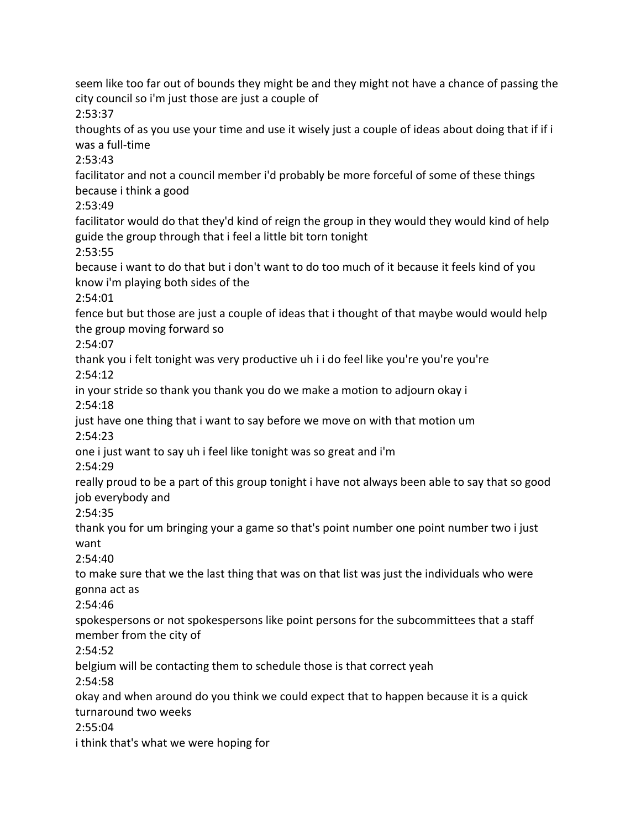seem like too far out of bounds they might be and they might not have a chance of passing the city council so i'm just those are just a couple of

2:53:37

thoughts of as you use your time and use it wisely just a couple of ideas about doing that if if i was a full-time

2:53:43

facilitator and not a council member i'd probably be more forceful of some of these things because i think a good

2:53:49

facilitator would do that they'd kind of reign the group in they would they would kind of help guide the group through that i feel a little bit torn tonight

2:53:55

because i want to do that but i don't want to do too much of it because it feels kind of you know i'm playing both sides of the

2:54:01

fence but but those are just a couple of ideas that i thought of that maybe would would help the group moving forward so

2:54:07

thank you i felt tonight was very productive uh i i do feel like you're you're you're 2:54:12

in your stride so thank you thank you do we make a motion to adjourn okay i 2:54:18

just have one thing that i want to say before we move on with that motion um 2:54:23

one i just want to say uh i feel like tonight was so great and i'm

2:54:29

really proud to be a part of this group tonight i have not always been able to say that so good job everybody and

2:54:35

thank you for um bringing your a game so that's point number one point number two i just want

2:54:40

to make sure that we the last thing that was on that list was just the individuals who were gonna act as

2:54:46

spokespersons or not spokespersons like point persons for the subcommittees that a staff member from the city of

2:54:52

belgium will be contacting them to schedule those is that correct yeah

2:54:58

okay and when around do you think we could expect that to happen because it is a quick turnaround two weeks

2:55:04

i think that's what we were hoping for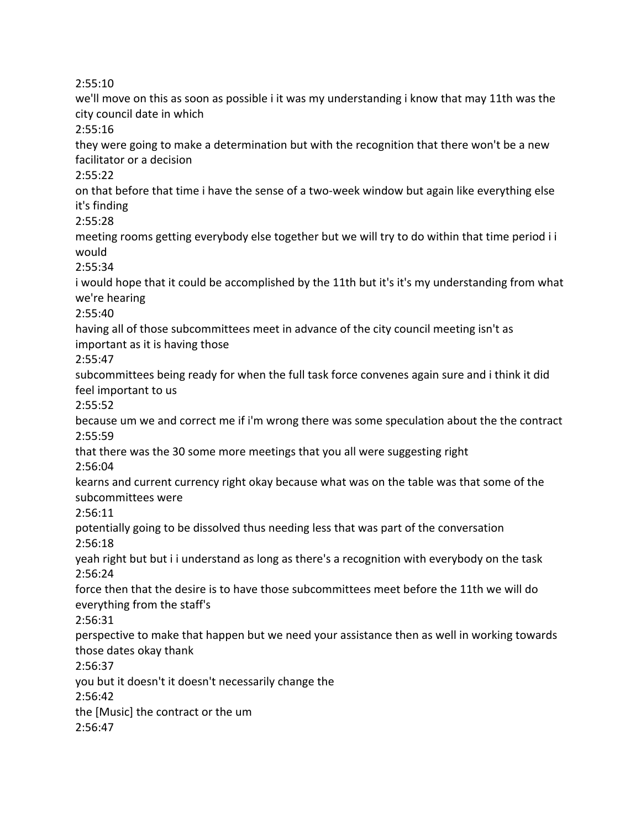2:55:10

we'll move on this as soon as possible i it was my understanding i know that may 11th was the city council date in which 2:55:16 they were going to make a determination but with the recognition that there won't be a new facilitator or a decision 2:55:22 on that before that time i have the sense of a two-week window but again like everything else it's finding 2:55:28 meeting rooms getting everybody else together but we will try to do within that time period i i would 2:55:34 i would hope that it could be accomplished by the 11th but it's it's my understanding from what we're hearing 2:55:40 having all of those subcommittees meet in advance of the city council meeting isn't as important as it is having those 2:55:47 subcommittees being ready for when the full task force convenes again sure and i think it did feel important to us 2:55:52 because um we and correct me if i'm wrong there was some speculation about the the contract 2:55:59 that there was the 30 some more meetings that you all were suggesting right 2:56:04 kearns and current currency right okay because what was on the table was that some of the subcommittees were 2:56:11 potentially going to be dissolved thus needing less that was part of the conversation 2:56:18 yeah right but but i i understand as long as there's a recognition with everybody on the task 2:56:24 force then that the desire is to have those subcommittees meet before the 11th we will do everything from the staff's 2:56:31 perspective to make that happen but we need your assistance then as well in working towards those dates okay thank 2:56:37 you but it doesn't it doesn't necessarily change the 2:56:42 the [Music] the contract or the um 2:56:47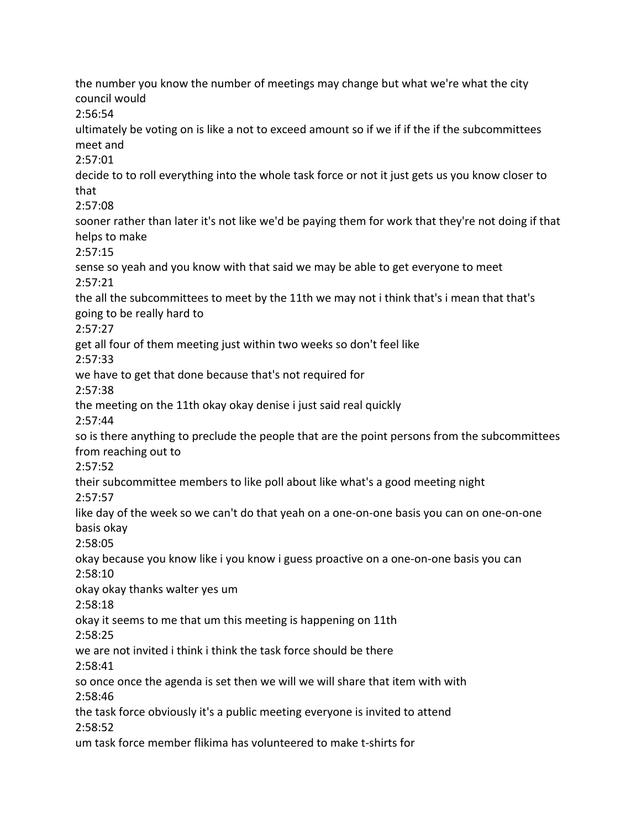the number you know the number of meetings may change but what we're what the city council would 2:56:54 ultimately be voting on is like a not to exceed amount so if we if if the if the subcommittees meet and 2:57:01 decide to to roll everything into the whole task force or not it just gets us you know closer to that 2:57:08 sooner rather than later it's not like we'd be paying them for work that they're not doing if that helps to make 2:57:15 sense so yeah and you know with that said we may be able to get everyone to meet 2:57:21 the all the subcommittees to meet by the 11th we may not i think that's i mean that that's going to be really hard to 2:57:27 get all four of them meeting just within two weeks so don't feel like 2:57:33 we have to get that done because that's not required for 2:57:38 the meeting on the 11th okay okay denise i just said real quickly 2:57:44 so is there anything to preclude the people that are the point persons from the subcommittees from reaching out to 2:57:52 their subcommittee members to like poll about like what's a good meeting night 2:57:57 like day of the week so we can't do that yeah on a one-on-one basis you can on one-on-one basis okay 2:58:05 okay because you know like i you know i guess proactive on a one-on-one basis you can 2:58:10 okay okay thanks walter yes um 2:58:18 okay it seems to me that um this meeting is happening on 11th 2:58:25 we are not invited i think i think the task force should be there 2:58:41 so once once the agenda is set then we will we will share that item with with 2:58:46 the task force obviously it's a public meeting everyone is invited to attend 2:58:52 um task force member flikima has volunteered to make t-shirts for